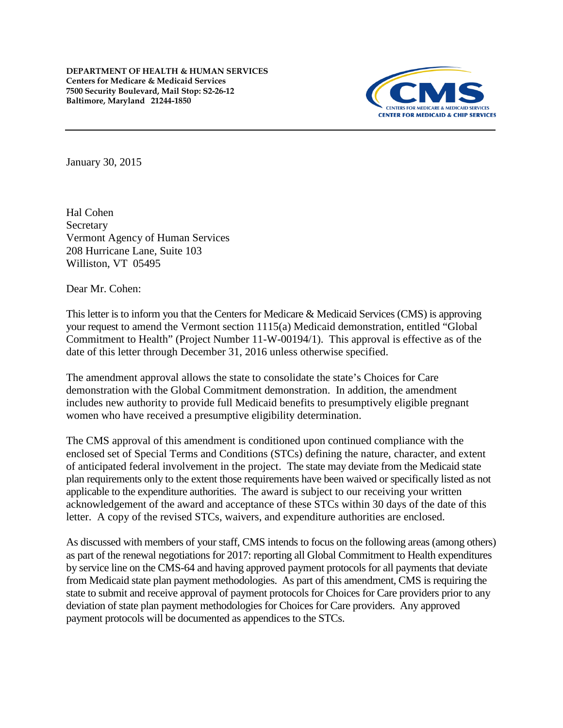

January 30, 2015

Hal Cohen Secretary Vermont Agency of Human Services 208 Hurricane Lane, Suite 103 Williston, VT 05495

Dear Mr. Cohen:

This letter is to inform you that the Centers for Medicare & Medicaid Services (CMS) is approving your request to amend the Vermont section 1115(a) Medicaid demonstration, entitled "Global Commitment to Health" (Project Number 11-W-00194/1). This approval is effective as of the date of this letter through December 31, 2016 unless otherwise specified.

The amendment approval allows the state to consolidate the state's Choices for Care demonstration with the Global Commitment demonstration. In addition, the amendment includes new authority to provide full Medicaid benefits to presumptively eligible pregnant women who have received a presumptive eligibility determination.

The CMS approval of this amendment is conditioned upon continued compliance with the enclosed set of Special Terms and Conditions (STCs) defining the nature, character, and extent of anticipated federal involvement in the project. The state may deviate from the Medicaid state plan requirements only to the extent those requirements have been waived or specifically listed as not applicable to the expenditure authorities. The award is subject to our receiving your written acknowledgement of the award and acceptance of these STCs within 30 days of the date of this letter. A copy of the revised STCs, waivers, and expenditure authorities are enclosed.

As discussed with members of your staff, CMS intends to focus on the following areas (among others) as part of the renewal negotiations for 2017: reporting all Global Commitment to Health expenditures by service line on the CMS-64 and having approved payment protocols for all payments that deviate from Medicaid state plan payment methodologies. As part of this amendment, CMS is requiring the state to submit and receive approval of payment protocols for Choices for Care providers prior to any deviation of state plan payment methodologies for Choices for Care providers. Any approved payment protocols will be documented as appendices to the STCs.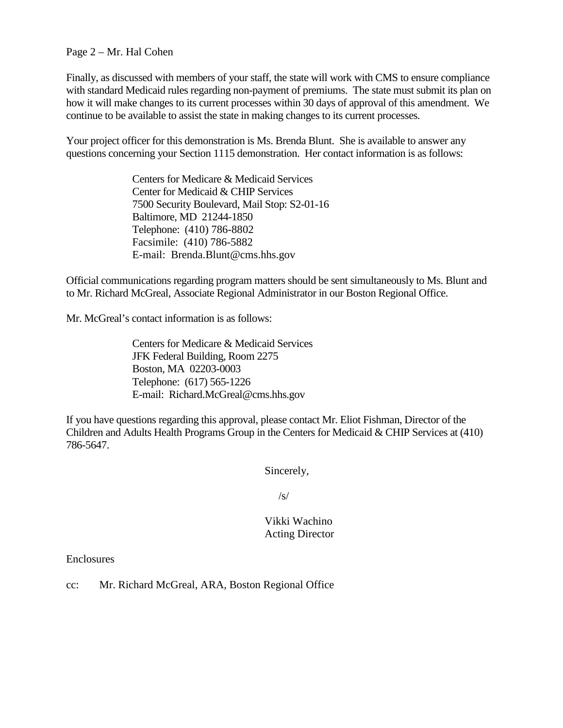#### Page 2 – Mr. Hal Cohen

Finally, as discussed with members of your staff, the state will work with CMS to ensure compliance with standard Medicaid rules regarding non-payment of premiums. The state must submit its plan on how it will make changes to its current processes within 30 days of approval of this amendment. We continue to be available to assist the state in making changes to its current processes.

Your project officer for this demonstration is Ms. Brenda Blunt. She is available to answer any questions concerning your Section 1115 demonstration. Her contact information is as follows:

> Centers for Medicare & Medicaid Services Center for Medicaid & CHIP Services 7500 Security Boulevard, Mail Stop: S2-01-16 Baltimore, MD 21244-1850 Telephone: (410) 786-8802 Facsimile: (410) 786-5882 E-mail: Brenda.Blunt@cms.hhs.gov

Official communications regarding program matters should be sent simultaneously to Ms. Blunt and to Mr. Richard McGreal, Associate Regional Administrator in our Boston Regional Office.

Mr. McGreal's contact information is as follows:

Centers for Medicare & Medicaid Services JFK Federal Building, Room 2275 Boston, MA 02203-0003 Telephone: (617) 565-1226 E-mail: Richard.McGreal@cms.hhs.gov

If you have questions regarding this approval, please contact Mr. Eliot Fishman, Director of the Children and Adults Health Programs Group in the Centers for Medicaid & CHIP Services at (410) 786-5647.

Sincerely,

/s/

#### Vikki Wachino Acting Director

Enclosures

cc: Mr. Richard McGreal, ARA, Boston Regional Office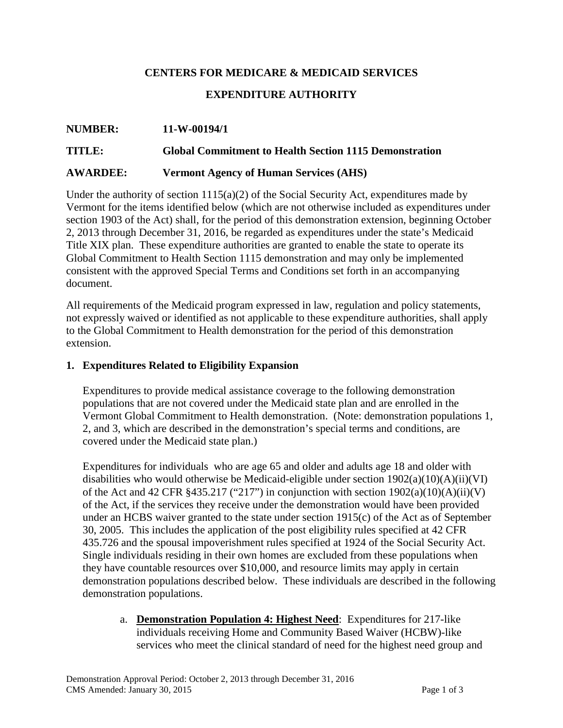# **CENTERS FOR MEDICARE & MEDICAID SERVICES EXPENDITURE AUTHORITY**

# **NUMBER: 11-W-00194/1 TITLE: Global Commitment to Health Section 1115 Demonstration AWARDEE: Vermont Agency of Human Services (AHS)**

Under the authority of section  $1115(a)(2)$  of the Social Security Act, expenditures made by Vermont for the items identified below (which are not otherwise included as expenditures under section 1903 of the Act) shall, for the period of this demonstration extension, beginning October 2, 2013 through December 31, 2016, be regarded as expenditures under the state's Medicaid Title XIX plan. These expenditure authorities are granted to enable the state to operate its Global Commitment to Health Section 1115 demonstration and may only be implemented consistent with the approved Special Terms and Conditions set forth in an accompanying document.

All requirements of the Medicaid program expressed in law, regulation and policy statements, not expressly waived or identified as not applicable to these expenditure authorities, shall apply to the Global Commitment to Health demonstration for the period of this demonstration extension.

#### **1. Expenditures Related to Eligibility Expansion**

Expenditures to provide medical assistance coverage to the following demonstration populations that are not covered under the Medicaid state plan and are enrolled in the Vermont Global Commitment to Health demonstration. (Note: demonstration populations 1, 2, and 3, which are described in the demonstration's special terms and conditions, are covered under the Medicaid state plan.)

Expenditures for individuals who are age 65 and older and adults age 18 and older with disabilities who would otherwise be Medicaid-eligible under section  $1902(a)(10)(A)(ii)(VI)$ of the Act and 42 CFR §435.217 ("217") in conjunction with section  $1902(a)(10)(A)(ii)(V)$ of the Act, if the services they receive under the demonstration would have been provided under an HCBS waiver granted to the state under section 1915(c) of the Act as of September 30, 2005. This includes the application of the post eligibility rules specified at 42 CFR 435.726 and the spousal impoverishment rules specified at 1924 of the Social Security Act. Single individuals residing in their own homes are excluded from these populations when they have countable resources over \$10,000, and resource limits may apply in certain demonstration populations described below. These individuals are described in the following demonstration populations.

a. **Demonstration Population 4: Highest Need**: Expenditures for 217-like individuals receiving Home and Community Based Waiver (HCBW)-like services who meet the clinical standard of need for the highest need group and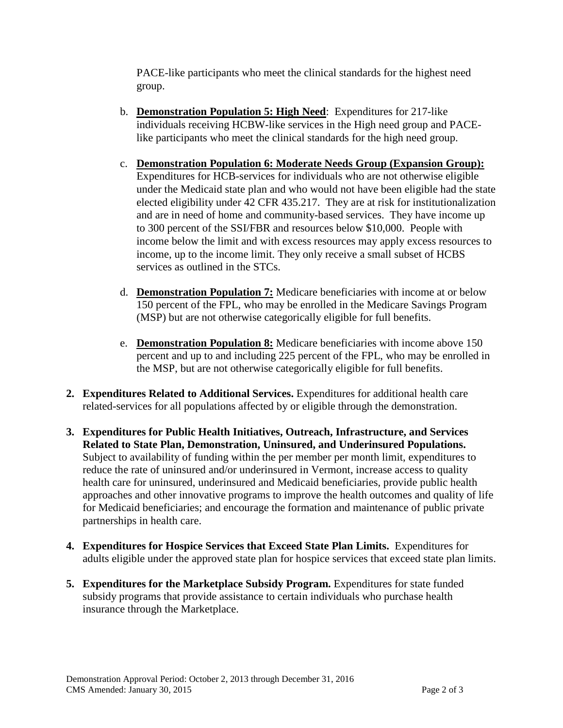PACE-like participants who meet the clinical standards for the highest need group.

- b. **Demonstration Population 5: High Need**: Expenditures for 217-like individuals receiving HCBW-like services in the High need group and PACElike participants who meet the clinical standards for the high need group.
- c. **Demonstration Population 6: Moderate Needs Group (Expansion Group):** Expenditures for HCB-services for individuals who are not otherwise eligible under the Medicaid state plan and who would not have been eligible had the state elected eligibility under 42 CFR 435.217. They are at risk for institutionalization and are in need of home and community-based services. They have income up to 300 percent of the SSI/FBR and resources below \$10,000. People with income below the limit and with excess resources may apply excess resources to income, up to the income limit. They only receive a small subset of HCBS services as outlined in the STCs.
- d. **Demonstration Population 7:** Medicare beneficiaries with income at or below 150 percent of the FPL, who may be enrolled in the Medicare Savings Program (MSP) but are not otherwise categorically eligible for full benefits.
- e. **Demonstration Population 8:** Medicare beneficiaries with income above 150 percent and up to and including 225 percent of the FPL, who may be enrolled in the MSP, but are not otherwise categorically eligible for full benefits.
- **2. Expenditures Related to Additional Services.** Expenditures for additional health care related-services for all populations affected by or eligible through the demonstration.
- **3. Expenditures for Public Health Initiatives, Outreach, Infrastructure, and Services Related to State Plan, Demonstration, Uninsured, and Underinsured Populations.**  Subject to availability of funding within the per member per month limit, expenditures to reduce the rate of uninsured and/or underinsured in Vermont, increase access to quality health care for uninsured, underinsured and Medicaid beneficiaries, provide public health approaches and other innovative programs to improve the health outcomes and quality of life for Medicaid beneficiaries; and encourage the formation and maintenance of public private partnerships in health care.
- **4. Expenditures for Hospice Services that Exceed State Plan Limits.** Expenditures for adults eligible under the approved state plan for hospice services that exceed state plan limits.
- **5. Expenditures for the Marketplace Subsidy Program.** Expenditures for state funded subsidy programs that provide assistance to certain individuals who purchase health insurance through the Marketplace.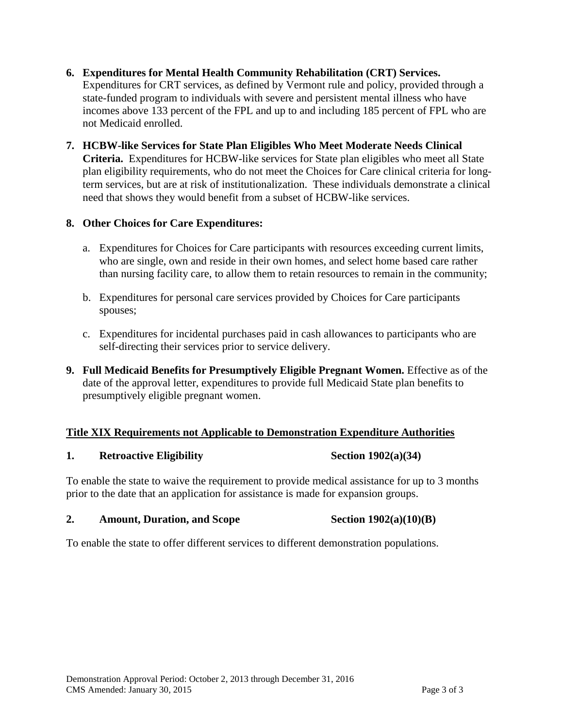- **6. Expenditures for Mental Health Community Rehabilitation (CRT) Services.** Expenditures for CRT services, as defined by Vermont rule and policy, provided through a state-funded program to individuals with severe and persistent mental illness who have incomes above 133 percent of the FPL and up to and including 185 percent of FPL who are not Medicaid enrolled.
- **7. HCBW-like Services for State Plan Eligibles Who Meet Moderate Needs Clinical Criteria.** Expenditures for HCBW-like services for State plan eligibles who meet all State plan eligibility requirements, who do not meet the Choices for Care clinical criteria for longterm services, but are at risk of institutionalization. These individuals demonstrate a clinical need that shows they would benefit from a subset of HCBW-like services.

#### **8. Other Choices for Care Expenditures:**

- a. Expenditures for Choices for Care participants with resources exceeding current limits, who are single, own and reside in their own homes, and select home based care rather than nursing facility care, to allow them to retain resources to remain in the community;
- b. Expenditures for personal care services provided by Choices for Care participants spouses;
- c. Expenditures for incidental purchases paid in cash allowances to participants who are self-directing their services prior to service delivery.
- **9. Full Medicaid Benefits for Presumptively Eligible Pregnant Women.** Effective as of the date of the approval letter, expenditures to provide full Medicaid State plan benefits to presumptively eligible pregnant women.

### **Title XIX Requirements not Applicable to Demonstration Expenditure Authorities**

#### 1. **Retroactive Eligibility Section 1902(a)(34)**

To enable the state to waive the requirement to provide medical assistance for up to 3 months prior to the date that an application for assistance is made for expansion groups.

#### **2. Amount, Duration, and Scope Section 1902(a)(10)(B)**

To enable the state to offer different services to different demonstration populations.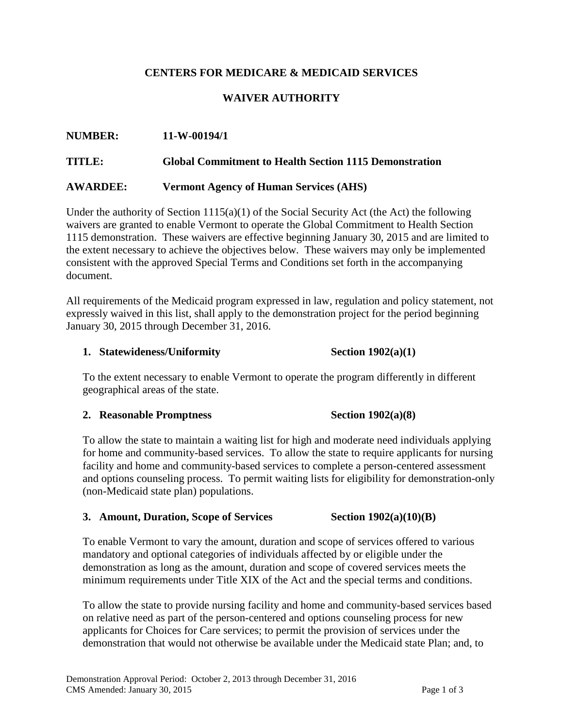#### **CENTERS FOR MEDICARE & MEDICAID SERVICES**

#### **WAIVER AUTHORITY**

# **NUMBER: 11-W-00194/1 TITLE: Global Commitment to Health Section 1115 Demonstration AWARDEE: Vermont Agency of Human Services (AHS)**

Under the authority of Section  $1115(a)(1)$  of the Social Security Act (the Act) the following waivers are granted to enable Vermont to operate the Global Commitment to Health Section 1115 demonstration. These waivers are effective beginning January 30, 2015 and are limited to the extent necessary to achieve the objectives below. These waivers may only be implemented consistent with the approved Special Terms and Conditions set forth in the accompanying document.

All requirements of the Medicaid program expressed in law, regulation and policy statement, not expressly waived in this list, shall apply to the demonstration project for the period beginning January 30, 2015 through December 31, 2016.

#### **1. Statewideness/Uniformity Section 1902(a)(1)**

To the extent necessary to enable Vermont to operate the program differently in different geographical areas of the state.

#### **2. Reasonable Promptness Section 1902(a)(8)**

To allow the state to maintain a waiting list for high and moderate need individuals applying for home and community-based services. To allow the state to require applicants for nursing facility and home and community-based services to complete a person-centered assessment and options counseling process. To permit waiting lists for eligibility for demonstration-only (non-Medicaid state plan) populations.

#### **3. Amount, Duration, Scope of Services Section 1902(a)(10)(B)**

To enable Vermont to vary the amount, duration and scope of services offered to various mandatory and optional categories of individuals affected by or eligible under the demonstration as long as the amount, duration and scope of covered services meets the minimum requirements under Title XIX of the Act and the special terms and conditions.

To allow the state to provide nursing facility and home and community-based services based on relative need as part of the person-centered and options counseling process for new applicants for Choices for Care services; to permit the provision of services under the demonstration that would not otherwise be available under the Medicaid state Plan; and, to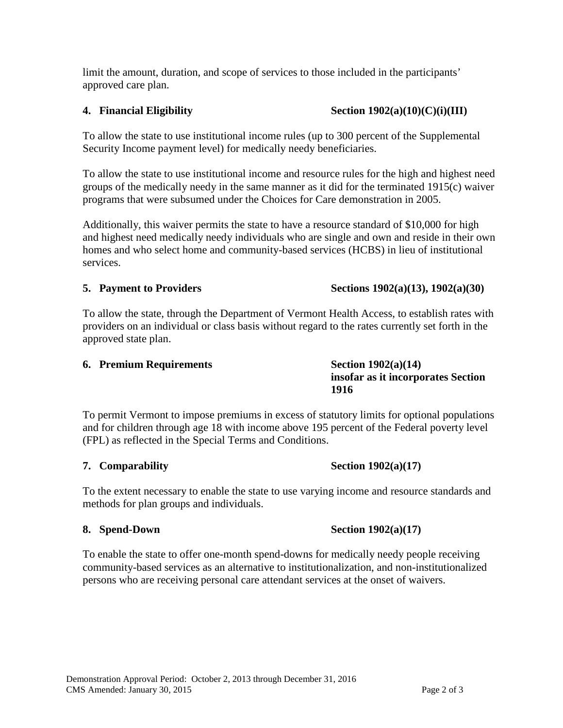limit the amount, duration, and scope of services to those included in the participants' approved care plan.

#### **4. Financial Eligibility Section 1902(a)(10)(C)(i)(III)**

To allow the state to use institutional income rules (up to 300 percent of the Supplemental Security Income payment level) for medically needy beneficiaries.

To allow the state to use institutional income and resource rules for the high and highest need groups of the medically needy in the same manner as it did for the terminated 1915(c) waiver programs that were subsumed under the Choices for Care demonstration in 2005.

Additionally, this waiver permits the state to have a resource standard of \$10,000 for high and highest need medically needy individuals who are single and own and reside in their own homes and who select home and community-based services (HCBS) in lieu of institutional services.

#### **5. Payment to Providers** Sections 1902(a)(13), 1902(a)(30)

To allow the state, through the Department of Vermont Health Access, to establish rates with providers on an individual or class basis without regard to the rates currently set forth in the approved state plan.

#### **6. Premium Requirements Section 1902(a)(14)**

To permit Vermont to impose premiums in excess of statutory limits for optional populations and for children through age 18 with income above 195 percent of the Federal poverty level (FPL) as reflected in the Special Terms and Conditions.

#### 7. **Comparability** Section 1902(a)(17)

To the extent necessary to enable the state to use varying income and resource standards and methods for plan groups and individuals.

#### **8. Spend-Down Section 1902(a)(17)**

To enable the state to offer one-month spend-downs for medically needy people receiving community-based services as an alternative to institutionalization, and non-institutionalized persons who are receiving personal care attendant services at the onset of waivers.

#### **insofar as it incorporates Section 1916**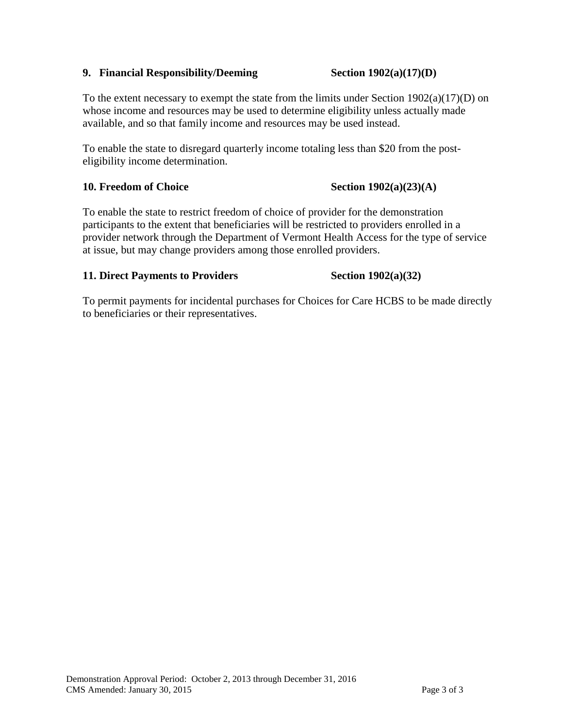#### **9.** Financial Responsibility/Deeming Section 1902(a)(17)(D)

To the extent necessary to exempt the state from the limits under Section  $1902(a)(17)(D)$  on whose income and resources may be used to determine eligibility unless actually made available, and so that family income and resources may be used instead.

To enable the state to disregard quarterly income totaling less than \$20 from the posteligibility income determination.

#### **10. Freedom of Choice** Section 1902(a)(23)(A)

To enable the state to restrict freedom of choice of provider for the demonstration participants to the extent that beneficiaries will be restricted to providers enrolled in a provider network through the Department of Vermont Health Access for the type of service at issue, but may change providers among those enrolled providers.

#### **11. Direct Payments to Providers Section 1902(a)(32)**

To permit payments for incidental purchases for Choices for Care HCBS to be made directly to beneficiaries or their representatives.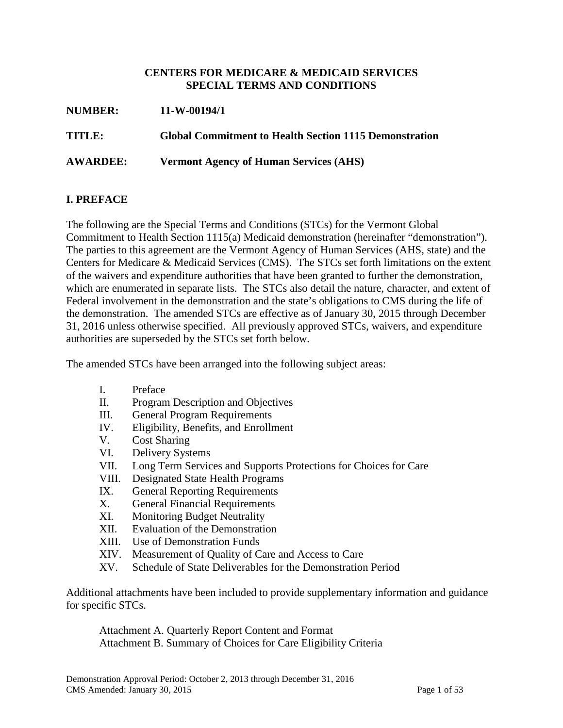#### **CENTERS FOR MEDICARE & MEDICAID SERVICES SPECIAL TERMS AND CONDITIONS**

| <b>NUMBER:</b>  | $11-W-00194/1$                                                |
|-----------------|---------------------------------------------------------------|
| TITLE:          | <b>Global Commitment to Health Section 1115 Demonstration</b> |
| <b>AWARDEE:</b> | <b>Vermont Agency of Human Services (AHS)</b>                 |

#### **I. PREFACE**

The following are the Special Terms and Conditions (STCs) for the Vermont Global Commitment to Health Section 1115(a) Medicaid demonstration (hereinafter "demonstration"). The parties to this agreement are the Vermont Agency of Human Services (AHS, state) and the Centers for Medicare & Medicaid Services (CMS). The STCs set forth limitations on the extent of the waivers and expenditure authorities that have been granted to further the demonstration, which are enumerated in separate lists. The STCs also detail the nature, character, and extent of Federal involvement in the demonstration and the state's obligations to CMS during the life of the demonstration. The amended STCs are effective as of January 30, 2015 through December 31, 2016 unless otherwise specified. All previously approved STCs, waivers, and expenditure authorities are superseded by the STCs set forth below.

The amended STCs have been arranged into the following subject areas:

- I. Preface
- II. Program Description and Objectives
- III. General Program Requirements
- IV. Eligibility, Benefits, and Enrollment
- V. Cost Sharing
- VI. Delivery Systems
- VII. Long Term Services and Supports Protections for Choices for Care
- VIII. Designated State Health Programs
- IX. General Reporting Requirements
- X. General Financial Requirements
- XI. Monitoring Budget Neutrality
- XII. Evaluation of the Demonstration
- XIII. Use of Demonstration Funds
- XIV. Measurement of Quality of Care and Access to Care
- XV. Schedule of State Deliverables for the Demonstration Period

Additional attachments have been included to provide supplementary information and guidance for specific STCs.

Attachment A. Quarterly Report Content and Format Attachment B. Summary of Choices for Care Eligibility Criteria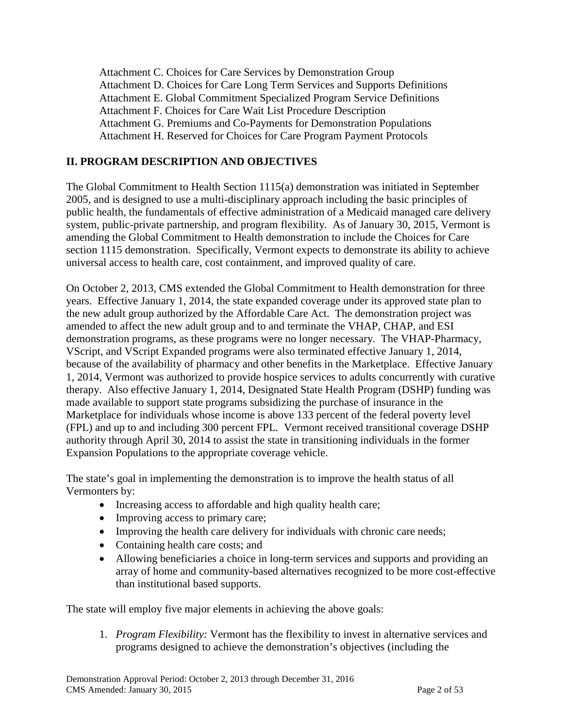Attachment C. Choices for Care Services by Demonstration Group Attachment D. Choices for Care Long Term Services and Supports Definitions Attachment E. Global Commitment Specialized Program Service Definitions Attachment F. Choices for Care Wait List Procedure Description Attachment G. Premiums and Co-Payments for Demonstration Populations Attachment H. Reserved for Choices for Care Program Payment Protocols

#### **II. PROGRAM DESCRIPTION AND OBJECTIVES**

The Global Commitment to Health Section 1115(a) demonstration was initiated in September 2005, and is designed to use a multi-disciplinary approach including the basic principles of public health, the fundamentals of effective administration of a Medicaid managed care delivery system, public-private partnership, and program flexibility. As of January 30, 2015, Vermont is amending the Global Commitment to Health demonstration to include the Choices for Care section 1115 demonstration. Specifically, Vermont expects to demonstrate its ability to achieve universal access to health care, cost containment, and improved quality of care.

On October 2, 2013, CMS extended the Global Commitment to Health demonstration for three years. Effective January 1, 2014, the state expanded coverage under its approved state plan to the new adult group authorized by the Affordable Care Act. The demonstration project was amended to affect the new adult group and to and terminate the VHAP, CHAP, and ESI demonstration programs, as these programs were no longer necessary. The VHAP-Pharmacy, VScript, and VScript Expanded programs were also terminated effective January 1, 2014, because of the availability of pharmacy and other benefits in the Marketplace. Effective January 1, 2014, Vermont was authorized to provide hospice services to adults concurrently with curative therapy. Also effective January 1, 2014, Designated State Health Program (DSHP) funding was made available to support state programs subsidizing the purchase of insurance in the Marketplace for individuals whose income is above 133 percent of the federal poverty level (FPL) and up to and including 300 percent FPL. Vermont received transitional coverage DSHP authority through April 30, 2014 to assist the state in transitioning individuals in the former Expansion Populations to the appropriate coverage vehicle.

The state's goal in implementing the demonstration is to improve the health status of all Vermonters by:

- Increasing access to affordable and high quality health care;
- Improving access to primary care;
- Improving the health care delivery for individuals with chronic care needs;
- Containing health care costs; and
- Allowing beneficiaries a choice in long-term services and supports and providing an array of home and community-based alternatives recognized to be more cost-effective than institutional based supports.

The state will employ five major elements in achieving the above goals:

1. *Program Flexibility:* Vermont has the flexibility to invest in alternative services and programs designed to achieve the demonstration's objectives (including the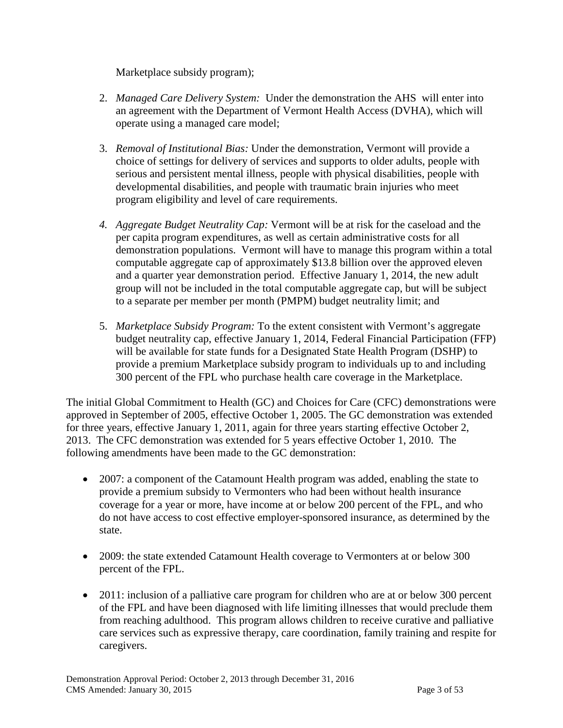Marketplace subsidy program);

- 2. *Managed Care Delivery System:* Under the demonstration the AHS will enter into an agreement with the Department of Vermont Health Access (DVHA), which will operate using a managed care model;
- 3. *Removal of Institutional Bias:* Under the demonstration, Vermont will provide a choice of settings for delivery of services and supports to older adults, people with serious and persistent mental illness, people with physical disabilities, people with developmental disabilities, and people with traumatic brain injuries who meet program eligibility and level of care requirements.
- *4. Aggregate Budget Neutrality Cap:* Vermont will be at risk for the caseload and the per capita program expenditures, as well as certain administrative costs for all demonstration populations. Vermont will have to manage this program within a total computable aggregate cap of approximately \$13.8 billion over the approved eleven and a quarter year demonstration period. Effective January 1, 2014, the new adult group will not be included in the total computable aggregate cap, but will be subject to a separate per member per month (PMPM) budget neutrality limit; and
- 5. *Marketplace Subsidy Program:* To the extent consistent with Vermont's aggregate budget neutrality cap, effective January 1, 2014, Federal Financial Participation (FFP) will be available for state funds for a Designated State Health Program (DSHP) to provide a premium Marketplace subsidy program to individuals up to and including 300 percent of the FPL who purchase health care coverage in the Marketplace.

The initial Global Commitment to Health (GC) and Choices for Care (CFC) demonstrations were approved in September of 2005, effective October 1, 2005. The GC demonstration was extended for three years, effective January 1, 2011, again for three years starting effective October 2, 2013. The CFC demonstration was extended for 5 years effective October 1, 2010. The following amendments have been made to the GC demonstration:

- 2007: a component of the Catamount Health program was added, enabling the state to provide a premium subsidy to Vermonters who had been without health insurance coverage for a year or more, have income at or below 200 percent of the FPL, and who do not have access to cost effective employer-sponsored insurance, as determined by the state.
- 2009: the state extended Catamount Health coverage to Vermonters at or below 300 percent of the FPL.
- 2011: inclusion of a palliative care program for children who are at or below 300 percent of the FPL and have been diagnosed with life limiting illnesses that would preclude them from reaching adulthood. This program allows children to receive curative and palliative care services such as expressive therapy, care coordination, family training and respite for caregivers.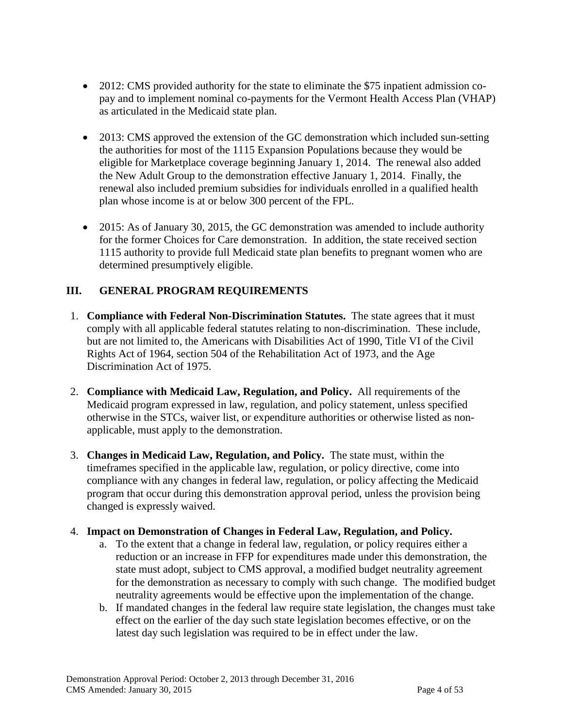- 2012: CMS provided authority for the state to eliminate the \$75 inpatient admission copay and to implement nominal co-payments for the Vermont Health Access Plan (VHAP) as articulated in the Medicaid state plan.
- 2013: CMS approved the extension of the GC demonstration which included sun-setting the authorities for most of the 1115 Expansion Populations because they would be eligible for Marketplace coverage beginning January 1, 2014. The renewal also added the New Adult Group to the demonstration effective January 1, 2014. Finally, the renewal also included premium subsidies for individuals enrolled in a qualified health plan whose income is at or below 300 percent of the FPL.
- 2015: As of January 30, 2015, the GC demonstration was amended to include authority for the former Choices for Care demonstration. In addition, the state received section 1115 authority to provide full Medicaid state plan benefits to pregnant women who are determined presumptively eligible.

### **III. GENERAL PROGRAM REQUIREMENTS**

- 1. **Compliance with Federal Non-Discrimination Statutes.** The state agrees that it must comply with all applicable federal statutes relating to non-discrimination. These include, but are not limited to, the Americans with Disabilities Act of 1990, Title VI of the Civil Rights Act of 1964, section 504 of the Rehabilitation Act of 1973, and the Age Discrimination Act of 1975.
- 2. **Compliance with Medicaid Law, Regulation, and Policy.** All requirements of the Medicaid program expressed in law, regulation, and policy statement, unless specified otherwise in the STCs, waiver list, or expenditure authorities or otherwise listed as nonapplicable, must apply to the demonstration.
- 3. **Changes in Medicaid Law, Regulation, and Policy.** The state must, within the timeframes specified in the applicable law, regulation, or policy directive, come into compliance with any changes in federal law, regulation, or policy affecting the Medicaid program that occur during this demonstration approval period, unless the provision being changed is expressly waived.

#### 4. **Impact on Demonstration of Changes in Federal Law, Regulation, and Policy.**

- a. To the extent that a change in federal law, regulation, or policy requires either a reduction or an increase in FFP for expenditures made under this demonstration, the state must adopt, subject to CMS approval, a modified budget neutrality agreement for the demonstration as necessary to comply with such change. The modified budget neutrality agreements would be effective upon the implementation of the change.
- b. If mandated changes in the federal law require state legislation, the changes must take effect on the earlier of the day such state legislation becomes effective, or on the latest day such legislation was required to be in effect under the law.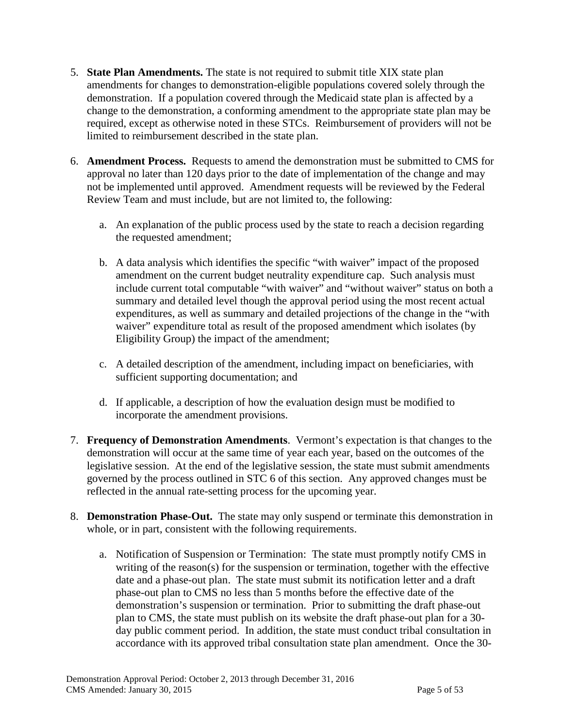- 5. **State Plan Amendments.** The state is not required to submit title XIX state plan amendments for changes to demonstration-eligible populations covered solely through the demonstration. If a population covered through the Medicaid state plan is affected by a change to the demonstration, a conforming amendment to the appropriate state plan may be required, except as otherwise noted in these STCs. Reimbursement of providers will not be limited to reimbursement described in the state plan.
- 6. **Amendment Process.** Requests to amend the demonstration must be submitted to CMS for approval no later than 120 days prior to the date of implementation of the change and may not be implemented until approved. Amendment requests will be reviewed by the Federal Review Team and must include, but are not limited to, the following:
	- a. An explanation of the public process used by the state to reach a decision regarding the requested amendment;
	- b. A data analysis which identifies the specific "with waiver" impact of the proposed amendment on the current budget neutrality expenditure cap. Such analysis must include current total computable "with waiver" and "without waiver" status on both a summary and detailed level though the approval period using the most recent actual expenditures, as well as summary and detailed projections of the change in the "with waiver" expenditure total as result of the proposed amendment which isolates (by Eligibility Group) the impact of the amendment;
	- c. A detailed description of the amendment, including impact on beneficiaries, with sufficient supporting documentation; and
	- d. If applicable, a description of how the evaluation design must be modified to incorporate the amendment provisions.
- 7. **Frequency of Demonstration Amendments**. Vermont's expectation is that changes to the demonstration will occur at the same time of year each year, based on the outcomes of the legislative session. At the end of the legislative session, the state must submit amendments governed by the process outlined in STC 6 of this section. Any approved changes must be reflected in the annual rate-setting process for the upcoming year.
- 8. **Demonstration Phase-Out.** The state may only suspend or terminate this demonstration in whole, or in part, consistent with the following requirements.
	- a. Notification of Suspension or Termination: The state must promptly notify CMS in writing of the reason(s) for the suspension or termination, together with the effective date and a phase-out plan. The state must submit its notification letter and a draft phase-out plan to CMS no less than 5 months before the effective date of the demonstration's suspension or termination. Prior to submitting the draft phase-out plan to CMS, the state must publish on its website the draft phase-out plan for a 30 day public comment period. In addition, the state must conduct tribal consultation in accordance with its approved tribal consultation state plan amendment. Once the 30-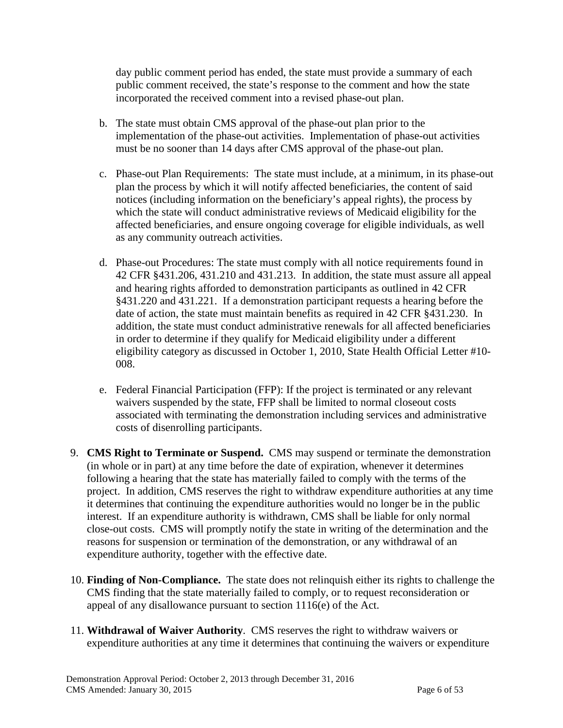day public comment period has ended, the state must provide a summary of each public comment received, the state's response to the comment and how the state incorporated the received comment into a revised phase-out plan.

- b. The state must obtain CMS approval of the phase-out plan prior to the implementation of the phase-out activities. Implementation of phase-out activities must be no sooner than 14 days after CMS approval of the phase-out plan.
- c. Phase-out Plan Requirements: The state must include, at a minimum, in its phase-out plan the process by which it will notify affected beneficiaries, the content of said notices (including information on the beneficiary's appeal rights), the process by which the state will conduct administrative reviews of Medicaid eligibility for the affected beneficiaries, and ensure ongoing coverage for eligible individuals, as well as any community outreach activities.
- d. Phase-out Procedures: The state must comply with all notice requirements found in 42 CFR §431.206, 431.210 and 431.213. In addition, the state must assure all appeal and hearing rights afforded to demonstration participants as outlined in 42 CFR §431.220 and 431.221. If a demonstration participant requests a hearing before the date of action, the state must maintain benefits as required in 42 CFR §431.230. In addition, the state must conduct administrative renewals for all affected beneficiaries in order to determine if they qualify for Medicaid eligibility under a different eligibility category as discussed in October 1, 2010, State Health Official Letter #10- 008.
- e. Federal Financial Participation (FFP): If the project is terminated or any relevant waivers suspended by the state, FFP shall be limited to normal closeout costs associated with terminating the demonstration including services and administrative costs of disenrolling participants.
- 9. **CMS Right to Terminate or Suspend.** CMS may suspend or terminate the demonstration (in whole or in part) at any time before the date of expiration, whenever it determines following a hearing that the state has materially failed to comply with the terms of the project. In addition, CMS reserves the right to withdraw expenditure authorities at any time it determines that continuing the expenditure authorities would no longer be in the public interest. If an expenditure authority is withdrawn, CMS shall be liable for only normal close-out costs. CMS will promptly notify the state in writing of the determination and the reasons for suspension or termination of the demonstration, or any withdrawal of an expenditure authority, together with the effective date.
- 10. **Finding of Non-Compliance.** The state does not relinquish either its rights to challenge the CMS finding that the state materially failed to comply, or to request reconsideration or appeal of any disallowance pursuant to section 1116(e) of the Act.
- 11. **Withdrawal of Waiver Authority**. CMS reserves the right to withdraw waivers or expenditure authorities at any time it determines that continuing the waivers or expenditure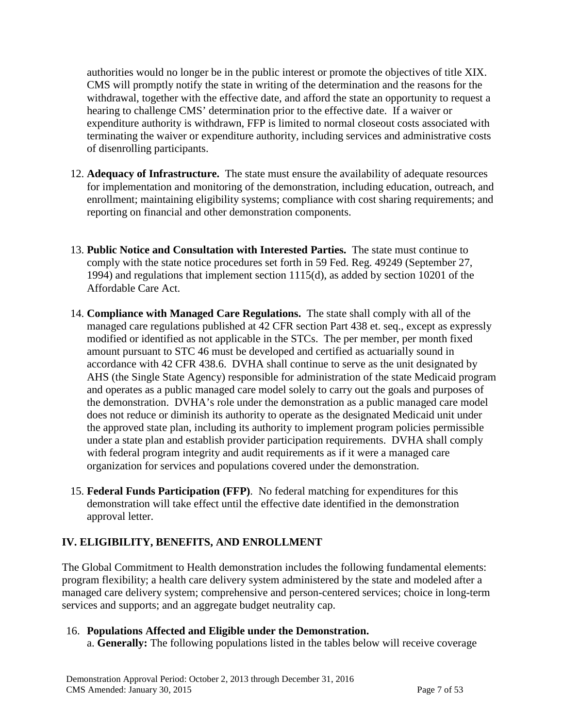authorities would no longer be in the public interest or promote the objectives of title XIX. CMS will promptly notify the state in writing of the determination and the reasons for the withdrawal, together with the effective date, and afford the state an opportunity to request a hearing to challenge CMS' determination prior to the effective date. If a waiver or expenditure authority is withdrawn, FFP is limited to normal closeout costs associated with terminating the waiver or expenditure authority, including services and administrative costs of disenrolling participants.

- 12. **Adequacy of Infrastructure.** The state must ensure the availability of adequate resources for implementation and monitoring of the demonstration, including education, outreach, and enrollment; maintaining eligibility systems; compliance with cost sharing requirements; and reporting on financial and other demonstration components.
- 13. **Public Notice and Consultation with Interested Parties.** The state must continue to comply with the state notice procedures set forth in 59 Fed. Reg. 49249 (September 27, 1994) and regulations that implement section 1115(d), as added by section 10201 of the Affordable Care Act.
- <span id="page-14-0"></span>14. **Compliance with Managed Care Regulations.** The state shall comply with all of the managed care regulations published at 42 CFR section Part 438 et. seq., except as expressly modified or identified as not applicable in the STCs. The per member, per month fixed amount pursuant to STC 46 must be developed and certified as actuarially sound in accordance with 42 CFR 438.6. DVHA shall continue to serve as the unit designated by AHS (the Single State Agency) responsible for administration of the state Medicaid program and operates as a public managed care model solely to carry out the goals and purposes of the demonstration. DVHA's role under the demonstration as a public managed care model does not reduce or diminish its authority to operate as the designated Medicaid unit under the approved state plan, including its authority to implement program policies permissible under a state plan and establish provider participation requirements. DVHA shall comply with federal program integrity and audit requirements as if it were a managed care organization for services and populations covered under the demonstration.
- 15. **Federal Funds Participation (FFP)**. No federal matching for expenditures for this demonstration will take effect until the effective date identified in the demonstration approval letter.

### **IV. ELIGIBILITY, BENEFITS, AND ENROLLMENT**

The Global Commitment to Health demonstration includes the following fundamental elements: program flexibility; a health care delivery system administered by the state and modeled after a managed care delivery system; comprehensive and person-centered services; choice in long-term services and supports; and an aggregate budget neutrality cap.

# <span id="page-14-1"></span>16. **Populations Affected and Eligible under the Demonstration.**

a. **Generally:** The following populations listed in the tables below will receive coverage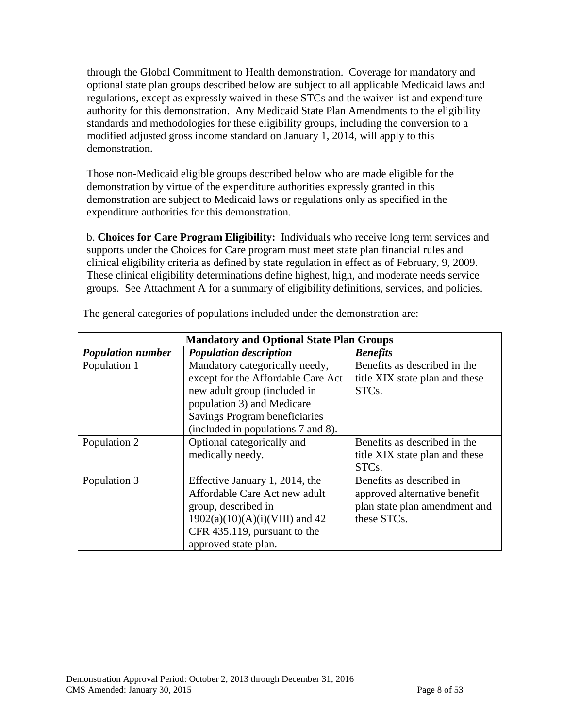through the Global Commitment to Health demonstration. Coverage for mandatory and optional state plan groups described below are subject to all applicable Medicaid laws and regulations, except as expressly waived in these STCs and the waiver list and expenditure authority for this demonstration. Any Medicaid State Plan Amendments to the eligibility standards and methodologies for these eligibility groups, including the conversion to a modified adjusted gross income standard on January 1, 2014, will apply to this demonstration.

Those non-Medicaid eligible groups described below who are made eligible for the demonstration by virtue of the expenditure authorities expressly granted in this demonstration are subject to Medicaid laws or regulations only as specified in the expenditure authorities for this demonstration.

b. **Choices for Care Program Eligibility:** Individuals who receive long term services and supports under the Choices for Care program must meet state plan financial rules and clinical eligibility criteria as defined by state regulation in effect as of February, 9, 2009. These clinical eligibility determinations define highest, high, and moderate needs service groups. See Attachment A for a summary of eligibility definitions, services, and policies.

| <b>Mandatory and Optional State Plan Groups</b> |                                    |                                |
|-------------------------------------------------|------------------------------------|--------------------------------|
| <b>Population number</b>                        | <b>Population description</b>      | <b>Benefits</b>                |
| Population 1                                    | Mandatory categorically needy,     | Benefits as described in the   |
|                                                 | except for the Affordable Care Act | title XIX state plan and these |
|                                                 | new adult group (included in       | STC <sub>s</sub> .             |
|                                                 | population 3) and Medicare         |                                |
|                                                 | Savings Program beneficiaries      |                                |
|                                                 | (included in populations 7 and 8). |                                |
| Population 2                                    | Optional categorically and         | Benefits as described in the   |
|                                                 | medically needy.                   | title XIX state plan and these |
|                                                 |                                    | STC <sub>s</sub> .             |
| Population 3                                    | Effective January 1, 2014, the     | Benefits as described in       |
|                                                 | Affordable Care Act new adult      | approved alternative benefit   |
|                                                 | group, described in                | plan state plan amendment and  |
|                                                 | $1902(a)(10)(A)(i)(VIII)$ and 42   | these STCs.                    |
|                                                 | CFR 435.119, pursuant to the       |                                |
|                                                 | approved state plan.               |                                |

The general categories of populations included under the demonstration are: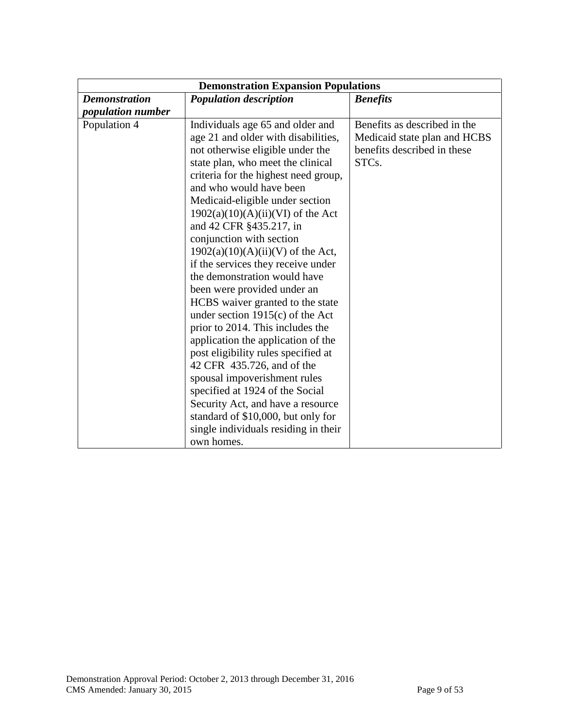| <b>Demonstration Expansion Populations</b> |                                                                         |                                                              |
|--------------------------------------------|-------------------------------------------------------------------------|--------------------------------------------------------------|
| <b>Demonstration</b>                       | <b>Population description</b>                                           | <b>Benefits</b>                                              |
| <i>population number</i>                   |                                                                         |                                                              |
| Population 4                               | Individuals age 65 and older and<br>age 21 and older with disabilities, | Benefits as described in the<br>Medicaid state plan and HCBS |
|                                            | not otherwise eligible under the                                        | benefits described in these                                  |
|                                            | state plan, who meet the clinical                                       | STC <sub>s</sub> .                                           |
|                                            | criteria for the highest need group,                                    |                                                              |
|                                            | and who would have been                                                 |                                                              |
|                                            | Medicaid-eligible under section                                         |                                                              |
|                                            | $1902(a)(10)(A)(ii)(VI)$ of the Act<br>and 42 CFR §435.217, in          |                                                              |
|                                            | conjunction with section                                                |                                                              |
|                                            | $1902(a)(10)(A)(ii)(V)$ of the Act,                                     |                                                              |
|                                            | if the services they receive under                                      |                                                              |
|                                            | the demonstration would have                                            |                                                              |
|                                            | been were provided under an                                             |                                                              |
|                                            | HCBS waiver granted to the state                                        |                                                              |
|                                            | under section $1915(c)$ of the Act                                      |                                                              |
|                                            | prior to 2014. This includes the                                        |                                                              |
|                                            | application the application of the                                      |                                                              |
|                                            | post eligibility rules specified at                                     |                                                              |
|                                            | 42 CFR 435.726, and of the                                              |                                                              |
|                                            | spousal impoverishment rules                                            |                                                              |
|                                            | specified at 1924 of the Social                                         |                                                              |
|                                            | Security Act, and have a resource                                       |                                                              |
|                                            | standard of \$10,000, but only for                                      |                                                              |
|                                            | single individuals residing in their<br>own homes.                      |                                                              |
|                                            |                                                                         |                                                              |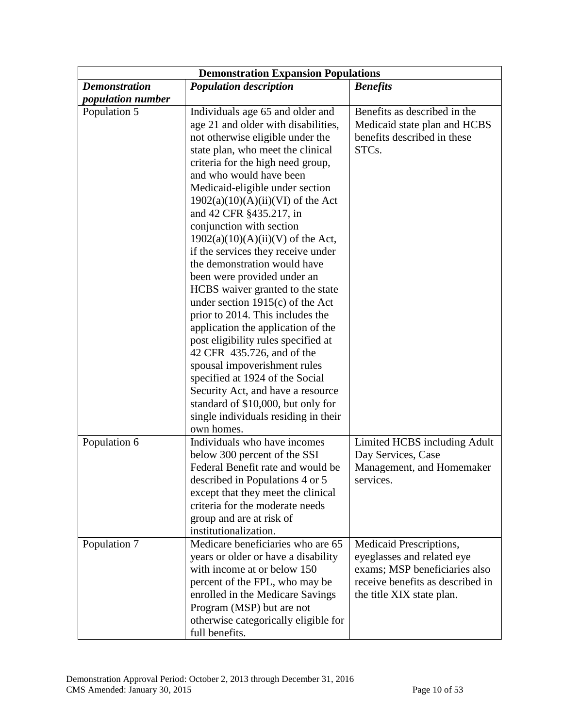| <b>Demonstration Expansion Populations</b> |                                                                                                                                                                                                                                                                                                                                                                                                                                                                                                                                                                                                                                                                                                                                                                                                                                                                                                                            |                                                                                                                                                         |
|--------------------------------------------|----------------------------------------------------------------------------------------------------------------------------------------------------------------------------------------------------------------------------------------------------------------------------------------------------------------------------------------------------------------------------------------------------------------------------------------------------------------------------------------------------------------------------------------------------------------------------------------------------------------------------------------------------------------------------------------------------------------------------------------------------------------------------------------------------------------------------------------------------------------------------------------------------------------------------|---------------------------------------------------------------------------------------------------------------------------------------------------------|
| <b>Demonstration</b>                       | <b>Population description</b>                                                                                                                                                                                                                                                                                                                                                                                                                                                                                                                                                                                                                                                                                                                                                                                                                                                                                              | <b>Benefits</b>                                                                                                                                         |
| population number                          |                                                                                                                                                                                                                                                                                                                                                                                                                                                                                                                                                                                                                                                                                                                                                                                                                                                                                                                            |                                                                                                                                                         |
| Population 5                               | Individuals age 65 and older and<br>age 21 and older with disabilities,<br>not otherwise eligible under the<br>state plan, who meet the clinical<br>criteria for the high need group,<br>and who would have been<br>Medicaid-eligible under section<br>$1902(a)(10)(A)(ii)(VI)$ of the Act<br>and 42 CFR §435.217, in<br>conjunction with section<br>$1902(a)(10)(A)(ii)(V)$ of the Act,<br>if the services they receive under<br>the demonstration would have<br>been were provided under an<br>HCBS waiver granted to the state<br>under section $1915(c)$ of the Act<br>prior to 2014. This includes the<br>application the application of the<br>post eligibility rules specified at<br>42 CFR 435.726, and of the<br>spousal impoverishment rules<br>specified at 1924 of the Social<br>Security Act, and have a resource<br>standard of \$10,000, but only for<br>single individuals residing in their<br>own homes. | Benefits as described in the<br>Medicaid state plan and HCBS<br>benefits described in these<br>STCs.                                                    |
| Population 6                               | Individuals who have incomes<br>below 300 percent of the SSI<br>Federal Benefit rate and would be<br>described in Populations 4 or 5<br>except that they meet the clinical<br>criteria for the moderate needs<br>group and are at risk of<br>institutionalization.                                                                                                                                                                                                                                                                                                                                                                                                                                                                                                                                                                                                                                                         | Limited HCBS including Adult<br>Day Services, Case<br>Management, and Homemaker<br>services.                                                            |
| Population 7                               | Medicare beneficiaries who are 65<br>years or older or have a disability<br>with income at or below 150<br>percent of the FPL, who may be<br>enrolled in the Medicare Savings<br>Program (MSP) but are not<br>otherwise categorically eligible for<br>full benefits.                                                                                                                                                                                                                                                                                                                                                                                                                                                                                                                                                                                                                                                       | Medicaid Prescriptions,<br>eyeglasses and related eye<br>exams; MSP beneficiaries also<br>receive benefits as described in<br>the title XIX state plan. |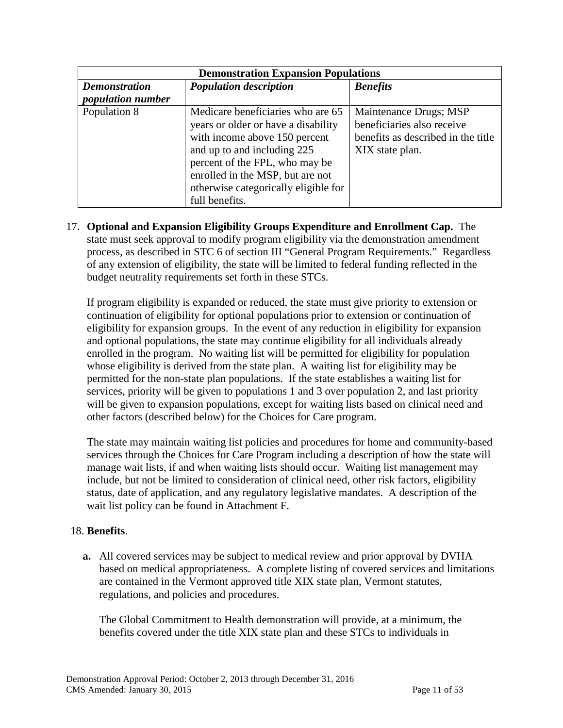| <b>Demonstration Expansion Populations</b> |                                      |                                    |
|--------------------------------------------|--------------------------------------|------------------------------------|
| <b>Demonstration</b>                       | <b>Population description</b>        | <b>Benefits</b>                    |
| <i>population number</i>                   |                                      |                                    |
| Population 8                               | Medicare beneficiaries who are 65    | Maintenance Drugs; MSP             |
|                                            | years or older or have a disability  | beneficiaries also receive         |
|                                            | with income above 150 percent        | benefits as described in the title |
|                                            | and up to and including 225          | XIX state plan.                    |
|                                            | percent of the FPL, who may be       |                                    |
|                                            | enrolled in the MSP, but are not     |                                    |
|                                            | otherwise categorically eligible for |                                    |
|                                            | full benefits.                       |                                    |

17. **Optional and Expansion Eligibility Groups Expenditure and Enrollment Cap.** The state must seek approval to modify program eligibility via the demonstration amendment process, as described in STC 6 of section III "General Program Requirements." Regardless of any extension of eligibility, the state will be limited to federal funding reflected in the budget neutrality requirements set forth in these STCs.

If program eligibility is expanded or reduced, the state must give priority to extension or continuation of eligibility for optional populations prior to extension or continuation of eligibility for expansion groups. In the event of any reduction in eligibility for expansion and optional populations, the state may continue eligibility for all individuals already enrolled in the program. No waiting list will be permitted for eligibility for population whose eligibility is derived from the state plan. A waiting list for eligibility may be permitted for the non-state plan populations. If the state establishes a waiting list for services, priority will be given to populations 1 and 3 over population 2, and last priority will be given to expansion populations, except for waiting lists based on clinical need and other factors (described below) for the Choices for Care program.

The state may maintain waiting list policies and procedures for home and community-based services through the Choices for Care Program including a description of how the state will manage wait lists, if and when waiting lists should occur. Waiting list management may include, but not be limited to consideration of clinical need, other risk factors, eligibility status, date of application, and any regulatory legislative mandates. A description of the wait list policy can be found in Attachment F.

#### 18. **Benefits**.

**a.** All covered services may be subject to medical review and prior approval by DVHA based on medical appropriateness. A complete listing of covered services and limitations are contained in the Vermont approved title XIX state plan, Vermont statutes, regulations, and policies and procedures.

The Global Commitment to Health demonstration will provide, at a minimum, the benefits covered under the title XIX state plan and these STCs to individuals in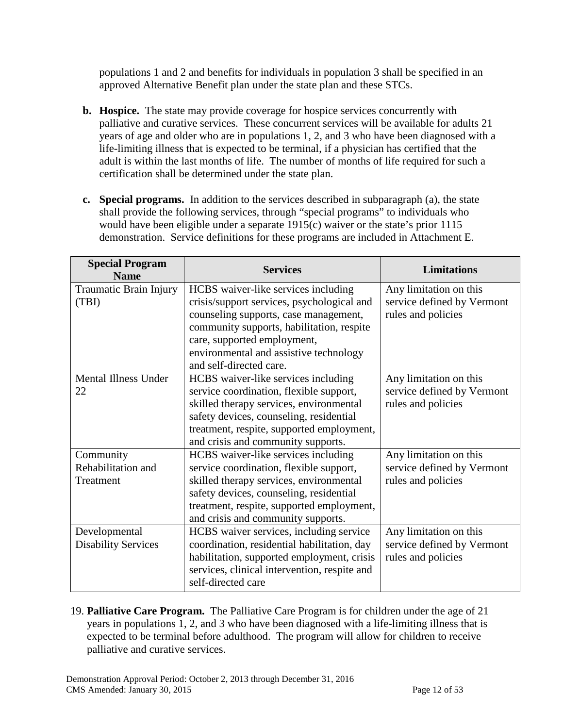populations 1 and 2 and benefits for individuals in population 3 shall be specified in an approved Alternative Benefit plan under the state plan and these STCs.

- **b. Hospice.** The state may provide coverage for hospice services concurrently with palliative and curative services. These concurrent services will be available for adults 21 years of age and older who are in populations 1, 2, and 3 who have been diagnosed with a life-limiting illness that is expected to be terminal, if a physician has certified that the adult is within the last months of life. The number of months of life required for such a certification shall be determined under the state plan.
- **c. Special programs.** In addition to the services described in subparagraph (a), the state shall provide the following services, through "special programs" to individuals who would have been eligible under a separate 1915(c) waiver or the state's prior 1115 demonstration. Service definitions for these programs are included in Attachment E.

| <b>Special Program</b><br><b>Name</b> | <b>Services</b>                                                                    | <b>Limitations</b>                               |
|---------------------------------------|------------------------------------------------------------------------------------|--------------------------------------------------|
| Traumatic Brain Injury                | HCBS waiver-like services including                                                | Any limitation on this                           |
| (TBI)                                 | crisis/support services, psychological and                                         | service defined by Vermont                       |
|                                       | counseling supports, case management,                                              | rules and policies                               |
|                                       | community supports, habilitation, respite                                          |                                                  |
|                                       | care, supported employment,<br>environmental and assistive technology              |                                                  |
|                                       | and self-directed care.                                                            |                                                  |
| <b>Mental Illness Under</b>           | HCBS waiver-like services including                                                | Any limitation on this                           |
| 22                                    | service coordination, flexible support,                                            | service defined by Vermont                       |
|                                       | skilled therapy services, environmental                                            | rules and policies                               |
|                                       | safety devices, counseling, residential                                            |                                                  |
|                                       | treatment, respite, supported employment,                                          |                                                  |
|                                       | and crisis and community supports.                                                 |                                                  |
| Community                             | HCBS waiver-like services including                                                | Any limitation on this                           |
| Rehabilitation and<br>Treatment       | service coordination, flexible support,<br>skilled therapy services, environmental | service defined by Vermont<br>rules and policies |
|                                       | safety devices, counseling, residential                                            |                                                  |
|                                       | treatment, respite, supported employment,                                          |                                                  |
|                                       | and crisis and community supports.                                                 |                                                  |
| Developmental                         | HCBS waiver services, including service                                            | Any limitation on this                           |
| <b>Disability Services</b>            | coordination, residential habilitation, day                                        | service defined by Vermont                       |
|                                       | habilitation, supported employment, crisis                                         | rules and policies                               |
|                                       | services, clinical intervention, respite and                                       |                                                  |
|                                       | self-directed care                                                                 |                                                  |

19. **Palliative Care Program.** The Palliative Care Program is for children under the age of 21 years in populations 1, 2, and 3 who have been diagnosed with a life-limiting illness that is expected to be terminal before adulthood. The program will allow for children to receive palliative and curative services.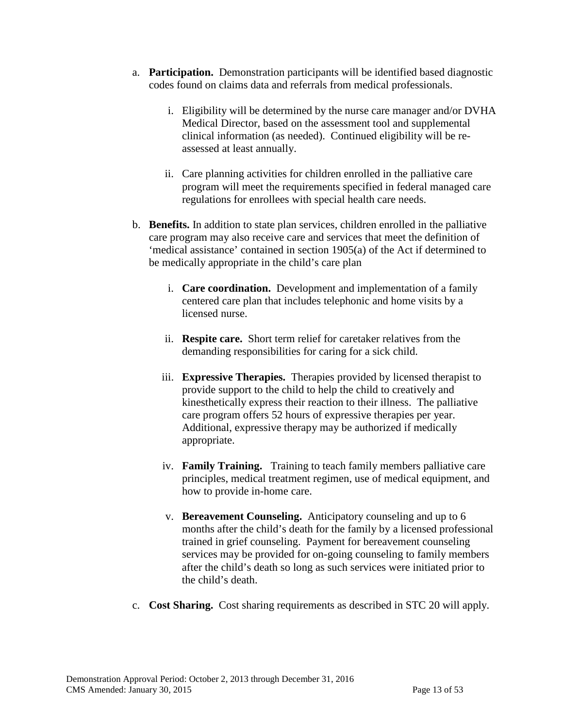- a. **Participation.** Demonstration participants will be identified based diagnostic codes found on claims data and referrals from medical professionals.
	- i. Eligibility will be determined by the nurse care manager and/or DVHA Medical Director, based on the assessment tool and supplemental clinical information (as needed). Continued eligibility will be reassessed at least annually.
	- ii. Care planning activities for children enrolled in the palliative care program will meet the requirements specified in federal managed care regulations for enrollees with special health care needs.
- b. **Benefits.** In addition to state plan services, children enrolled in the palliative care program may also receive care and services that meet the definition of 'medical assistance' contained in section 1905(a) of the Act if determined to be medically appropriate in the child's care plan
	- i. **Care coordination.** Development and implementation of a family centered care plan that includes telephonic and home visits by a licensed nurse.
	- ii. **Respite care.** Short term relief for caretaker relatives from the demanding responsibilities for caring for a sick child.
	- iii. **Expressive Therapies.** Therapies provided by licensed therapist to provide support to the child to help the child to creatively and kinesthetically express their reaction to their illness. The palliative care program offers 52 hours of expressive therapies per year. Additional, expressive therapy may be authorized if medically appropriate.
	- iv. **Family Training.** Training to teach family members palliative care principles, medical treatment regimen, use of medical equipment, and how to provide in-home care.
	- v. **Bereavement Counseling.** Anticipatory counseling and up to 6 months after the child's death for the family by a licensed professional trained in grief counseling. Payment for bereavement counseling services may be provided for on-going counseling to family members after the child's death so long as such services were initiated prior to the child's death.
- c. **Cost Sharing.** Cost sharing requirements as described in STC [20](#page-21-0) will apply.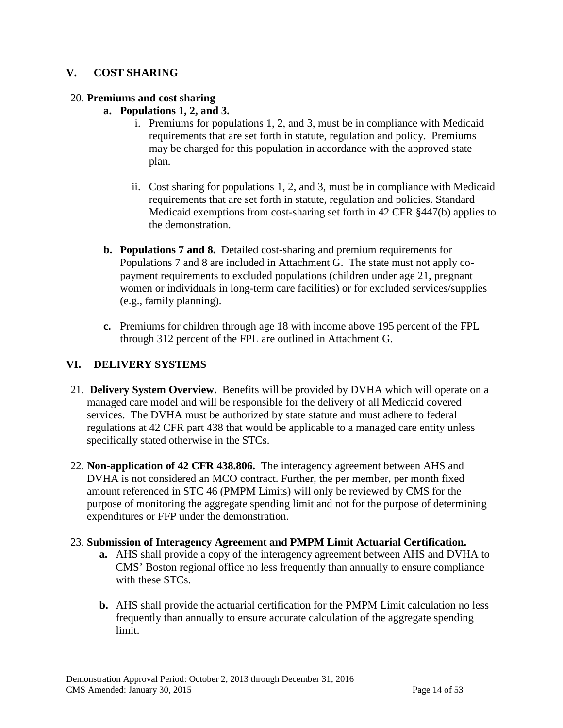#### **V. COST SHARING**

#### <span id="page-21-0"></span>20. **Premiums and cost sharing**

- **a. Populations 1, 2, and 3.**
	- i. Premiums for populations 1, 2, and 3, must be in compliance with Medicaid requirements that are set forth in statute, regulation and policy. Premiums may be charged for this population in accordance with the approved state plan.
	- ii. Cost sharing for populations 1, 2, and 3, must be in compliance with Medicaid requirements that are set forth in statute, regulation and policies. Standard Medicaid exemptions from cost-sharing set forth in 42 CFR §447(b) applies to the demonstration.
- **b. Populations 7 and 8.** Detailed cost-sharing and premium requirements for Populations 7 and 8 are included in Attachment G. The state must not apply copayment requirements to excluded populations (children under age 21, pregnant women or individuals in long-term care facilities) or for excluded services/supplies (e.g., family planning).
- **c.** Premiums for children through age 18 with income above 195 percent of the FPL through 312 percent of the FPL are outlined in Attachment G.

#### **VI. DELIVERY SYSTEMS**

- 21. **Delivery System Overview.** Benefits will be provided by DVHA which will operate on a managed care model and will be responsible for the delivery of all Medicaid covered services. The DVHA must be authorized by state statute and must adhere to federal regulations at 42 CFR part 438 that would be applicable to a managed care entity unless specifically stated otherwise in the STCs.
- 22. **Non-application of 42 CFR 438.806.** The interagency agreement between AHS and DVHA is not considered an MCO contract. Further, the per member, per month fixed amount referenced in STC 46 (PMPM Limits) will only be reviewed by CMS for the purpose of monitoring the aggregate spending limit and not for the purpose of determining expenditures or FFP under the demonstration.

#### 23. **Submission of Interagency Agreement and PMPM Limit Actuarial Certification.**

- **a.** AHS shall provide a copy of the interagency agreement between AHS and DVHA to CMS' Boston regional office no less frequently than annually to ensure compliance with these STCs.
- **b.** AHS shall provide the actuarial certification for the PMPM Limit calculation no less frequently than annually to ensure accurate calculation of the aggregate spending limit.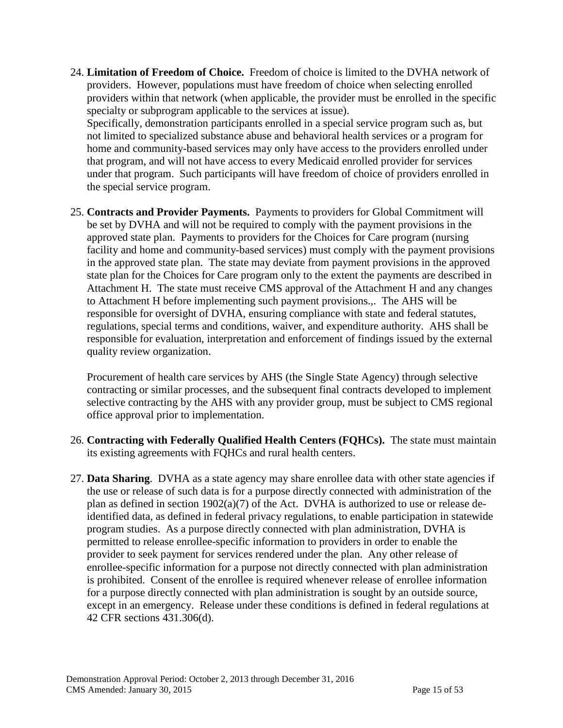24. **Limitation of Freedom of Choice.** Freedom of choice is limited to the DVHA network of providers. However, populations must have freedom of choice when selecting enrolled providers within that network (when applicable, the provider must be enrolled in the specific specialty or subprogram applicable to the services at issue).

Specifically, demonstration participants enrolled in a special service program such as, but not limited to specialized substance abuse and behavioral health services or a program for home and community-based services may only have access to the providers enrolled under that program, and will not have access to every Medicaid enrolled provider for services under that program. Such participants will have freedom of choice of providers enrolled in the special service program.

25. **Contracts and Provider Payments.** Payments to providers for Global Commitment will be set by DVHA and will not be required to comply with the payment provisions in the approved state plan. Payments to providers for the Choices for Care program (nursing facility and home and community-based services) must comply with the payment provisions in the approved state plan. The state may deviate from payment provisions in the approved state plan for the Choices for Care program only to the extent the payments are described in Attachment H. The state must receive CMS approval of the Attachment H and any changes to Attachment H before implementing such payment provisions.,. The AHS will be responsible for oversight of DVHA, ensuring compliance with state and federal statutes, regulations, special terms and conditions, waiver, and expenditure authority. AHS shall be responsible for evaluation, interpretation and enforcement of findings issued by the external quality review organization.

Procurement of health care services by AHS (the Single State Agency) through selective contracting or similar processes, and the subsequent final contracts developed to implement selective contracting by the AHS with any provider group, must be subject to CMS regional office approval prior to implementation.

- 26. **Contracting with Federally Qualified Health Centers (FQHCs).** The state must maintain its existing agreements with FQHCs and rural health centers.
- 27. **Data Sharing**. DVHA as a state agency may share enrollee data with other state agencies if the use or release of such data is for a purpose directly connected with administration of the plan as defined in section 1902(a)(7) of the Act. DVHA is authorized to use or release deidentified data, as defined in federal privacy regulations, to enable participation in statewide program studies. As a purpose directly connected with plan administration, DVHA is permitted to release enrollee-specific information to providers in order to enable the provider to seek payment for services rendered under the plan. Any other release of enrollee-specific information for a purpose not directly connected with plan administration is prohibited. Consent of the enrollee is required whenever release of enrollee information for a purpose directly connected with plan administration is sought by an outside source, except in an emergency. Release under these conditions is defined in federal regulations at 42 CFR sections 431.306(d).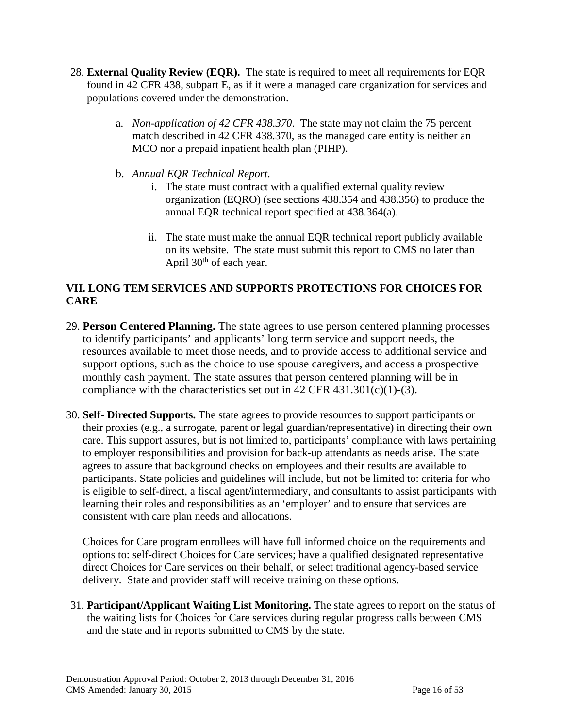- 28. **External Quality Review (EQR).** The state is required to meet all requirements for EQR found in 42 CFR 438, subpart E, as if it were a managed care organization for services and populations covered under the demonstration.
	- a. *Non-application of 42 CFR 438.370*. The state may not claim the 75 percent match described in 42 CFR 438.370, as the managed care entity is neither an MCO nor a prepaid inpatient health plan (PIHP).
	- b. *Annual EQR Technical Report*.
		- i. The state must contract with a qualified external quality review organization (EQRO) (see sections 438.354 and 438.356) to produce the annual EQR technical report specified at 438.364(a).
		- ii. The state must make the annual EQR technical report publicly available on its website. The state must submit this report to CMS no later than April  $30<sup>th</sup>$  of each year.

### **VII. LONG TEM SERVICES AND SUPPORTS PROTECTIONS FOR CHOICES FOR CARE**

- 29. **Person Centered Planning.** The state agrees to use person centered planning processes to identify participants' and applicants' long term service and support needs, the resources available to meet those needs, and to provide access to additional service and support options, such as the choice to use spouse caregivers, and access a prospective monthly cash payment. The state assures that person centered planning will be in compliance with the characteristics set out in  $42$  CFR  $431.301(c)(1)-(3)$ .
- 30. **Self- Directed Supports.** The state agrees to provide resources to support participants or their proxies (e.g., a surrogate, parent or legal guardian/representative) in directing their own care. This support assures, but is not limited to, participants' compliance with laws pertaining to employer responsibilities and provision for back-up attendants as needs arise. The state agrees to assure that background checks on employees and their results are available to participants. State policies and guidelines will include, but not be limited to: criteria for who is eligible to self-direct, a fiscal agent/intermediary, and consultants to assist participants with learning their roles and responsibilities as an 'employer' and to ensure that services are consistent with care plan needs and allocations.

Choices for Care program enrollees will have full informed choice on the requirements and options to: self-direct Choices for Care services; have a qualified designated representative direct Choices for Care services on their behalf, or select traditional agency-based service delivery. State and provider staff will receive training on these options.

31. **Participant/Applicant Waiting List Monitoring.** The state agrees to report on the status of the waiting lists for Choices for Care services during regular progress calls between CMS and the state and in reports submitted to CMS by the state.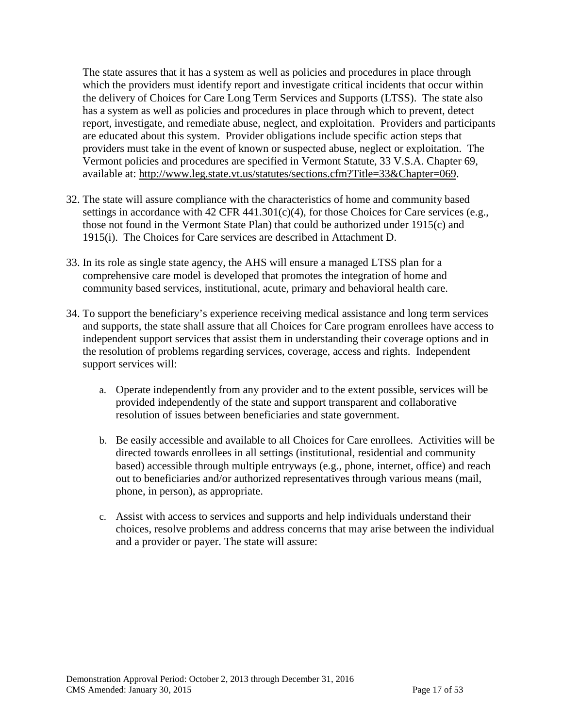The state assures that it has a system as well as policies and procedures in place through which the providers must identify report and investigate critical incidents that occur within the delivery of Choices for Care Long Term Services and Supports (LTSS). The state also has a system as well as policies and procedures in place through which to prevent, detect report, investigate, and remediate abuse, neglect, and exploitation. Providers and participants are educated about this system. Provider obligations include specific action steps that providers must take in the event of known or suspected abuse, neglect or exploitation. The Vermont policies and procedures are specified in Vermont Statute, 33 V.S.A. Chapter 69, available at: [http://www.leg.state.vt.us/statutes/sections.cfm?Title=33&Chapter=069.](http://www.leg.state.vt.us/statutes/sections.cfm?Title=33&Chapter=069)

- 32. The state will assure compliance with the characteristics of home and community based settings in accordance with 42 CFR 441.301(c)(4), for those Choices for Care services (e.g., those not found in the Vermont State Plan) that could be authorized under 1915(c) and 1915(i). The Choices for Care services are described in Attachment D.
- 33. In its role as single state agency, the AHS will ensure a managed LTSS plan for a comprehensive care model is developed that promotes the integration of home and community based services, institutional, acute, primary and behavioral health care.
- 34. To support the beneficiary's experience receiving medical assistance and long term services and supports, the state shall assure that all Choices for Care program enrollees have access to independent support services that assist them in understanding their coverage options and in the resolution of problems regarding services, coverage, access and rights. Independent support services will:
	- a. Operate independently from any provider and to the extent possible, services will be provided independently of the state and support transparent and collaborative resolution of issues between beneficiaries and state government.
	- b. Be easily accessible and available to all Choices for Care enrollees. Activities will be directed towards enrollees in all settings (institutional, residential and community based) accessible through multiple entryways (e.g., phone, internet, office) and reach out to beneficiaries and/or authorized representatives through various means (mail, phone, in person), as appropriate.
	- c. Assist with access to services and supports and help individuals understand their choices, resolve problems and address concerns that may arise between the individual and a provider or payer. The state will assure: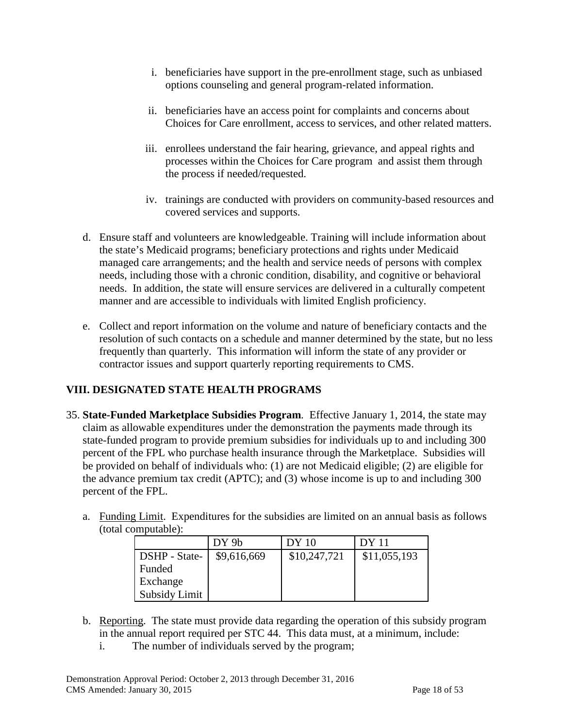- i. beneficiaries have support in the pre-enrollment stage, such as unbiased options counseling and general program-related information.
- ii. beneficiaries have an access point for complaints and concerns about Choices for Care enrollment, access to services, and other related matters.
- iii. enrollees understand the fair hearing, grievance, and appeal rights and processes within the Choices for Care program and assist them through the process if needed/requested.
- iv. trainings are conducted with providers on community-based resources and covered services and supports.
- d. Ensure staff and volunteers are knowledgeable. Training will include information about the state's Medicaid programs; beneficiary protections and rights under Medicaid managed care arrangements; and the health and service needs of persons with complex needs, including those with a chronic condition, disability, and cognitive or behavioral needs. In addition, the state will ensure services are delivered in a culturally competent manner and are accessible to individuals with limited English proficiency.
- e. Collect and report information on the volume and nature of beneficiary contacts and the resolution of such contacts on a schedule and manner determined by the state, but no less frequently than quarterly. This information will inform the state of any provider or contractor issues and support quarterly reporting requirements to CMS.

## **VIII. DESIGNATED STATE HEALTH PROGRAMS**

- 35. **State-Funded Marketplace Subsidies Program**. Effective January 1, 2014, the state may claim as allowable expenditures under the demonstration the payments made through its state-funded program to provide premium subsidies for individuals up to and including 300 percent of the FPL who purchase health insurance through the Marketplace. Subsidies will be provided on behalf of individuals who: (1) are not Medicaid eligible; (2) are eligible for the advance premium tax credit (APTC); and (3) whose income is up to and including 300 percent of the FPL.
	- a. Funding Limit. Expenditures for the subsidies are limited on an annual basis as follows (total computable):

|               | DY 9b       | DY 10        | DY 11        |
|---------------|-------------|--------------|--------------|
| DSHP - State- | \$9,616,669 | \$10,247,721 | \$11,055,193 |
| Funded        |             |              |              |
| Exchange      |             |              |              |
| Subsidy Limit |             |              |              |

- b. Reporting. The state must provide data regarding the operation of this subsidy program in the annual report required per STC 44. This data must, at a minimum, include:
	- i. The number of individuals served by the program;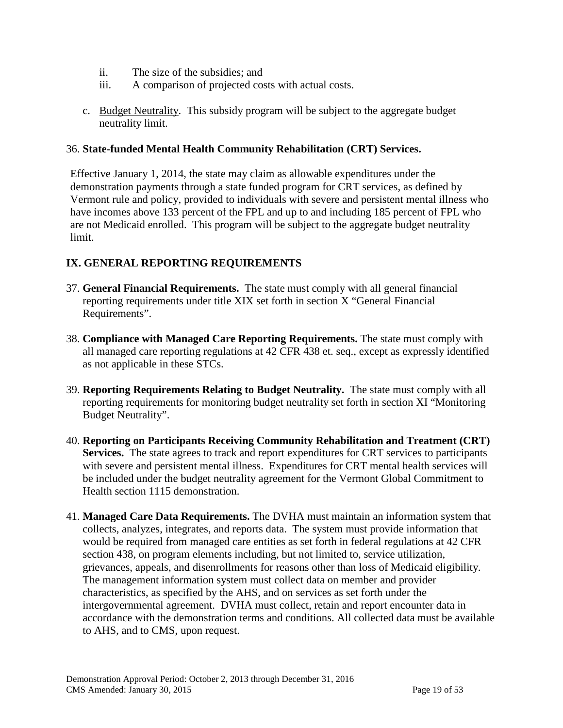- ii. The size of the subsidies; and
- iii. A comparison of projected costs with actual costs.
- c. Budget Neutrality. This subsidy program will be subject to the aggregate budget neutrality limit.

#### 36. **State-funded Mental Health Community Rehabilitation (CRT) Services.**

Effective January 1, 2014, the state may claim as allowable expenditures under the demonstration payments through a state funded program for CRT services, as defined by Vermont rule and policy, provided to individuals with severe and persistent mental illness who have incomes above 133 percent of the FPL and up to and including 185 percent of FPL who are not Medicaid enrolled. This program will be subject to the aggregate budget neutrality limit.

#### **IX. GENERAL REPORTING REQUIREMENTS**

- 37. **General Financial Requirements.** The state must comply with all general financial reporting requirements under title XIX set forth in section X "General Financial Requirements".
- 38. **Compliance with Managed Care Reporting Requirements.** The state must comply with all managed care reporting regulations at 42 CFR 438 et. seq., except as expressly identified as not applicable in these STCs.
- 39. **Reporting Requirements Relating to Budget Neutrality.** The state must comply with all reporting requirements for monitoring budget neutrality set forth in section XI "Monitoring Budget Neutrality".
- 40. **Reporting on Participants Receiving Community Rehabilitation and Treatment (CRT) Services.** The state agrees to track and report expenditures for CRT services to participants with severe and persistent mental illness. Expenditures for CRT mental health services will be included under the budget neutrality agreement for the Vermont Global Commitment to Health section 1115 demonstration.
- 41. **Managed Care Data Requirements.** The DVHA must maintain an information system that collects, analyzes, integrates, and reports data. The system must provide information that would be required from managed care entities as set forth in federal regulations at 42 CFR section 438, on program elements including, but not limited to, service utilization, grievances, appeals, and disenrollments for reasons other than loss of Medicaid eligibility. The management information system must collect data on member and provider characteristics, as specified by the AHS, and on services as set forth under the intergovernmental agreement. DVHA must collect, retain and report encounter data in accordance with the demonstration terms and conditions. All collected data must be available to AHS, and to CMS, upon request.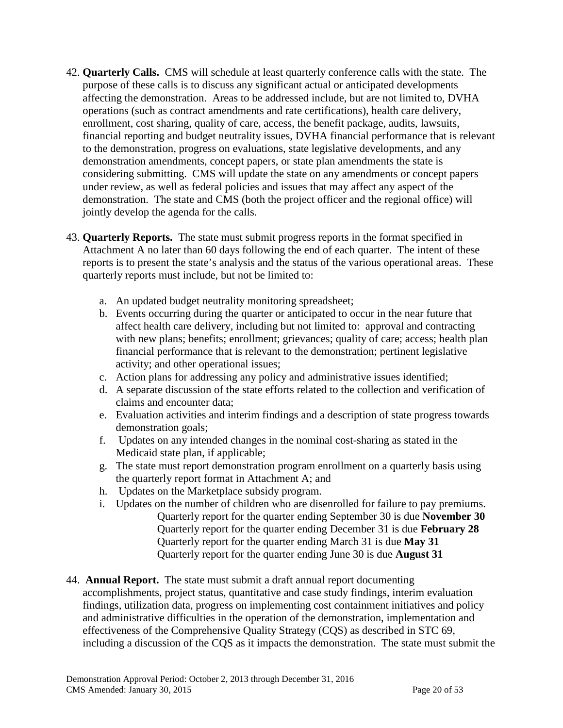- 42. **Quarterly Calls.** CMS will schedule at least quarterly conference calls with the state. The purpose of these calls is to discuss any significant actual or anticipated developments affecting the demonstration. Areas to be addressed include, but are not limited to, DVHA operations (such as contract amendments and rate certifications), health care delivery, enrollment, cost sharing, quality of care, access, the benefit package, audits, lawsuits, financial reporting and budget neutrality issues, DVHA financial performance that is relevant to the demonstration, progress on evaluations, state legislative developments, and any demonstration amendments, concept papers, or state plan amendments the state is considering submitting. CMS will update the state on any amendments or concept papers under review, as well as federal policies and issues that may affect any aspect of the demonstration. The state and CMS (both the project officer and the regional office) will jointly develop the agenda for the calls.
- 43. **Quarterly Reports.** The state must submit progress reports in the format specified in Attachment A no later than 60 days following the end of each quarter. The intent of these reports is to present the state's analysis and the status of the various operational areas. These quarterly reports must include, but not be limited to:
	- a. An updated budget neutrality monitoring spreadsheet;
	- b. Events occurring during the quarter or anticipated to occur in the near future that affect health care delivery, including but not limited to: approval and contracting with new plans; benefits; enrollment; grievances; quality of care; access; health plan financial performance that is relevant to the demonstration; pertinent legislative activity; and other operational issues;
	- c. Action plans for addressing any policy and administrative issues identified;
	- d. A separate discussion of the state efforts related to the collection and verification of claims and encounter data;
	- e. Evaluation activities and interim findings and a description of state progress towards demonstration goals;
	- f. Updates on any intended changes in the nominal cost-sharing as stated in the Medicaid state plan, if applicable;
	- g. The state must report demonstration program enrollment on a quarterly basis using the quarterly report format in Attachment A; and
	- h. Updates on the Marketplace subsidy program.
	- i. Updates on the number of children who are disenrolled for failure to pay premiums. Quarterly report for the quarter ending September 30 is due **November 30**  Quarterly report for the quarter ending December 31 is due **February 28**  Quarterly report for the quarter ending March 31 is due **May 31**  Quarterly report for the quarter ending June 30 is due **August 31**
- 44. **Annual Report.** The state must submit a draft annual report documenting accomplishments, project status, quantitative and case study findings, interim evaluation findings, utilization data, progress on implementing cost containment initiatives and policy and administrative difficulties in the operation of the demonstration, implementation and effectiveness of the Comprehensive Quality Strategy (CQS) as described in STC 69, including a discussion of the CQS as it impacts the demonstration. The state must submit the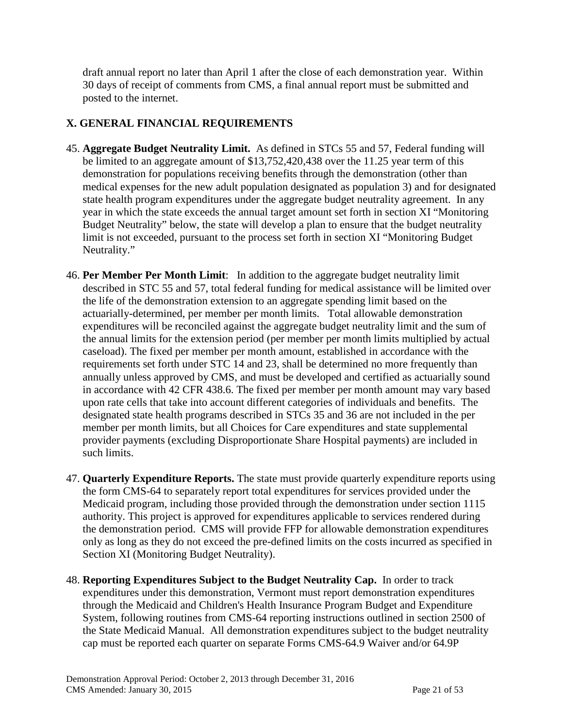draft annual report no later than April 1 after the close of each demonstration year. Within 30 days of receipt of comments from CMS, a final annual report must be submitted and posted to the internet.

### **X. GENERAL FINANCIAL REQUIREMENTS**

- 45. **Aggregate Budget Neutrality Limit.** As defined in STCs 55 and 57, Federal funding will be limited to an aggregate amount of \$13,752,420,438 over the 11.25 year term of this demonstration for populations receiving benefits through the demonstration (other than medical expenses for the new adult population designated as population 3) and for designated state health program expenditures under the aggregate budget neutrality agreement. In any year in which the state exceeds the annual target amount set forth in section XI "Monitoring Budget Neutrality" below, the state will develop a plan to ensure that the budget neutrality limit is not exceeded, pursuant to the process set forth in section XI "Monitoring Budget Neutrality."
- 46. **Per Member Per Month Limit**: In addition to the aggregate budget neutrality limit described in STC 55 and 57, total federal funding for medical assistance will be limited over the life of the demonstration extension to an aggregate spending limit based on the actuarially-determined, per member per month limits. Total allowable demonstration expenditures will be reconciled against the aggregate budget neutrality limit and the sum of the annual limits for the extension period (per member per month limits multiplied by actual caseload). The fixed per member per month amount, established in accordance with the requirements set forth under STC [14](#page-14-0) and 23, shall be determined no more frequently than annually unless approved by CMS, and must be developed and certified as actuarially sound in accordance with 42 CFR 438.6. The fixed per member per month amount may vary based upon rate cells that take into account different categories of individuals and benefits. The designated state health programs described in STCs 35 and 36 are not included in the per member per month limits, but all Choices for Care expenditures and state supplemental provider payments (excluding Disproportionate Share Hospital payments) are included in such limits.
- 47. **Quarterly Expenditure Reports.** The state must provide quarterly expenditure reports using the form CMS-64 to separately report total expenditures for services provided under the Medicaid program, including those provided through the demonstration under section 1115 authority. This project is approved for expenditures applicable to services rendered during the demonstration period. CMS will provide FFP for allowable demonstration expenditures only as long as they do not exceed the pre-defined limits on the costs incurred as specified in Section XI (Monitoring Budget Neutrality).
- 48. **Reporting Expenditures Subject to the Budget Neutrality Cap.** In order to track expenditures under this demonstration, Vermont must report demonstration expenditures through the Medicaid and Children's Health Insurance Program Budget and Expenditure System, following routines from CMS-64 reporting instructions outlined in section 2500 of the State Medicaid Manual. All demonstration expenditures subject to the budget neutrality cap must be reported each quarter on separate Forms CMS-64.9 Waiver and/or 64.9P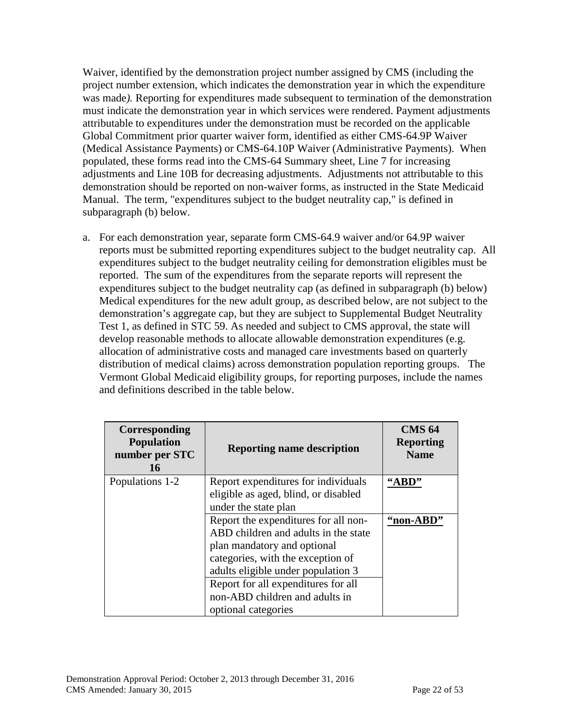Waiver, identified by the demonstration project number assigned by CMS (including the project number extension, which indicates the demonstration year in which the expenditure was made*).* Reporting for expenditures made subsequent to termination of the demonstration must indicate the demonstration year in which services were rendered. Payment adjustments attributable to expenditures under the demonstration must be recorded on the applicable Global Commitment prior quarter waiver form, identified as either CMS-64.9P Waiver (Medical Assistance Payments) or CMS-64.10P Waiver (Administrative Payments). When populated, these forms read into the CMS-64 Summary sheet, Line 7 for increasing adjustments and Line 10B for decreasing adjustments. Adjustments not attributable to this demonstration should be reported on non-waiver forms, as instructed in the State Medicaid Manual. The term, "expenditures subject to the budget neutrality cap," is defined in subparagraph (b) below.

a. For each demonstration year, separate form CMS-64.9 waiver and/or 64.9P waiver reports must be submitted reporting expenditures subject to the budget neutrality cap. All expenditures subject to the budget neutrality ceiling for demonstration eligibles must be reported. The sum of the expenditures from the separate reports will represent the expenditures subject to the budget neutrality cap (as defined in subparagraph (b) below) Medical expenditures for the new adult group, as described below, are not subject to the demonstration's aggregate cap, but they are subject to Supplemental Budget Neutrality Test 1, as defined in STC 59. As needed and subject to CMS approval, the state will develop reasonable methods to allocate allowable demonstration expenditures (e.g. allocation of administrative costs and managed care investments based on quarterly distribution of medical claims) across demonstration population reporting groups. The Vermont Global Medicaid eligibility groups, for reporting purposes, include the names and definitions described in the table below.

| Corresponding<br><b>Population</b><br>number per STC<br>16 | <b>Reporting name description</b>                                           | <b>CMS 64</b><br><b>Reporting</b><br><b>Name</b> |
|------------------------------------------------------------|-----------------------------------------------------------------------------|--------------------------------------------------|
| Populations 1-2                                            | Report expenditures for individuals<br>eligible as aged, blind, or disabled | "ABD"                                            |
|                                                            | under the state plan                                                        |                                                  |
|                                                            | Report the expenditures for all non-                                        | "non-ABD                                         |
|                                                            | ABD children and adults in the state                                        |                                                  |
|                                                            | plan mandatory and optional                                                 |                                                  |
|                                                            | categories, with the exception of                                           |                                                  |
|                                                            | adults eligible under population 3                                          |                                                  |
|                                                            | Report for all expenditures for all                                         |                                                  |
|                                                            | non-ABD children and adults in                                              |                                                  |
|                                                            | optional categories                                                         |                                                  |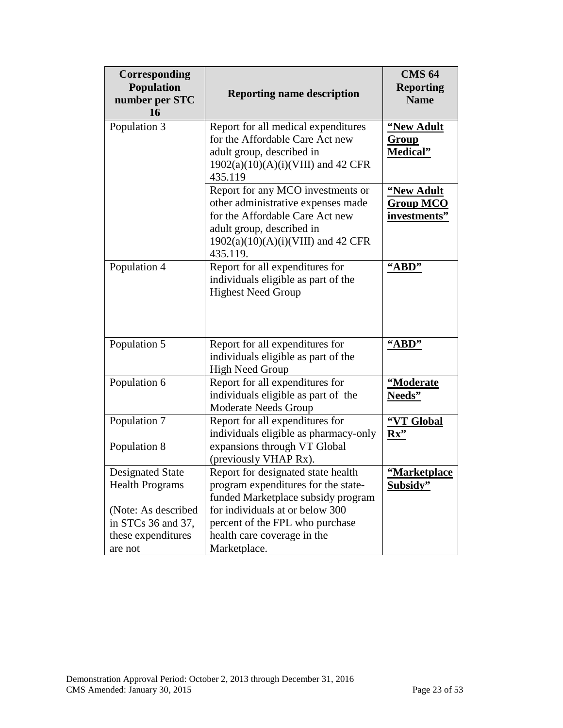| Corresponding<br>Population<br>number per STC<br>16                                                                             | <b>Reporting name description</b>                                                                                                                                                                                                    | <b>CMS 64</b><br><b>Reporting</b><br><b>Name</b>      |
|---------------------------------------------------------------------------------------------------------------------------------|--------------------------------------------------------------------------------------------------------------------------------------------------------------------------------------------------------------------------------------|-------------------------------------------------------|
| Population 3                                                                                                                    | Report for all medical expenditures<br>for the Affordable Care Act new<br>adult group, described in<br>$1902(a)(10)(A)(i)(VIII)$ and 42 CFR<br>435.119                                                                               | "New Adult<br><u>Group</u><br><b>Medical</b> "        |
|                                                                                                                                 | Report for any MCO investments or<br>other administrative expenses made<br>for the Affordable Care Act new<br>adult group, described in<br>$1902(a)(10)(A)(i)(VIII)$ and 42 CFR<br>435.119.                                          | <u>"New Adult</u><br><b>Group MCO</b><br>investments" |
| Population 4                                                                                                                    | Report for all expenditures for<br>individuals eligible as part of the<br><b>Highest Need Group</b>                                                                                                                                  | "ABD"                                                 |
| Population 5                                                                                                                    | Report for all expenditures for<br>individuals eligible as part of the<br><b>High Need Group</b>                                                                                                                                     | "ABD"                                                 |
| Population 6                                                                                                                    | Report for all expenditures for<br>individuals eligible as part of the<br>Moderate Needs Group                                                                                                                                       | "Moderate<br>Needs"                                   |
| Population 7<br>Population 8                                                                                                    | Report for all expenditures for<br>individuals eligible as pharmacy-only<br>expansions through VT Global<br>(previously VHAP Rx).                                                                                                    | "VT Global<br>$Rx$ "                                  |
| <b>Designated State</b><br><b>Health Programs</b><br>(Note: As described<br>in STCs 36 and 37,<br>these expenditures<br>are not | Report for designated state health<br>program expenditures for the state-<br>funded Marketplace subsidy program<br>for individuals at or below 300<br>percent of the FPL who purchase<br>health care coverage in the<br>Marketplace. | "Marketplace<br>Subsidy"                              |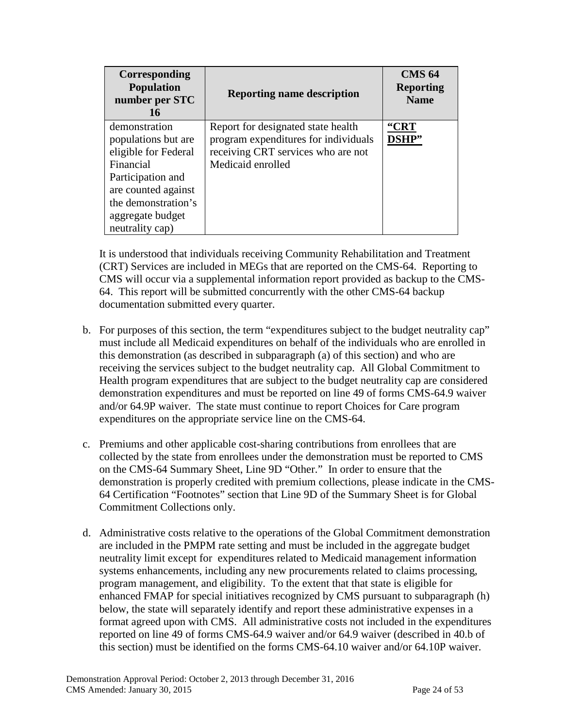| Corresponding<br><b>Population</b><br>number per STC<br>16                                     | <b>Reporting name description</b>                                                                                                     | <b>CMS 64</b><br><b>Reporting</b><br><b>Name</b> |
|------------------------------------------------------------------------------------------------|---------------------------------------------------------------------------------------------------------------------------------------|--------------------------------------------------|
| demonstration<br>populations but are<br>eligible for Federal<br>Financial<br>Participation and | Report for designated state health<br>program expenditures for individuals<br>receiving CRT services who are not<br>Medicaid enrolled | "CRT<br>DSHP"                                    |
| are counted against<br>the demonstration's<br>aggregate budget<br>neutrality cap)              |                                                                                                                                       |                                                  |

It is understood that individuals receiving Community Rehabilitation and Treatment (CRT) Services are included in MEGs that are reported on the CMS-64. Reporting to CMS will occur via a supplemental information report provided as backup to the CMS-64. This report will be submitted concurrently with the other CMS-64 backup documentation submitted every quarter.

- b. For purposes of this section, the term "expenditures subject to the budget neutrality cap" must include all Medicaid expenditures on behalf of the individuals who are enrolled in this demonstration (as described in subparagraph (a) of this section) and who are receiving the services subject to the budget neutrality cap. All Global Commitment to Health program expenditures that are subject to the budget neutrality cap are considered demonstration expenditures and must be reported on line 49 of forms CMS-64.9 waiver and/or 64.9P waiver. The state must continue to report Choices for Care program expenditures on the appropriate service line on the CMS-64.
- c. Premiums and other applicable cost-sharing contributions from enrollees that are collected by the state from enrollees under the demonstration must be reported to CMS on the CMS-64 Summary Sheet, Line 9D "Other." In order to ensure that the demonstration is properly credited with premium collections, please indicate in the CMS-64 Certification "Footnotes" section that Line 9D of the Summary Sheet is for Global Commitment Collections only.
- d. Administrative costs relative to the operations of the Global Commitment demonstration are included in the PMPM rate setting and must be included in the aggregate budget neutrality limit except for expenditures related to Medicaid management information systems enhancements, including any new procurements related to claims processing, program management, and eligibility. To the extent that that state is eligible for enhanced FMAP for special initiatives recognized by CMS pursuant to subparagraph (h) below, the state will separately identify and report these administrative expenses in a format agreed upon with CMS. All administrative costs not included in the expenditures reported on line 49 of forms CMS-64.9 waiver and/or 64.9 waiver (described in 40.b of this section) must be identified on the forms CMS-64.10 waiver and/or 64.10P waiver.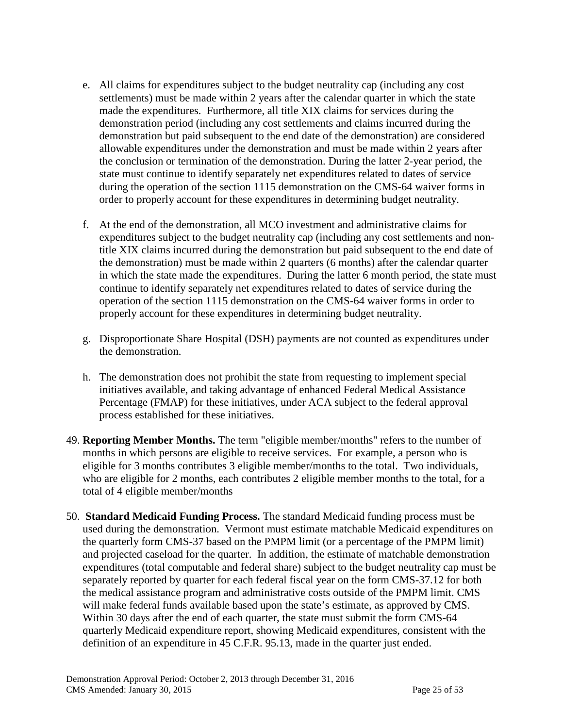- e. All claims for expenditures subject to the budget neutrality cap (including any cost settlements) must be made within 2 years after the calendar quarter in which the state made the expenditures. Furthermore, all title XIX claims for services during the demonstration period (including any cost settlements and claims incurred during the demonstration but paid subsequent to the end date of the demonstration) are considered allowable expenditures under the demonstration and must be made within 2 years after the conclusion or termination of the demonstration. During the latter 2-year period, the state must continue to identify separately net expenditures related to dates of service during the operation of the section 1115 demonstration on the CMS-64 waiver forms in order to properly account for these expenditures in determining budget neutrality.
- f. At the end of the demonstration, all MCO investment and administrative claims for expenditures subject to the budget neutrality cap (including any cost settlements and nontitle XIX claims incurred during the demonstration but paid subsequent to the end date of the demonstration) must be made within 2 quarters (6 months) after the calendar quarter in which the state made the expenditures. During the latter 6 month period, the state must continue to identify separately net expenditures related to dates of service during the operation of the section 1115 demonstration on the CMS-64 waiver forms in order to properly account for these expenditures in determining budget neutrality.
- g. Disproportionate Share Hospital (DSH) payments are not counted as expenditures under the demonstration.
- h. The demonstration does not prohibit the state from requesting to implement special initiatives available, and taking advantage of enhanced Federal Medical Assistance Percentage (FMAP) for these initiatives, under ACA subject to the federal approval process established for these initiatives.
- 49. **Reporting Member Months.** The term "eligible member/months" refers to the number of months in which persons are eligible to receive services. For example, a person who is eligible for 3 months contributes 3 eligible member/months to the total. Two individuals, who are eligible for 2 months, each contributes 2 eligible member months to the total, for a total of 4 eligible member/months
- 50. **Standard Medicaid Funding Process.** The standard Medicaid funding process must be used during the demonstration. Vermont must estimate matchable Medicaid expenditures on the quarterly form CMS-37 based on the PMPM limit (or a percentage of the PMPM limit) and projected caseload for the quarter. In addition, the estimate of matchable demonstration expenditures (total computable and federal share) subject to the budget neutrality cap must be separately reported by quarter for each federal fiscal year on the form CMS-37.12 for both the medical assistance program and administrative costs outside of the PMPM limit. CMS will make federal funds available based upon the state's estimate, as approved by CMS. Within 30 days after the end of each quarter, the state must submit the form CMS-64 quarterly Medicaid expenditure report, showing Medicaid expenditures, consistent with the definition of an expenditure in 45 C.F.R. 95.13, made in the quarter just ended.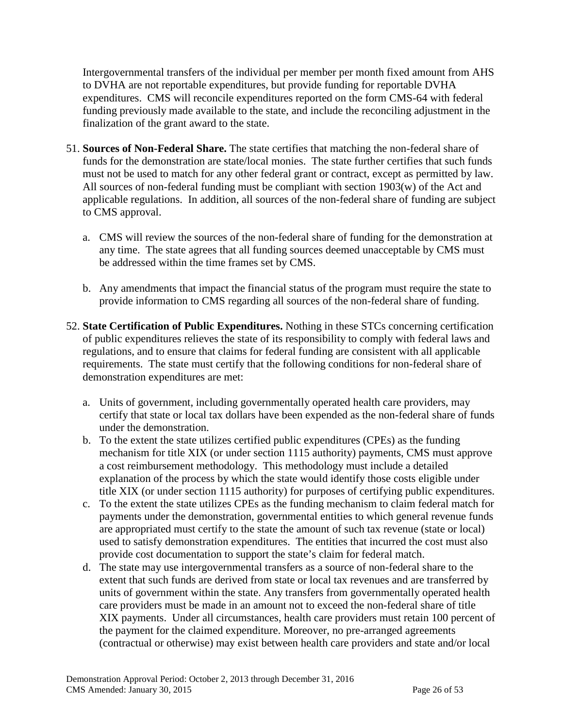Intergovernmental transfers of the individual per member per month fixed amount from AHS to DVHA are not reportable expenditures, but provide funding for reportable DVHA expenditures. CMS will reconcile expenditures reported on the form CMS-64 with federal funding previously made available to the state, and include the reconciling adjustment in the finalization of the grant award to the state.

- 51. **Sources of Non-Federal Share.** The state certifies that matching the non-federal share of funds for the demonstration are state/local monies. The state further certifies that such funds must not be used to match for any other federal grant or contract, except as permitted by law. All sources of non-federal funding must be compliant with section 1903(w) of the Act and applicable regulations. In addition, all sources of the non-federal share of funding are subject to CMS approval.
	- a. CMS will review the sources of the non-federal share of funding for the demonstration at any time. The state agrees that all funding sources deemed unacceptable by CMS must be addressed within the time frames set by CMS.
	- b. Any amendments that impact the financial status of the program must require the state to provide information to CMS regarding all sources of the non-federal share of funding.
- 52. **State Certification of Public Expenditures.** Nothing in these STCs concerning certification of public expenditures relieves the state of its responsibility to comply with federal laws and regulations, and to ensure that claims for federal funding are consistent with all applicable requirements. The state must certify that the following conditions for non-federal share of demonstration expenditures are met:
	- a. Units of government, including governmentally operated health care providers, may certify that state or local tax dollars have been expended as the non-federal share of funds under the demonstration.
	- b. To the extent the state utilizes certified public expenditures (CPEs) as the funding mechanism for title XIX (or under section 1115 authority) payments, CMS must approve a cost reimbursement methodology. This methodology must include a detailed explanation of the process by which the state would identify those costs eligible under title XIX (or under section 1115 authority) for purposes of certifying public expenditures.
	- c. To the extent the state utilizes CPEs as the funding mechanism to claim federal match for payments under the demonstration, governmental entities to which general revenue funds are appropriated must certify to the state the amount of such tax revenue (state or local) used to satisfy demonstration expenditures. The entities that incurred the cost must also provide cost documentation to support the state's claim for federal match.
	- d. The state may use intergovernmental transfers as a source of non-federal share to the extent that such funds are derived from state or local tax revenues and are transferred by units of government within the state. Any transfers from governmentally operated health care providers must be made in an amount not to exceed the non-federal share of title XIX payments. Under all circumstances, health care providers must retain 100 percent of the payment for the claimed expenditure. Moreover, no pre-arranged agreements (contractual or otherwise) may exist between health care providers and state and/or local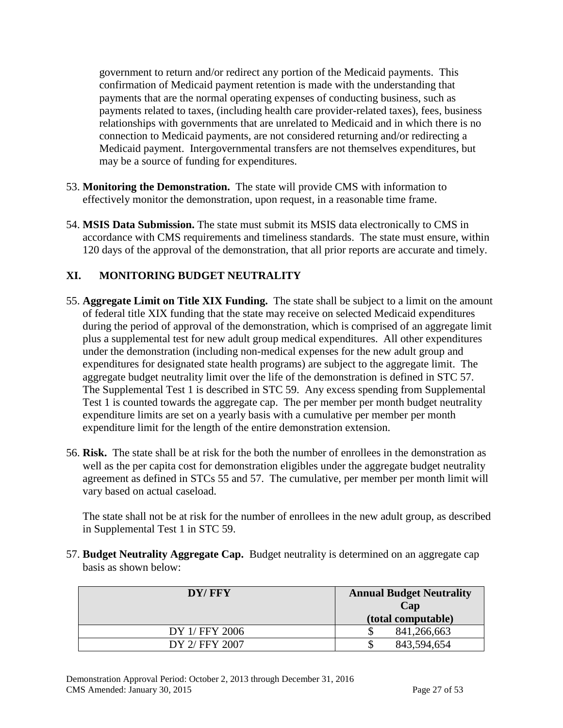government to return and/or redirect any portion of the Medicaid payments. This confirmation of Medicaid payment retention is made with the understanding that payments that are the normal operating expenses of conducting business, such as payments related to taxes, (including health care provider-related taxes), fees, business relationships with governments that are unrelated to Medicaid and in which there is no connection to Medicaid payments, are not considered returning and/or redirecting a Medicaid payment. Intergovernmental transfers are not themselves expenditures, but may be a source of funding for expenditures.

- 53. **Monitoring the Demonstration.** The state will provide CMS with information to effectively monitor the demonstration, upon request, in a reasonable time frame.
- 54. **MSIS Data Submission.** The state must submit its MSIS data electronically to CMS in accordance with CMS requirements and timeliness standards. The state must ensure, within 120 days of the approval of the demonstration, that all prior reports are accurate and timely.

### **XI. MONITORING BUDGET NEUTRALITY**

- 55. **Aggregate Limit on Title XIX Funding.** The state shall be subject to a limit on the amount of federal title XIX funding that the state may receive on selected Medicaid expenditures during the period of approval of the demonstration, which is comprised of an aggregate limit plus a supplemental test for new adult group medical expenditures. All other expenditures under the demonstration (including non-medical expenses for the new adult group and expenditures for designated state health programs) are subject to the aggregate limit. The aggregate budget neutrality limit over the life of the demonstration is defined in STC 57. The Supplemental Test 1 is described in STC 59. Any excess spending from Supplemental Test 1 is counted towards the aggregate cap. The per member per month budget neutrality expenditure limits are set on a yearly basis with a cumulative per member per month expenditure limit for the length of the entire demonstration extension.
- 56. **Risk.** The state shall be at risk for the both the number of enrollees in the demonstration as well as the per capita cost for demonstration eligibles under the aggregate budget neutrality agreement as defined in STCs 55 and 57. The cumulative, per member per month limit will vary based on actual caseload.

The state shall not be at risk for the number of enrollees in the new adult group, as described in Supplemental Test 1 in STC 59.

57. **Budget Neutrality Aggregate Cap.** Budget neutrality is determined on an aggregate cap basis as shown below:

| DY/FFY         | <b>Annual Budget Neutrality</b><br>Cap<br>(total computable) |
|----------------|--------------------------------------------------------------|
| DY 1/ FFY 2006 | 841,266,663                                                  |
| DY 2/ FFY 2007 | 843,594,654                                                  |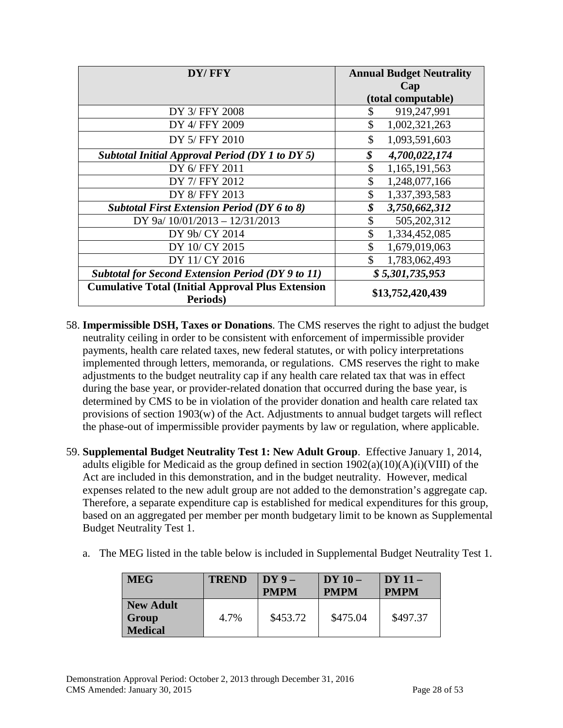| DY/FFY                                                               | <b>Annual Budget Neutrality</b> |
|----------------------------------------------------------------------|---------------------------------|
|                                                                      | Cap                             |
|                                                                      | (total computable)              |
| DY 3/ FFY 2008                                                       | \$<br>919,247,991               |
| DY 4/ FFY 2009                                                       | \$<br>1,002,321,263             |
| DY 5/ FFY 2010                                                       | \$<br>1,093,591,603             |
| <b>Subtotal Initial Approval Period (DY 1 to DY 5)</b>               | \$<br>4,700,022,174             |
| DY 6/ FFY 2011                                                       | \$<br>1,165,191,563             |
| DY 7/ FFY 2012                                                       | \$<br>1,248,077,166             |
| DY 8/ FFY 2013                                                       | \$<br>1,337,393,583             |
| <b>Subtotal First Extension Period (DY 6 to 8)</b>                   | \$<br>3,750,662,312             |
| DY 9a/ 10/01/2013 - 12/31/2013                                       | \$<br>505,202,312               |
| DY 9b/ CY 2014                                                       | \$<br>1,334,452,085             |
| DY 10/ CY 2015                                                       | \$<br>1,679,019,063             |
| DY 11/ CY 2016                                                       | \$<br>1,783,062,493             |
| <b>Subtotal for Second Extension Period (DY 9 to 11)</b>             | \$5,301,735,953                 |
| <b>Cumulative Total (Initial Approval Plus Extension</b><br>Periods) | \$13,752,420,439                |

- 58. **Impermissible DSH, Taxes or Donations**. The CMS reserves the right to adjust the budget neutrality ceiling in order to be consistent with enforcement of impermissible provider payments, health care related taxes, new federal statutes, or with policy interpretations implemented through letters, memoranda, or regulations. CMS reserves the right to make adjustments to the budget neutrality cap if any health care related tax that was in effect during the base year, or provider-related donation that occurred during the base year, is determined by CMS to be in violation of the provider donation and health care related tax provisions of section 1903(w) of the Act. Adjustments to annual budget targets will reflect the phase-out of impermissible provider payments by law or regulation, where applicable.
- 59. **Supplemental Budget Neutrality Test 1: New Adult Group**. Effective January 1, 2014, adults eligible for Medicaid as the group defined in section  $1902(a)(10)(A)(i)(VIII)$  of the Act are included in this demonstration, and in the budget neutrality. However, medical expenses related to the new adult group are not added to the demonstration's aggregate cap. Therefore, a separate expenditure cap is established for medical expenditures for this group, based on an aggregated per member per month budgetary limit to be known as Supplemental Budget Neutrality Test 1.
	- a. The MEG listed in the table below is included in Supplemental Budget Neutrality Test 1.

| <b>MEG</b>                                  | <b>TREND</b> | $DY9-$<br><b>PMPM</b> | $DY10-$<br><b>PMPM</b> | $DY11-$<br><b>PMPM</b> |
|---------------------------------------------|--------------|-----------------------|------------------------|------------------------|
| <b>New Adult</b><br>Group<br><b>Medical</b> | 4.7%         | \$453.72              | \$475.04               | \$497.37               |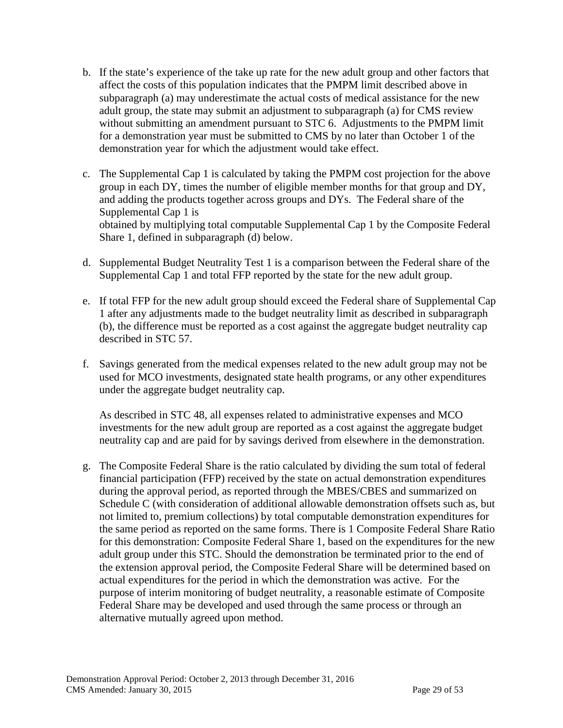- b. If the state's experience of the take up rate for the new adult group and other factors that affect the costs of this population indicates that the PMPM limit described above in subparagraph (a) may underestimate the actual costs of medical assistance for the new adult group, the state may submit an adjustment to subparagraph (a) for CMS review without submitting an amendment pursuant to STC 6. Adjustments to the PMPM limit for a demonstration year must be submitted to CMS by no later than October 1 of the demonstration year for which the adjustment would take effect.
- c. The Supplemental Cap 1 is calculated by taking the PMPM cost projection for the above group in each DY, times the number of eligible member months for that group and DY, and adding the products together across groups and DYs. The Federal share of the Supplemental Cap 1 is obtained by multiplying total computable Supplemental Cap 1 by the Composite Federal Share 1, defined in subparagraph (d) below.
- d. Supplemental Budget Neutrality Test 1 is a comparison between the Federal share of the Supplemental Cap 1 and total FFP reported by the state for the new adult group.
- e. If total FFP for the new adult group should exceed the Federal share of Supplemental Cap 1 after any adjustments made to the budget neutrality limit as described in subparagraph (b), the difference must be reported as a cost against the aggregate budget neutrality cap described in STC 57.
- f. Savings generated from the medical expenses related to the new adult group may not be used for MCO investments, designated state health programs, or any other expenditures under the aggregate budget neutrality cap.

As described in STC 48, all expenses related to administrative expenses and MCO investments for the new adult group are reported as a cost against the aggregate budget neutrality cap and are paid for by savings derived from elsewhere in the demonstration.

g. The Composite Federal Share is the ratio calculated by dividing the sum total of federal financial participation (FFP) received by the state on actual demonstration expenditures during the approval period, as reported through the MBES/CBES and summarized on Schedule C (with consideration of additional allowable demonstration offsets such as, but not limited to, premium collections) by total computable demonstration expenditures for the same period as reported on the same forms. There is 1 Composite Federal Share Ratio for this demonstration: Composite Federal Share 1, based on the expenditures for the new adult group under this STC. Should the demonstration be terminated prior to the end of the extension approval period, the Composite Federal Share will be determined based on actual expenditures for the period in which the demonstration was active. For the purpose of interim monitoring of budget neutrality, a reasonable estimate of Composite Federal Share may be developed and used through the same process or through an alternative mutually agreed upon method.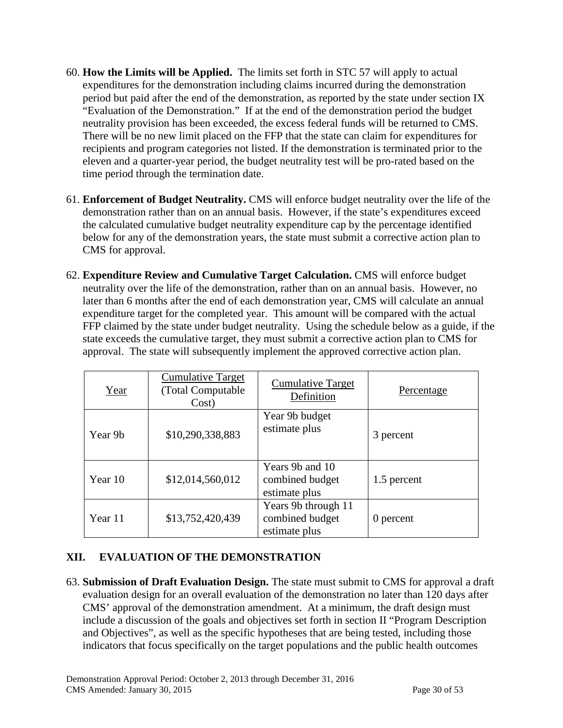- 60. **How the Limits will be Applied.** The limits set forth in STC 57 will apply to actual expenditures for the demonstration including claims incurred during the demonstration period but paid after the end of the demonstration, as reported by the state under section IX "Evaluation of the Demonstration." If at the end of the demonstration period the budget neutrality provision has been exceeded, the excess federal funds will be returned to CMS. There will be no new limit placed on the FFP that the state can claim for expenditures for recipients and program categories not listed. If the demonstration is terminated prior to the eleven and a quarter-year period, the budget neutrality test will be pro-rated based on the time period through the termination date.
- 61. **Enforcement of Budget Neutrality.** CMS will enforce budget neutrality over the life of the demonstration rather than on an annual basis. However, if the state's expenditures exceed the calculated cumulative budget neutrality expenditure cap by the percentage identified below for any of the demonstration years, the state must submit a corrective action plan to CMS for approval.
- 62. **Expenditure Review and Cumulative Target Calculation.** CMS will enforce budget neutrality over the life of the demonstration, rather than on an annual basis. However, no later than 6 months after the end of each demonstration year, CMS will calculate an annual expenditure target for the completed year. This amount will be compared with the actual FFP claimed by the state under budget neutrality. Using the schedule below as a guide, if the state exceeds the cumulative target, they must submit a corrective action plan to CMS for approval. The state will subsequently implement the approved corrective action plan.

| Year    | <b>Cumulative Target</b><br>(Total Computable)<br>Cost) | <b>Cumulative Target</b><br>Definition                  | Percentage  |
|---------|---------------------------------------------------------|---------------------------------------------------------|-------------|
| Year 9b | \$10,290,338,883                                        | Year 9b budget<br>estimate plus                         | 3 percent   |
| Year 10 | \$12,014,560,012                                        | Years 9b and 10<br>combined budget<br>estimate plus     | 1.5 percent |
| Year 11 | \$13,752,420,439                                        | Years 9b through 11<br>combined budget<br>estimate plus | 0 percent   |

### **XII. EVALUATION OF THE DEMONSTRATION**

<span id="page-37-0"></span>63. **Submission of Draft Evaluation Design.** The state must submit to CMS for approval a draft evaluation design for an overall evaluation of the demonstration no later than 120 days after CMS' approval of the demonstration amendment. At a minimum, the draft design must include a discussion of the goals and objectives set forth in section II "Program Description and Objectives", as well as the specific hypotheses that are being tested, including those indicators that focus specifically on the target populations and the public health outcomes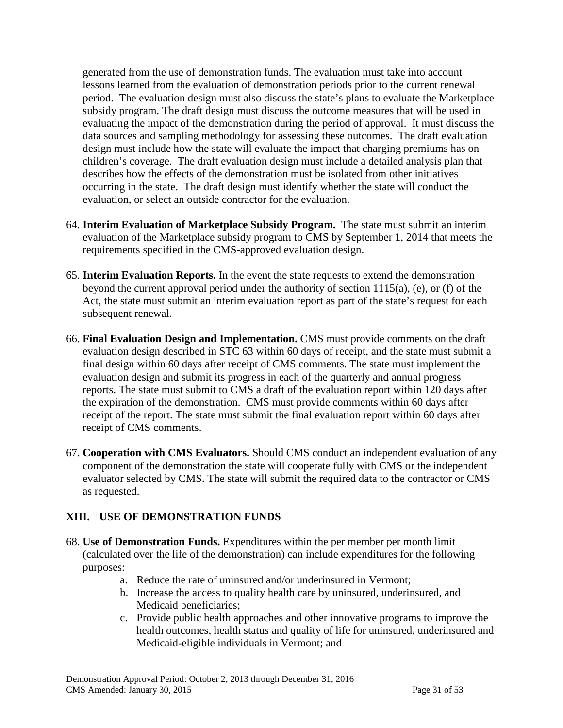generated from the use of demonstration funds. The evaluation must take into account lessons learned from the evaluation of demonstration periods prior to the current renewal period. The evaluation design must also discuss the state's plans to evaluate the Marketplace subsidy program. The draft design must discuss the outcome measures that will be used in evaluating the impact of the demonstration during the period of approval. It must discuss the data sources and sampling methodology for assessing these outcomes. The draft evaluation design must include how the state will evaluate the impact that charging premiums has on children's coverage. The draft evaluation design must include a detailed analysis plan that describes how the effects of the demonstration must be isolated from other initiatives occurring in the state. The draft design must identify whether the state will conduct the evaluation, or select an outside contractor for the evaluation.

- 64. **Interim Evaluation of Marketplace Subsidy Program.** The state must submit an interim evaluation of the Marketplace subsidy program to CMS by September 1, 2014 that meets the requirements specified in the CMS-approved evaluation design.
- 65. **Interim Evaluation Reports.** In the event the state requests to extend the demonstration beyond the current approval period under the authority of section 1115(a), (e), or (f) of the Act, the state must submit an interim evaluation report as part of the state's request for each subsequent renewal.
- <span id="page-38-0"></span>66. **Final Evaluation Design and Implementation.** CMS must provide comments on the draft evaluation design described in STC 63 within 60 days of receipt, and the state must submit a final design within 60 days after receipt of CMS comments. The state must implement the evaluation design and submit its progress in each of the quarterly and annual progress reports. The state must submit to CMS a draft of the evaluation report within 120 days after the expiration of the demonstration. CMS must provide comments within 60 days after receipt of the report. The state must submit the final evaluation report within 60 days after receipt of CMS comments.
- 67. **Cooperation with CMS Evaluators.** Should CMS conduct an independent evaluation of any component of the demonstration the state will cooperate fully with CMS or the independent evaluator selected by CMS. The state will submit the required data to the contractor or CMS as requested.

#### **XIII. USE OF DEMONSTRATION FUNDS**

- 68. **Use of Demonstration Funds.** Expenditures within the per member per month limit (calculated over the life of the demonstration) can include expenditures for the following purposes:
	- a. Reduce the rate of uninsured and/or underinsured in Vermont;
	- b. Increase the access to quality health care by uninsured, underinsured, and Medicaid beneficiaries;
	- c. Provide public health approaches and other innovative programs to improve the health outcomes, health status and quality of life for uninsured, underinsured and Medicaid-eligible individuals in Vermont; and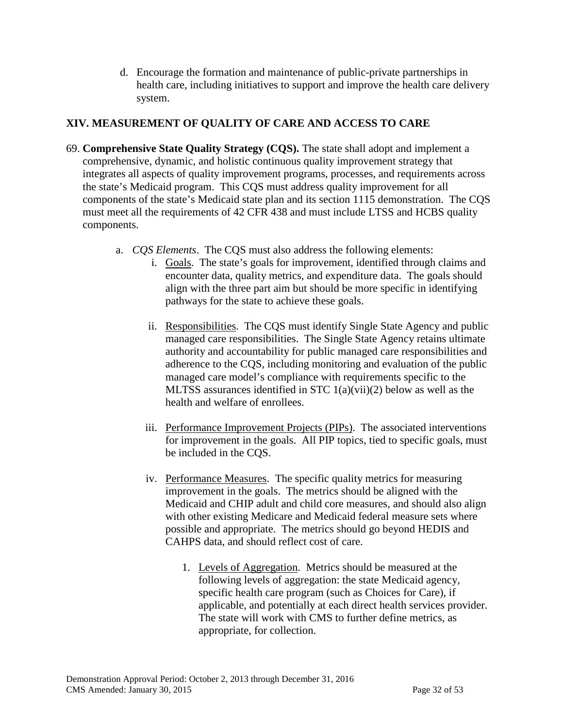d. Encourage the formation and maintenance of public-private partnerships in health care, including initiatives to support and improve the health care delivery system.

### **XIV. MEASUREMENT OF QUALITY OF CARE AND ACCESS TO CARE**

- 69. **Comprehensive State Quality Strategy (CQS).** The state shall adopt and implement a comprehensive, dynamic, and holistic continuous quality improvement strategy that integrates all aspects of quality improvement programs, processes, and requirements across the state's Medicaid program. This CQS must address quality improvement for all components of the state's Medicaid state plan and its section 1115 demonstration. The CQS must meet all the requirements of 42 CFR 438 and must include LTSS and HCBS quality components.
	- a. *CQS Elements*.The CQS must also address the following elements:
		- i. Goals. The state's goals for improvement, identified through claims and encounter data, quality metrics, and expenditure data. The goals should align with the three part aim but should be more specific in identifying pathways for the state to achieve these goals.
		- ii. Responsibilities. The CQS must identify Single State Agency and public managed care responsibilities. The Single State Agency retains ultimate authority and accountability for public managed care responsibilities and adherence to the CQS, including monitoring and evaluation of the public managed care model's compliance with requirements specific to the MLTSS assurances identified in STC 1(a)(vii)(2) below as well as the health and welfare of enrollees.
		- iii. Performance Improvement Projects (PIPs). The associated interventions for improvement in the goals. All PIP topics, tied to specific goals, must be included in the CQS.
		- iv. Performance Measures. The specific quality metrics for measuring improvement in the goals. The metrics should be aligned with the Medicaid and CHIP adult and child core measures, and should also align with other existing Medicare and Medicaid federal measure sets where possible and appropriate. The metrics should go beyond HEDIS and CAHPS data, and should reflect cost of care.
			- 1. Levels of Aggregation. Metrics should be measured at the following levels of aggregation: the state Medicaid agency, specific health care program (such as Choices for Care), if applicable, and potentially at each direct health services provider. The state will work with CMS to further define metrics, as appropriate, for collection.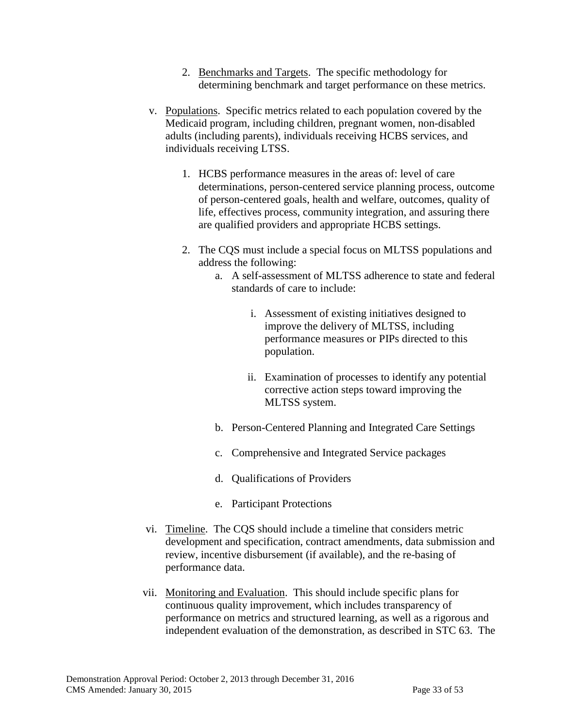- 2. Benchmarks and Targets. The specific methodology for determining benchmark and target performance on these metrics.
- v. Populations. Specific metrics related to each population covered by the Medicaid program, including children, pregnant women, non-disabled adults (including parents), individuals receiving HCBS services, and individuals receiving LTSS.
	- 1. HCBS performance measures in the areas of: level of care determinations, person-centered service planning process, outcome of person-centered goals, health and welfare, outcomes, quality of life, effectives process, community integration, and assuring there are qualified providers and appropriate HCBS settings.
	- 2. The CQS must include a special focus on MLTSS populations and address the following:
		- a. A self-assessment of MLTSS adherence to state and federal standards of care to include:
			- i. Assessment of existing initiatives designed to improve the delivery of MLTSS, including performance measures or PIPs directed to this population.
			- ii. Examination of processes to identify any potential corrective action steps toward improving the MLTSS system.
		- b. Person-Centered Planning and Integrated Care Settings
		- c. Comprehensive and Integrated Service packages
		- d. Qualifications of Providers
		- e. Participant Protections
- vi. Timeline. The CQS should include a timeline that considers metric development and specification, contract amendments, data submission and review, incentive disbursement (if available), and the re-basing of performance data.
- vii. Monitoring and Evaluation. This should include specific plans for continuous quality improvement, which includes transparency of performance on metrics and structured learning, as well as a rigorous and independent evaluation of the demonstration, as described in STC 63. The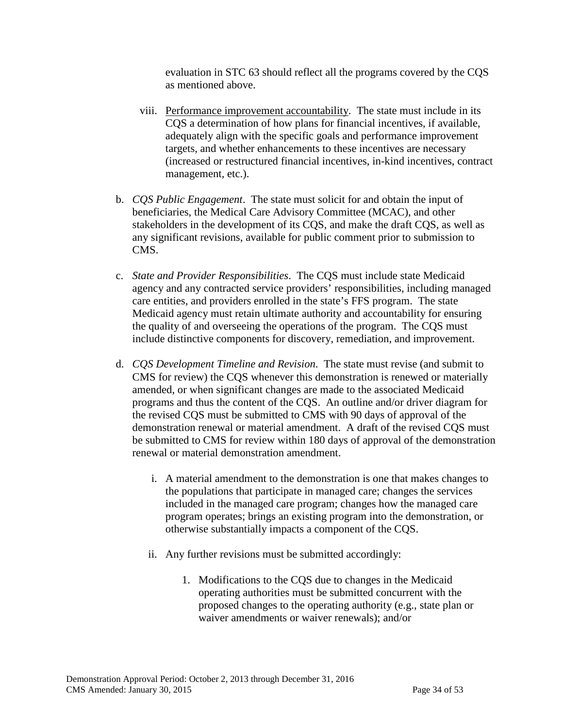evaluation in STC 63 should reflect all the programs covered by the CQS as mentioned above.

- viii. Performance improvement accountability. The state must include in its CQS a determination of how plans for financial incentives, if available, adequately align with the specific goals and performance improvement targets, and whether enhancements to these incentives are necessary (increased or restructured financial incentives, in-kind incentives, contract management, etc.).
- b. *CQS Public Engagement*.The state must solicit for and obtain the input of beneficiaries, the Medical Care Advisory Committee (MCAC), and other stakeholders in the development of its CQS, and make the draft CQS, as well as any significant revisions, available for public comment prior to submission to CMS.
- c. *State and Provider Responsibilities*. The CQS must include state Medicaid agency and any contracted service providers' responsibilities, including managed care entities, and providers enrolled in the state's FFS program. The state Medicaid agency must retain ultimate authority and accountability for ensuring the quality of and overseeing the operations of the program. The CQS must include distinctive components for discovery, remediation, and improvement.
- d. *CQS Development Timeline and Revision*.The state must revise (and submit to CMS for review) the CQS whenever this demonstration is renewed or materially amended, or when significant changes are made to the associated Medicaid programs and thus the content of the CQS. An outline and/or driver diagram for the revised CQS must be submitted to CMS with 90 days of approval of the demonstration renewal or material amendment. A draft of the revised CQS must be submitted to CMS for review within 180 days of approval of the demonstration renewal or material demonstration amendment.
	- i. A material amendment to the demonstration is one that makes changes to the populations that participate in managed care; changes the services included in the managed care program; changes how the managed care program operates; brings an existing program into the demonstration, or otherwise substantially impacts a component of the CQS.
	- ii. Any further revisions must be submitted accordingly:
		- 1. Modifications to the CQS due to changes in the Medicaid operating authorities must be submitted concurrent with the proposed changes to the operating authority (e.g., state plan or waiver amendments or waiver renewals); and/or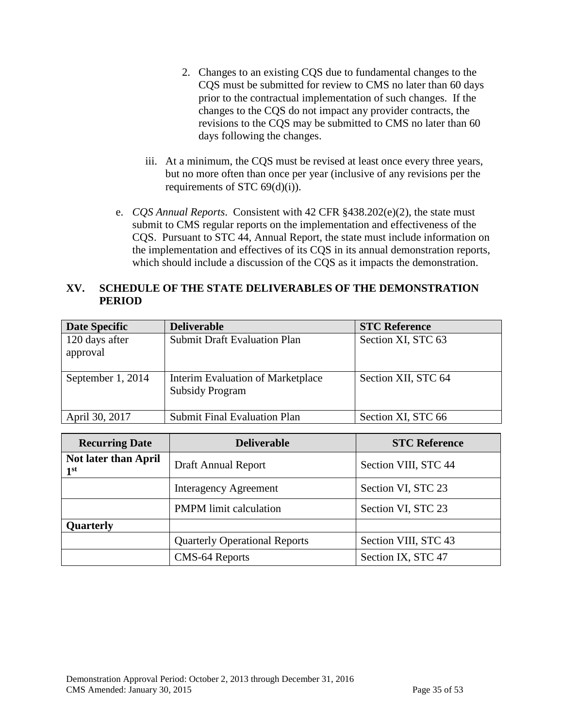- 2. Changes to an existing CQS due to fundamental changes to the CQS must be submitted for review to CMS no later than 60 days prior to the contractual implementation of such changes. If the changes to the CQS do not impact any provider contracts, the revisions to the CQS may be submitted to CMS no later than 60 days following the changes.
- iii. At a minimum, the CQS must be revised at least once every three years, but no more often than once per year (inclusive of any revisions per the requirements of STC  $69(d)(i)$ ).
- e. *CQS Annual Reports*. Consistent with 42 CFR §438.202(e)(2), the state must submit to CMS regular reports on the implementation and effectiveness of the CQS. Pursuant to STC 44, Annual Report, the state must include information on the implementation and effectives of its CQS in its annual demonstration reports, which should include a discussion of the CQS as it impacts the demonstration.

#### **XV. SCHEDULE OF THE STATE DELIVERABLES OF THE DEMONSTRATION PERIOD**

| <b>Date Specific</b>       | <b>Deliverable</b>                                          | <b>STC Reference</b> |
|----------------------------|-------------------------------------------------------------|----------------------|
| 120 days after<br>approval | <b>Submit Draft Evaluation Plan</b>                         | Section XI, STC 63   |
| September 1, 2014          | Interim Evaluation of Marketplace<br><b>Subsidy Program</b> | Section XII, STC 64  |
| April 30, 2017             | <b>Submit Final Evaluation Plan</b>                         | Section XI, STC 66   |

| <b>Recurring Date</b>                          | <b>Deliverable</b>                   | <b>STC Reference</b> |
|------------------------------------------------|--------------------------------------|----------------------|
| <b>Not later than April</b><br>1 <sup>st</sup> | Draft Annual Report                  | Section VIII, STC 44 |
|                                                | <b>Interagency Agreement</b>         | Section VI, STC 23   |
|                                                | <b>PMPM</b> limit calculation        | Section VI, STC 23   |
| <b>Quarterly</b>                               |                                      |                      |
|                                                | <b>Quarterly Operational Reports</b> | Section VIII, STC 43 |
|                                                | CMS-64 Reports                       | Section IX, STC 47   |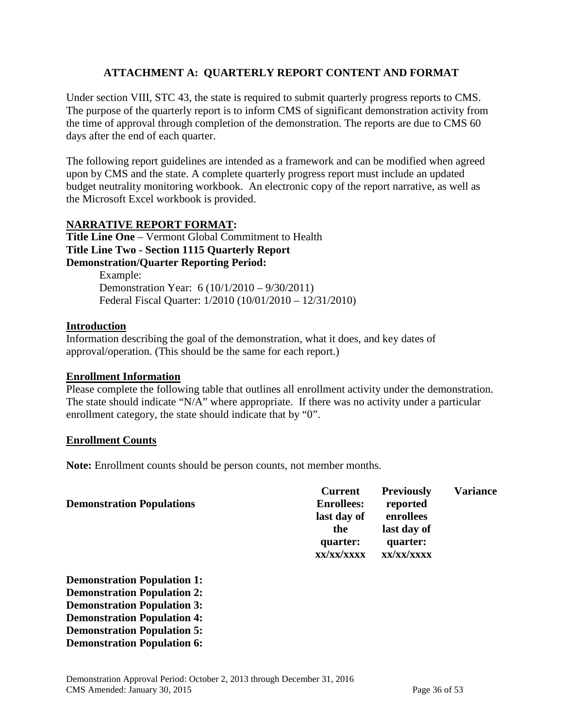#### **ATTACHMENT A: QUARTERLY REPORT CONTENT AND FORMAT**

Under section VIII, STC 43, the state is required to submit quarterly progress reports to CMS. The purpose of the quarterly report is to inform CMS of significant demonstration activity from the time of approval through completion of the demonstration. The reports are due to CMS 60 days after the end of each quarter.

The following report guidelines are intended as a framework and can be modified when agreed upon by CMS and the state. A complete quarterly progress report must include an updated budget neutrality monitoring workbook. An electronic copy of the report narrative, as well as the Microsoft Excel workbook is provided.

#### **NARRATIVE REPORT FORMAT:**

**Title Line One** – Vermont Global Commitment to Health **Title Line Two - Section 1115 Quarterly Report Demonstration/Quarter Reporting Period:** 

> Example: Demonstration Year: 6 (10/1/2010 – 9/30/2011) Federal Fiscal Quarter: 1/2010 (10/01/2010 – 12/31/2010)

#### **Introduction**

Information describing the goal of the demonstration, what it does, and key dates of approval/operation. (This should be the same for each report.)

#### **Enrollment Information**

Please complete the following table that outlines all enrollment activity under the demonstration. The state should indicate "N/A" where appropriate. If there was no activity under a particular enrollment category, the state should indicate that by "0".

#### **Enrollment Counts**

**Note:** Enrollment counts should be person counts, not member months.

| <b>Current</b>         | <b>Previously</b>      | <b>Variance</b> |
|------------------------|------------------------|-----------------|
| <b>Enrollees:</b>      | reported               |                 |
| last day of            | enrollees              |                 |
| the                    | last day of            |                 |
| quarter:<br>xx/xx/xxxx | quarter:<br>XX/XX/XXXX |                 |
|                        |                        |                 |

**Demonstration Population 1: Demonstration Population 2: Demonstration Population 3: Demonstration Population 4: Demonstration Population 5: Demonstration Population 6:**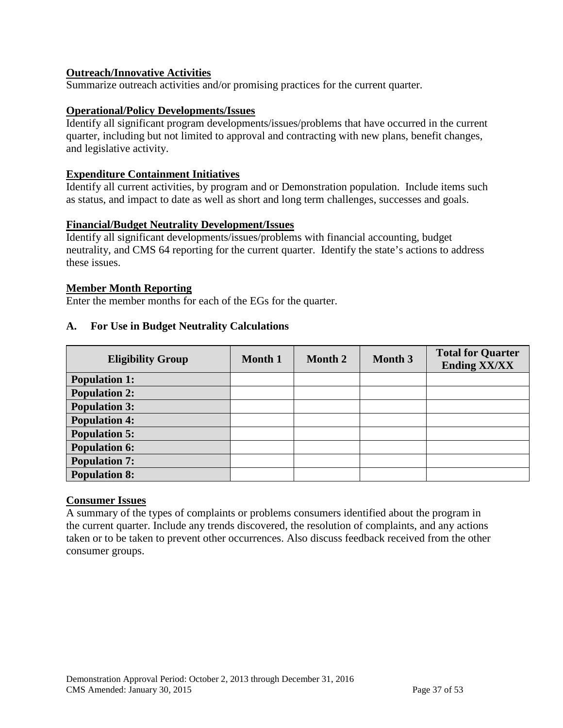#### **Outreach/Innovative Activities**

Summarize outreach activities and/or promising practices for the current quarter.

#### **Operational/Policy Developments/Issues**

Identify all significant program developments/issues/problems that have occurred in the current quarter, including but not limited to approval and contracting with new plans, benefit changes, and legislative activity.

#### **Expenditure Containment Initiatives**

Identify all current activities, by program and or Demonstration population. Include items such as status, and impact to date as well as short and long term challenges, successes and goals.

#### **Financial/Budget Neutrality Development/Issues**

Identify all significant developments/issues/problems with financial accounting, budget neutrality, and CMS 64 reporting for the current quarter. Identify the state's actions to address these issues.

#### **Member Month Reporting**

Enter the member months for each of the EGs for the quarter.

#### **A. For Use in Budget Neutrality Calculations**

| <b>Eligibility Group</b> | <b>Month 1</b> | Month 2 | Month 3 | <b>Total for Quarter</b><br><b>Ending XX/XX</b> |
|--------------------------|----------------|---------|---------|-------------------------------------------------|
| <b>Population 1:</b>     |                |         |         |                                                 |
| <b>Population 2:</b>     |                |         |         |                                                 |
| <b>Population 3:</b>     |                |         |         |                                                 |
| <b>Population 4:</b>     |                |         |         |                                                 |
| <b>Population 5:</b>     |                |         |         |                                                 |
| <b>Population 6:</b>     |                |         |         |                                                 |
| <b>Population 7:</b>     |                |         |         |                                                 |
| <b>Population 8:</b>     |                |         |         |                                                 |

#### **Consumer Issues**

A summary of the types of complaints or problems consumers identified about the program in the current quarter. Include any trends discovered, the resolution of complaints, and any actions taken or to be taken to prevent other occurrences. Also discuss feedback received from the other consumer groups.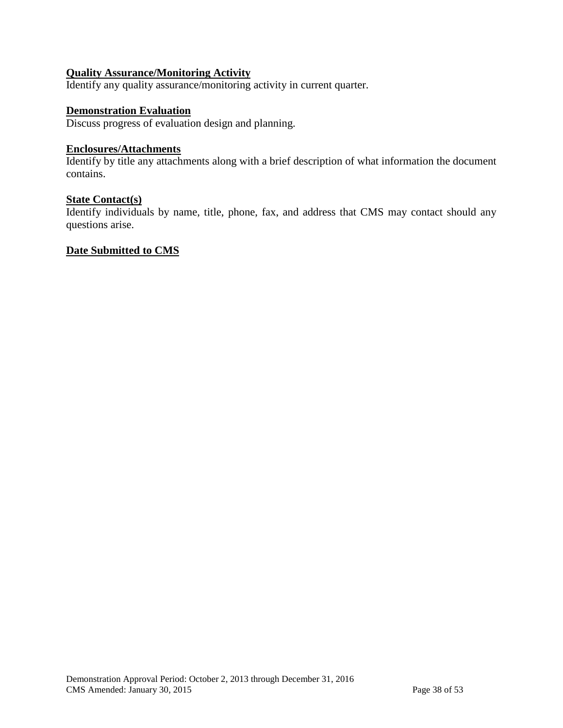#### **Quality Assurance/Monitoring Activity**

Identify any quality assurance/monitoring activity in current quarter.

#### **Demonstration Evaluation**

Discuss progress of evaluation design and planning.

## **Enclosures/Attachments**

Identify by title any attachments along with a brief description of what information the document contains.

#### **State Contact(s)**

Identify individuals by name, title, phone, fax, and address that CMS may contact should any questions arise.

#### **Date Submitted to CMS**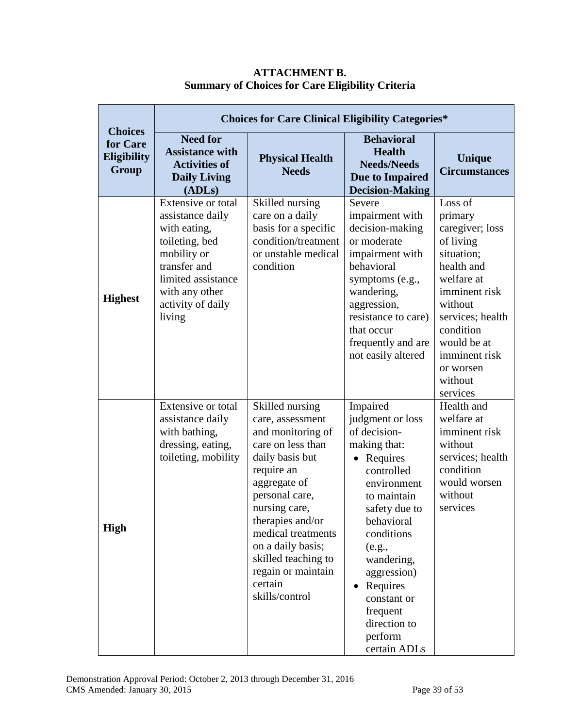| <b>Choices</b>                          | <b>Choices for Care Clinical Eligibility Categories*</b>                                                                                                                       |                                                                                                                                                                                                                                                                                                            |                                                                                                                                                                                                                                                                                                                      |                                                                                                                                                                                                                               |  |  |  |  |  |
|-----------------------------------------|--------------------------------------------------------------------------------------------------------------------------------------------------------------------------------|------------------------------------------------------------------------------------------------------------------------------------------------------------------------------------------------------------------------------------------------------------------------------------------------------------|----------------------------------------------------------------------------------------------------------------------------------------------------------------------------------------------------------------------------------------------------------------------------------------------------------------------|-------------------------------------------------------------------------------------------------------------------------------------------------------------------------------------------------------------------------------|--|--|--|--|--|
| for Care<br><b>Eligibility</b><br>Group | <b>Need for</b><br><b>Assistance with</b><br><b>Activities of</b><br><b>Daily Living</b><br>(ADLs)                                                                             | <b>Physical Health</b><br><b>Needs</b>                                                                                                                                                                                                                                                                     | <b>Behavioral</b><br><b>Health</b><br><b>Needs/Needs</b><br>Due to Impaired<br><b>Decision-Making</b>                                                                                                                                                                                                                | Unique<br><b>Circumstances</b>                                                                                                                                                                                                |  |  |  |  |  |
| <b>Highest</b>                          | Extensive or total<br>assistance daily<br>with eating,<br>toileting, bed<br>mobility or<br>transfer and<br>limited assistance<br>with any other<br>activity of daily<br>living | Skilled nursing<br>care on a daily<br>basis for a specific<br>condition/treatment<br>or unstable medical<br>condition                                                                                                                                                                                      | Severe<br>impairment with<br>decision-making<br>or moderate<br>impairment with<br>behavioral<br>symptoms (e.g.,<br>wandering,<br>aggression,<br>resistance to care)<br>that occur<br>frequently and are<br>not easily altered                                                                                        | Loss of<br>primary<br>caregiver; loss<br>of living<br>situation;<br>health and<br>welfare at<br>imminent risk<br>without<br>services; health<br>condition<br>would be at<br>imminent risk<br>or worsen<br>without<br>services |  |  |  |  |  |
| <b>High</b>                             | Extensive or total<br>assistance daily<br>with bathing,<br>dressing, eating,<br>toileting, mobility                                                                            | Skilled nursing<br>care, assessment<br>and monitoring of<br>care on less than<br>daily basis but<br>require an<br>aggregate of<br>personal care,<br>nursing care,<br>therapies and/or<br>medical treatments<br>on a daily basis;<br>skilled teaching to<br>regain or maintain<br>certain<br>skills/control | Impaired<br>judgment or loss<br>of decision-<br>making that:<br>Requires<br>$\bullet$<br>controlled<br>environment<br>to maintain<br>safety due to<br>behavioral<br>conditions<br>(e.g.,<br>wandering,<br>aggression)<br>Requires<br>$\bullet$<br>constant or<br>frequent<br>direction to<br>perform<br>certain ADLs | Health and<br>welfare at<br>imminent risk<br>without<br>services; health<br>condition<br>would worsen<br>without<br>services                                                                                                  |  |  |  |  |  |

#### **ATTACHMENT B. Summary of Choices for Care Eligibility Criteria**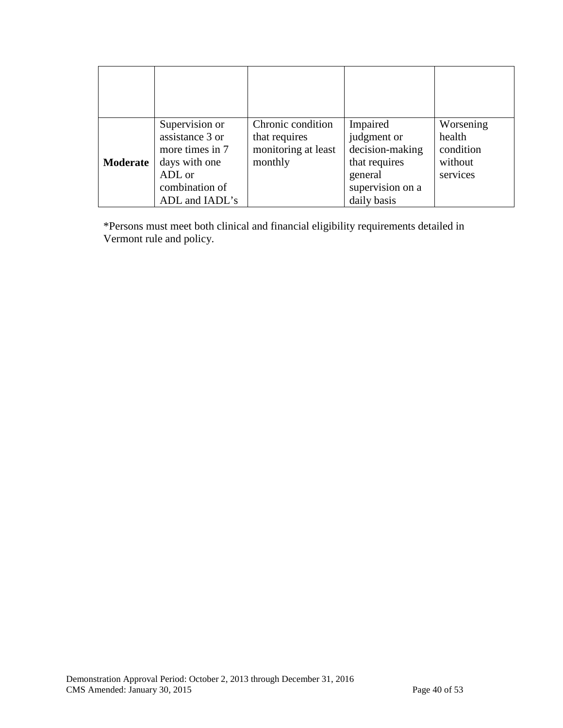| Moderate | Supervision or<br>assistance 3 or<br>more times in 7<br>days with one<br>ADL or<br>combination of<br>ADL and IADL's | Chronic condition<br>that requires<br>monitoring at least<br>monthly | Impaired<br>judgment or<br>decision-making<br>that requires<br>general<br>supervision on a<br>daily basis | Worsening<br>health<br>condition<br>without<br>services |
|----------|---------------------------------------------------------------------------------------------------------------------|----------------------------------------------------------------------|-----------------------------------------------------------------------------------------------------------|---------------------------------------------------------|

\*Persons must meet both clinical and financial eligibility requirements detailed in Vermont rule and policy.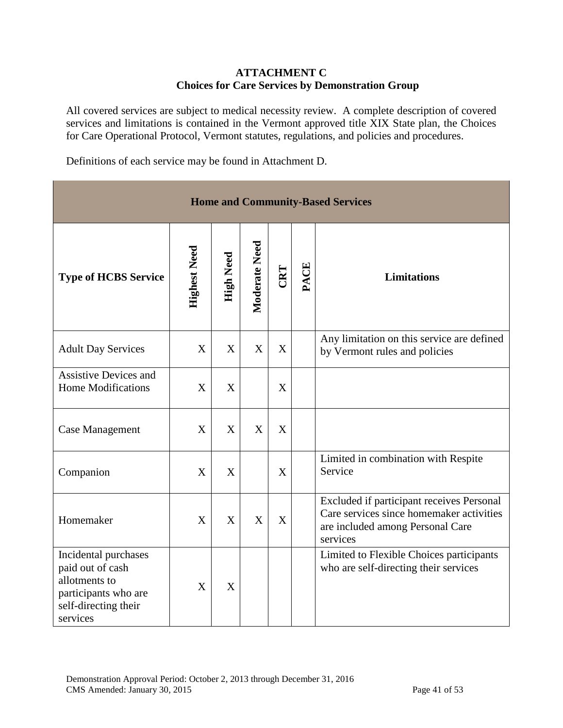#### **ATTACHMENT C Choices for Care Services by Demonstration Group**

All covered services are subject to medical necessity review. A complete description of covered services and limitations is contained in the Vermont approved title XIX State plan, the Choices for Care Operational Protocol, Vermont statutes, regulations, and policies and procedures.

Definitions of each service may be found in Attachment D.

| <b>Home and Community-Based Services</b>                                                                              |                     |                  |                |     |      |                                                                                                                                       |  |  |
|-----------------------------------------------------------------------------------------------------------------------|---------------------|------------------|----------------|-----|------|---------------------------------------------------------------------------------------------------------------------------------------|--|--|
| <b>Type of HCBS Service</b>                                                                                           | <b>Highest Need</b> | <b>High Need</b> | Moderate Need  | CRT | PACE | <b>Limitations</b>                                                                                                                    |  |  |
| <b>Adult Day Services</b>                                                                                             | X                   | X                | $\overline{X}$ | X   |      | Any limitation on this service are defined<br>by Vermont rules and policies                                                           |  |  |
| <b>Assistive Devices and</b><br><b>Home Modifications</b>                                                             | X                   | X                |                | X   |      |                                                                                                                                       |  |  |
| <b>Case Management</b>                                                                                                | X                   | X                | X              | X   |      |                                                                                                                                       |  |  |
| Companion                                                                                                             | X                   | X                |                | X   |      | Limited in combination with Respite<br>Service                                                                                        |  |  |
| Homemaker                                                                                                             | X                   | X                | X              | X   |      | Excluded if participant receives Personal<br>Care services since homemaker activities<br>are included among Personal Care<br>services |  |  |
| Incidental purchases<br>paid out of cash<br>allotments to<br>participants who are<br>self-directing their<br>services | $\boldsymbol{X}$    | X                |                |     |      | Limited to Flexible Choices participants<br>who are self-directing their services                                                     |  |  |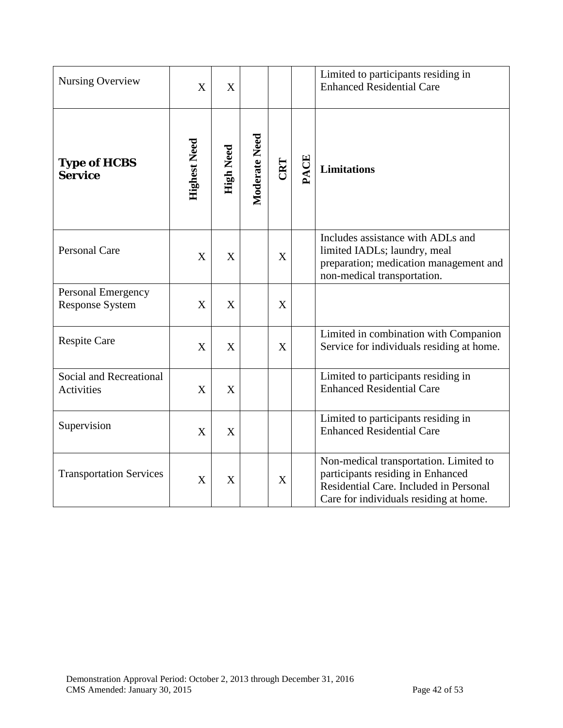| <b>Nursing Overview</b>                      | $\boldsymbol{\mathrm{X}}$ | X                |               |     |      | Limited to participants residing in<br><b>Enhanced Residential Care</b>                                                                                         |
|----------------------------------------------|---------------------------|------------------|---------------|-----|------|-----------------------------------------------------------------------------------------------------------------------------------------------------------------|
| <b>Type of HCBS</b><br><b>Service</b>        | <b>Highest Need</b>       | <b>High Need</b> | Moderate Need | CRT | PACE | <b>Limitations</b>                                                                                                                                              |
| Personal Care                                | X                         | X                |               | X   |      | Includes assistance with ADLs and<br>limited IADLs; laundry, meal<br>preparation; medication management and<br>non-medical transportation.                      |
| Personal Emergency<br><b>Response System</b> | X                         | X                |               | X   |      |                                                                                                                                                                 |
| <b>Respite Care</b>                          | X                         | X                |               | X   |      | Limited in combination with Companion<br>Service for individuals residing at home.                                                                              |
| Social and Recreational<br><b>Activities</b> | $\boldsymbol{X}$          | X                |               |     |      | Limited to participants residing in<br><b>Enhanced Residential Care</b>                                                                                         |
| Supervision                                  | X                         | X                |               |     |      | Limited to participants residing in<br><b>Enhanced Residential Care</b>                                                                                         |
| <b>Transportation Services</b>               | X                         | X                |               | X   |      | Non-medical transportation. Limited to<br>participants residing in Enhanced<br>Residential Care. Included in Personal<br>Care for individuals residing at home. |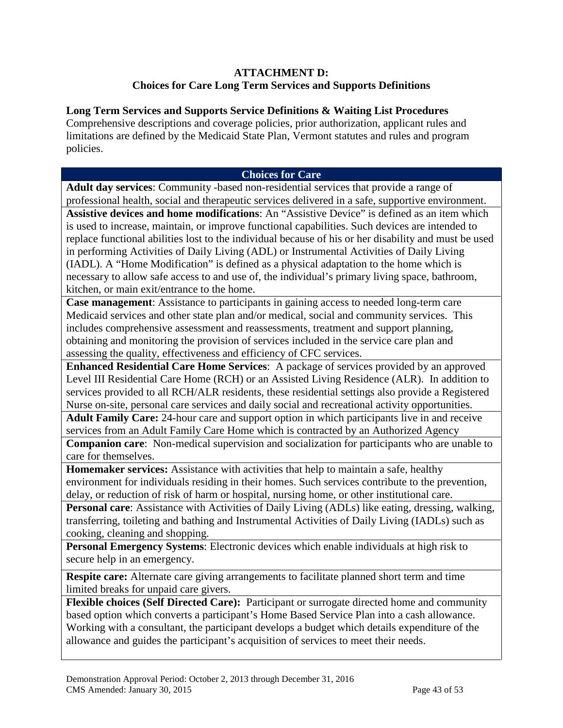#### **ATTACHMENT D: Choices for Care Long Term Services and Supports Definitions**

#### **Long Term Services and Supports Service Definitions & Waiting List Procedures**

Comprehensive descriptions and coverage policies, prior authorization, applicant rules and limitations are defined by the Medicaid State Plan, Vermont statutes and rules and program policies.

#### **Choices for Care**

**Adult day services**: Community -based non-residential services that provide a range of professional health, social and therapeutic services delivered in a safe, supportive environment. **Assistive devices and home modifications**: An "Assistive Device" is defined as an item which is used to increase, maintain, or improve functional capabilities. Such devices are intended to replace functional abilities lost to the individual because of his or her disability and must be used in performing Activities of Daily Living (ADL) or Instrumental Activities of Daily Living (IADL). A "Home Modification" is defined as a physical adaptation to the home which is necessary to allow safe access to and use of, the individual's primary living space, bathroom, kitchen, or main exit/entrance to the home.

**Case management**: Assistance to participants in gaining access to needed long-term care Medicaid services and other state plan and/or medical, social and community services. This includes comprehensive assessment and reassessments, treatment and support planning, obtaining and monitoring the provision of services included in the service care plan and assessing the quality, effectiveness and efficiency of CFC services.

**Enhanced Residential Care Home Services**: A package of services provided by an approved Level III Residential Care Home (RCH) or an Assisted Living Residence (ALR). In addition to services provided to all RCH/ALR residents, these residential settings also provide a Registered Nurse on-site, personal care services and daily social and recreational activity opportunities.

**Adult Family Care:** 24-hour care and support option in which participants live in and receive services from an Adult Family Care Home which is contracted by an Authorized Agency

**Companion care**: Non-medical supervision and socialization for participants who are unable to care for themselves.

**Homemaker services:** Assistance with activities that help to maintain a safe, healthy environment for individuals residing in their homes. Such services contribute to the prevention, delay, or reduction of risk of harm or hospital, nursing home, or other institutional care.

**Personal care**: Assistance with Activities of Daily Living (ADLs) like eating, dressing, walking, transferring, toileting and bathing and Instrumental Activities of Daily Living (IADLs) such as cooking, cleaning and shopping.

**Personal Emergency Systems**: Electronic devices which enable individuals at high risk to secure help in an emergency.

**Respite care:** Alternate care giving arrangements to facilitate planned short term and time limited breaks for unpaid care givers.

**Flexible choices (Self Directed Care):** Participant or surrogate directed home and community based option which converts a participant's Home Based Service Plan into a cash allowance. Working with a consultant, the participant develops a budget which details expenditure of the allowance and guides the participant's acquisition of services to meet their needs.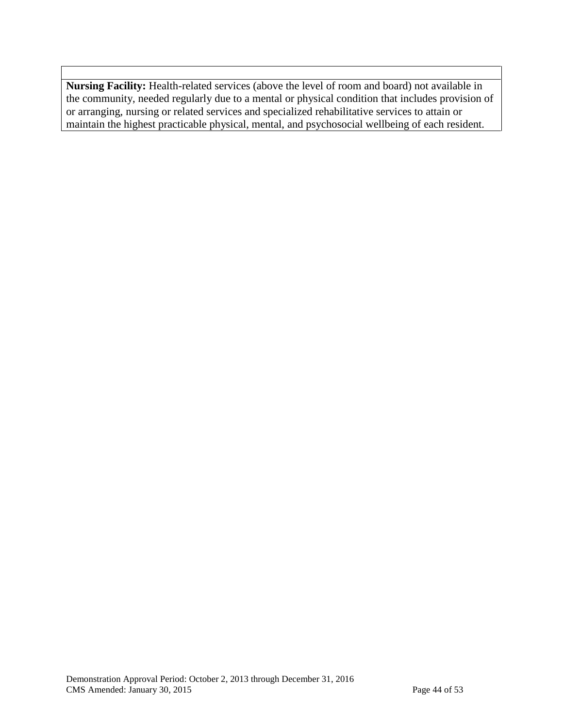**Nursing Facility:** Health-related services (above the level of room and board) not available in the community, needed regularly due to a mental or physical condition that includes provision of or arranging, nursing or related services and specialized rehabilitative services to attain or maintain the highest practicable physical, mental, and psychosocial wellbeing of each resident.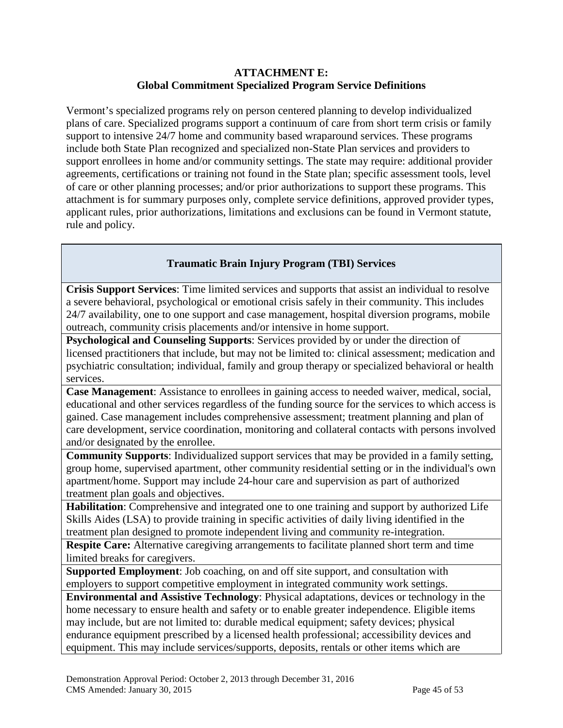#### **ATTACHMENT E: Global Commitment Specialized Program Service Definitions**

Vermont's specialized programs rely on person centered planning to develop individualized plans of care. Specialized programs support a continuum of care from short term crisis or family support to intensive 24/7 home and community based wraparound services. These programs include both State Plan recognized and specialized non-State Plan services and providers to support enrollees in home and/or community settings. The state may require: additional provider agreements, certifications or training not found in the State plan; specific assessment tools, level of care or other planning processes; and/or prior authorizations to support these programs. This attachment is for summary purposes only, complete service definitions, approved provider types, applicant rules, prior authorizations, limitations and exclusions can be found in Vermont statute, rule and policy.

### **Traumatic Brain Injury Program (TBI) Services**

**Crisis Support Services**: Time limited services and supports that assist an individual to resolve a severe behavioral, psychological or emotional crisis safely in their community. This includes 24/7 availability, one to one support and case management, hospital diversion programs, mobile outreach, community crisis placements and/or intensive in home support.

**Psychological and Counseling Supports**: Services provided by or under the direction of licensed practitioners that include, but may not be limited to: clinical assessment; medication and psychiatric consultation; individual, family and group therapy or specialized behavioral or health services.

**Case Management**: Assistance to enrollees in gaining access to needed waiver, medical, social, educational and other services regardless of the funding source for the services to which access is gained. Case management includes comprehensive assessment; treatment planning and plan of care development, service coordination, monitoring and collateral contacts with persons involved and/or designated by the enrollee.

**Community Supports**: Individualized support services that may be provided in a family setting, group home, supervised apartment, other community residential setting or in the individual's own apartment/home. Support may include 24-hour care and supervision as part of authorized treatment plan goals and objectives.

**Habilitation**: Comprehensive and integrated one to one training and support by authorized Life Skills Aides (LSA) to provide training in specific activities of daily living identified in the treatment plan designed to promote independent living and community re-integration.

**Respite Care:** Alternative caregiving arrangements to facilitate planned short term and time limited breaks for caregivers.

**Supported Employment**: Job coaching, on and off site support, and consultation with employers to support competitive employment in integrated community work settings.

**Environmental and Assistive Technology**: Physical adaptations, devices or technology in the home necessary to ensure health and safety or to enable greater independence. Eligible items may include, but are not limited to: durable medical equipment; safety devices; physical endurance equipment prescribed by a licensed health professional; accessibility devices and equipment. This may include services/supports, deposits, rentals or other items which are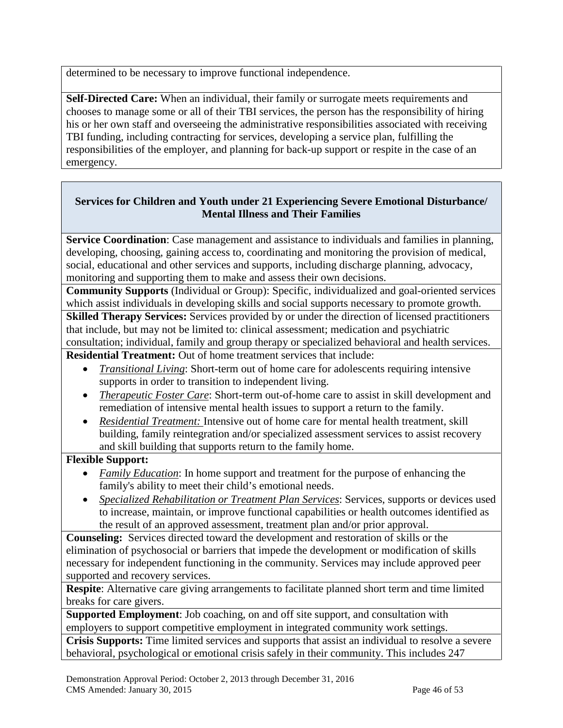determined to be necessary to improve functional independence.

**Self-Directed Care:** When an individual, their family or surrogate meets requirements and chooses to manage some or all of their TBI services, the person has the responsibility of hiring his or her own staff and overseeing the administrative responsibilities associated with receiving TBI funding, including contracting for services, developing a service plan, fulfilling the responsibilities of the employer, and planning for back-up support or respite in the case of an emergency.

### **Services for Children and Youth under 21 Experiencing Severe Emotional Disturbance/ Mental Illness and Their Families**

**Service Coordination**: Case management and assistance to individuals and families in planning, developing, choosing, gaining access to, coordinating and monitoring the provision of medical, social, educational and other services and supports, including discharge planning, advocacy, monitoring and supporting them to make and assess their own decisions.

**Community Supports** (Individual or Group): Specific, individualized and goal-oriented services which assist individuals in developing skills and social supports necessary to promote growth.

**Skilled Therapy Services:** Services provided by or under the direction of licensed practitioners that include, but may not be limited to: clinical assessment; medication and psychiatric consultation; individual, family and group therapy or specialized behavioral and health services.

**Residential Treatment:** Out of home treatment services that include:

- *Transitional Living*: Short-term out of home care for adolescents requiring intensive supports in order to transition to independent living.
- *Therapeutic Foster Care*: Short-term out-of-home care to assist in skill development and remediation of intensive mental health issues to support a return to the family.
- *Residential Treatment:* Intensive out of home care for mental health treatment, skill building, family reintegration and/or specialized assessment services to assist recovery and skill building that supports return to the family home.

### **Flexible Support:**

- *Family Education*: In home support and treatment for the purpose of enhancing the family's ability to meet their child's emotional needs.
- *Specialized Rehabilitation or Treatment Plan Services*: Services, supports or devices used to increase, maintain, or improve functional capabilities or health outcomes identified as the result of an approved assessment, treatment plan and/or prior approval.

**Counseling:** Services directed toward the development and restoration of skills or the elimination of psychosocial or barriers that impede the development or modification of skills necessary for independent functioning in the community. Services may include approved peer supported and recovery services.

**Respite**: Alternative care giving arrangements to facilitate planned short term and time limited breaks for care givers.

**Supported Employment**: Job coaching, on and off site support, and consultation with employers to support competitive employment in integrated community work settings.

**Crisis Supports:** Time limited services and supports that assist an individual to resolve a severe behavioral, psychological or emotional crisis safely in their community. This includes 247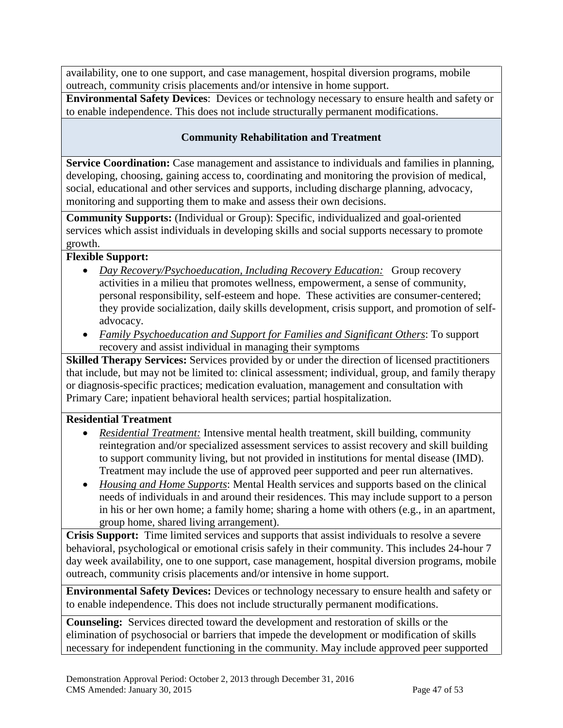availability, one to one support, and case management, hospital diversion programs, mobile outreach, community crisis placements and/or intensive in home support.

**Environmental Safety Devices**: Devices or technology necessary to ensure health and safety or to enable independence. This does not include structurally permanent modifications.

#### **Community Rehabilitation and Treatment**

**Service Coordination:** Case management and assistance to individuals and families in planning, developing, choosing, gaining access to, coordinating and monitoring the provision of medical, social, educational and other services and supports, including discharge planning, advocacy, monitoring and supporting them to make and assess their own decisions.

**Community Supports:** (Individual or Group): Specific, individualized and goal-oriented services which assist individuals in developing skills and social supports necessary to promote growth.

#### **Flexible Support:**

- *Day Recovery/Psychoeducation, Including Recovery Education:* Group recovery activities in a milieu that promotes wellness, empowerment, a sense of community, personal responsibility, self-esteem and hope. These activities are consumer-centered; they provide socialization, daily skills development, crisis support, and promotion of selfadvocacy.
- *Family Psychoeducation and Support for Families and Significant Others*: To support recovery and assist individual in managing their symptoms

**Skilled Therapy Services:** Services provided by or under the direction of licensed practitioners that include, but may not be limited to: clinical assessment; individual, group, and family therapy or diagnosis-specific practices; medication evaluation, management and consultation with Primary Care; inpatient behavioral health services; partial hospitalization.

#### **Residential Treatment**

- *Residential Treatment:* Intensive mental health treatment, skill building, community reintegration and/or specialized assessment services to assist recovery and skill building to support community living, but not provided in institutions for mental disease (IMD). Treatment may include the use of approved peer supported and peer run alternatives.
- *Housing and Home Supports*: Mental Health services and supports based on the clinical needs of individuals in and around their residences. This may include support to a person in his or her own home; a family home; sharing a home with others (e.g., in an apartment, group home, shared living arrangement).

**Crisis Support:** Time limited services and supports that assist individuals to resolve a severe behavioral, psychological or emotional crisis safely in their community. This includes 24-hour 7 day week availability, one to one support, case management, hospital diversion programs, mobile outreach, community crisis placements and/or intensive in home support.

**Environmental Safety Devices:** Devices or technology necessary to ensure health and safety or to enable independence. This does not include structurally permanent modifications.

**Counseling:** Services directed toward the development and restoration of skills or the elimination of psychosocial or barriers that impede the development or modification of skills necessary for independent functioning in the community. May include approved peer supported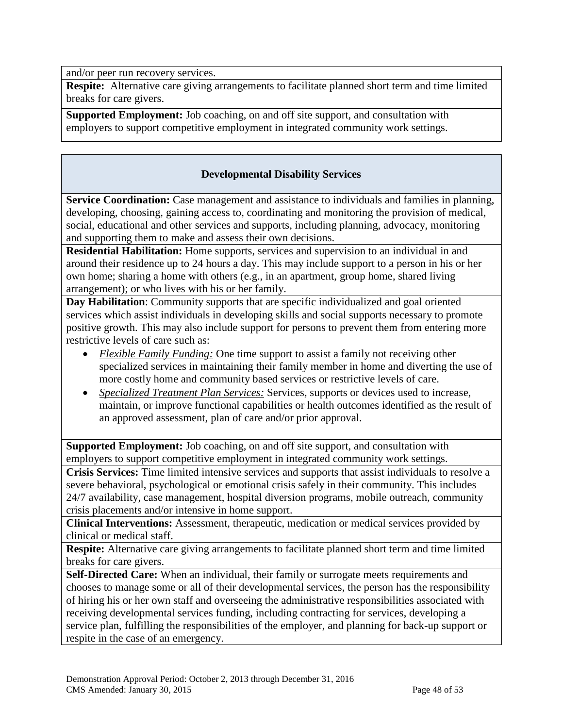and/or peer run recovery services.

**Respite:** Alternative care giving arrangements to facilitate planned short term and time limited breaks for care givers.

**Supported Employment:** Job coaching, on and off site support, and consultation with employers to support competitive employment in integrated community work settings.

#### **Developmental Disability Services**

**Service Coordination:** Case management and assistance to individuals and families in planning, developing, choosing, gaining access to, coordinating and monitoring the provision of medical, social, educational and other services and supports, including planning, advocacy, monitoring and supporting them to make and assess their own decisions.

**Residential Habilitation:** Home supports, services and supervision to an individual in and around their residence up to 24 hours a day. This may include support to a person in his or her own home; sharing a home with others (e.g., in an apartment, group home, shared living arrangement); or who lives with his or her family.

**Day Habilitation**: Community supports that are specific individualized and goal oriented services which assist individuals in developing skills and social supports necessary to promote positive growth. This may also include support for persons to prevent them from entering more restrictive levels of care such as:

- *Flexible Family Funding:* One time support to assist a family not receiving other specialized services in maintaining their family member in home and diverting the use of more costly home and community based services or restrictive levels of care.
- *Specialized Treatment Plan Services:* Services, supports or devices used to increase, maintain, or improve functional capabilities or health outcomes identified as the result of an approved assessment, plan of care and/or prior approval.

**Supported Employment:** Job coaching, on and off site support, and consultation with employers to support competitive employment in integrated community work settings.

**Crisis Services:** Time limited intensive services and supports that assist individuals to resolve a severe behavioral, psychological or emotional crisis safely in their community. This includes 24/7 availability, case management, hospital diversion programs, mobile outreach, community crisis placements and/or intensive in home support.

**Clinical Interventions:** Assessment, therapeutic, medication or medical services provided by clinical or medical staff.

**Respite:** Alternative care giving arrangements to facilitate planned short term and time limited breaks for care givers.

**Self-Directed Care:** When an individual, their family or surrogate meets requirements and chooses to manage some or all of their developmental services, the person has the responsibility of hiring his or her own staff and overseeing the administrative responsibilities associated with receiving developmental services funding, including contracting for services, developing a service plan, fulfilling the responsibilities of the employer, and planning for back-up support or respite in the case of an emergency.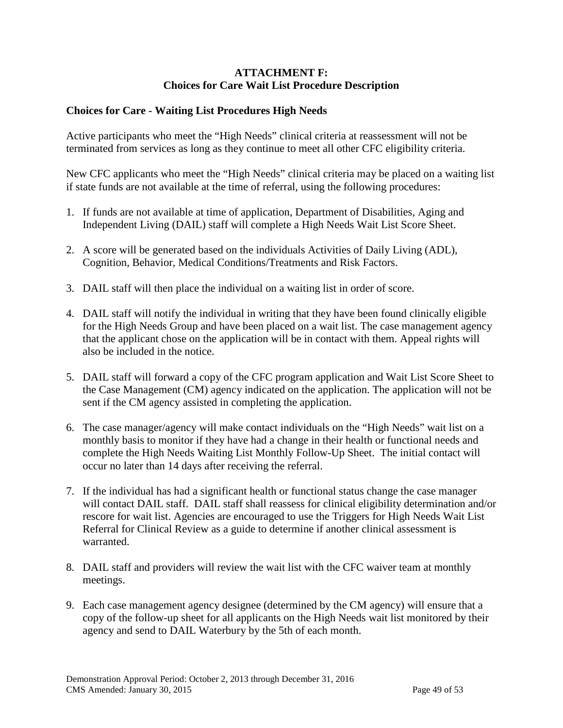#### **ATTACHMENT F: Choices for Care Wait List Procedure Description**

#### **Choices for Care - Waiting List Procedures High Needs**

Active participants who meet the "High Needs" clinical criteria at reassessment will not be terminated from services as long as they continue to meet all other CFC eligibility criteria.

New CFC applicants who meet the "High Needs" clinical criteria may be placed on a waiting list if state funds are not available at the time of referral, using the following procedures:

- 1. If funds are not available at time of application, Department of Disabilities, Aging and Independent Living (DAIL) staff will complete a High Needs Wait List Score Sheet.
- 2. A score will be generated based on the individuals Activities of Daily Living (ADL), Cognition, Behavior, Medical Conditions/Treatments and Risk Factors.
- 3. DAIL staff will then place the individual on a waiting list in order of score.
- 4. DAIL staff will notify the individual in writing that they have been found clinically eligible for the High Needs Group and have been placed on a wait list. The case management agency that the applicant chose on the application will be in contact with them. Appeal rights will also be included in the notice.
- 5. DAIL staff will forward a copy of the CFC program application and Wait List Score Sheet to the Case Management (CM) agency indicated on the application. The application will not be sent if the CM agency assisted in completing the application.
- 6. The case manager/agency will make contact individuals on the "High Needs" wait list on a monthly basis to monitor if they have had a change in their health or functional needs and complete the High Needs Waiting List Monthly Follow-Up Sheet. The initial contact will occur no later than 14 days after receiving the referral.
- 7. If the individual has had a significant health or functional status change the case manager will contact DAIL staff. DAIL staff shall reassess for clinical eligibility determination and/or rescore for wait list. Agencies are encouraged to use the Triggers for High Needs Wait List Referral for Clinical Review as a guide to determine if another clinical assessment is warranted.
- 8. DAIL staff and providers will review the wait list with the CFC waiver team at monthly meetings.
- 9. Each case management agency designee (determined by the CM agency) will ensure that a copy of the follow-up sheet for all applicants on the High Needs wait list monitored by their agency and send to DAIL Waterbury by the 5th of each month.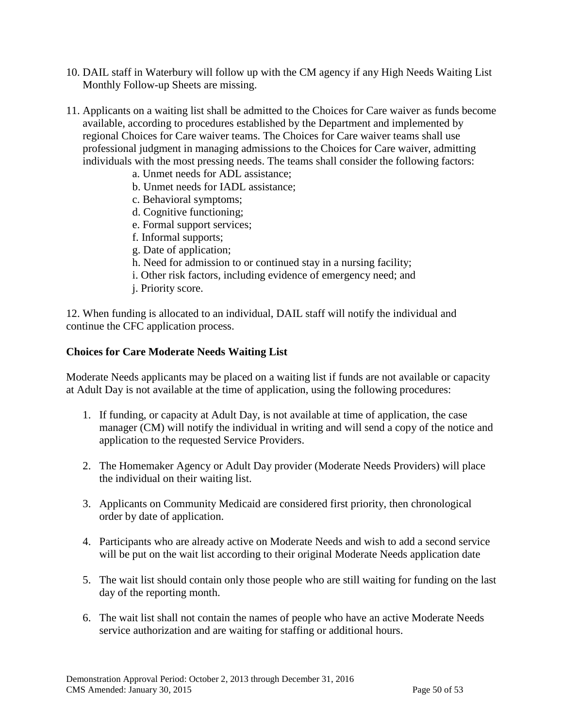- 10. DAIL staff in Waterbury will follow up with the CM agency if any High Needs Waiting List Monthly Follow-up Sheets are missing.
- 11. Applicants on a waiting list shall be admitted to the Choices for Care waiver as funds become available, according to procedures established by the Department and implemented by regional Choices for Care waiver teams. The Choices for Care waiver teams shall use professional judgment in managing admissions to the Choices for Care waiver, admitting individuals with the most pressing needs. The teams shall consider the following factors:
	- a. Unmet needs for ADL assistance;
	- b. Unmet needs for IADL assistance;
	- c. Behavioral symptoms;
	- d. Cognitive functioning;
	- e. Formal support services;
	- f. Informal supports;
	- g. Date of application;
	- h. Need for admission to or continued stay in a nursing facility;
	- i. Other risk factors, including evidence of emergency need; and
	- j. Priority score.

12. When funding is allocated to an individual, DAIL staff will notify the individual and continue the CFC application process.

#### **Choices for Care Moderate Needs Waiting List**

Moderate Needs applicants may be placed on a waiting list if funds are not available or capacity at Adult Day is not available at the time of application, using the following procedures:

- 1. If funding, or capacity at Adult Day, is not available at time of application, the case manager (CM) will notify the individual in writing and will send a copy of the notice and application to the requested Service Providers.
- 2. The Homemaker Agency or Adult Day provider (Moderate Needs Providers) will place the individual on their waiting list.
- 3. Applicants on Community Medicaid are considered first priority, then chronological order by date of application.
- 4. Participants who are already active on Moderate Needs and wish to add a second service will be put on the wait list according to their original Moderate Needs application date
- 5. The wait list should contain only those people who are still waiting for funding on the last day of the reporting month.
- 6. The wait list shall not contain the names of people who have an active Moderate Needs service authorization and are waiting for staffing or additional hours.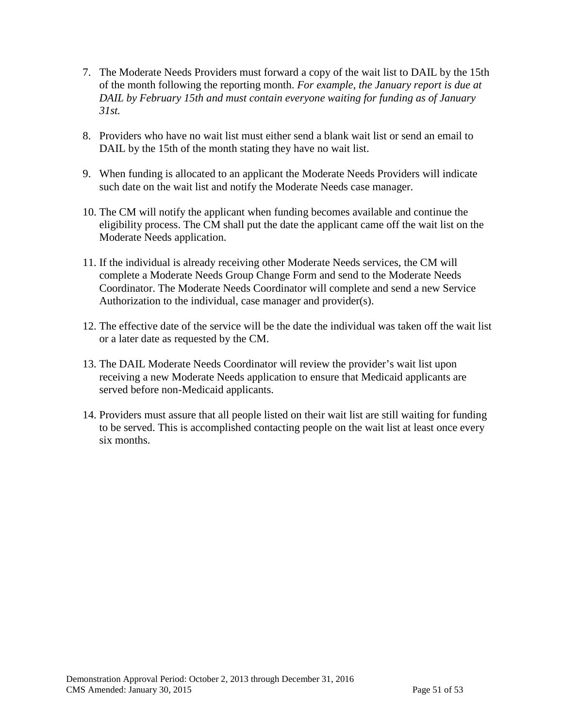- 7. The Moderate Needs Providers must forward a copy of the wait list to DAIL by the 15th of the month following the reporting month. *For example, the January report is due at DAIL by February 15th and must contain everyone waiting for funding as of January 31st.*
- 8. Providers who have no wait list must either send a blank wait list or send an email to DAIL by the 15th of the month stating they have no wait list.
- 9. When funding is allocated to an applicant the Moderate Needs Providers will indicate such date on the wait list and notify the Moderate Needs case manager.
- 10. The CM will notify the applicant when funding becomes available and continue the eligibility process. The CM shall put the date the applicant came off the wait list on the Moderate Needs application.
- 11. If the individual is already receiving other Moderate Needs services, the CM will complete a Moderate Needs Group Change Form and send to the Moderate Needs Coordinator. The Moderate Needs Coordinator will complete and send a new Service Authorization to the individual, case manager and provider(s).
- 12. The effective date of the service will be the date the individual was taken off the wait list or a later date as requested by the CM.
- 13. The DAIL Moderate Needs Coordinator will review the provider's wait list upon receiving a new Moderate Needs application to ensure that Medicaid applicants are served before non-Medicaid applicants.
- 14. Providers must assure that all people listed on their wait list are still waiting for funding to be served. This is accomplished contacting people on the wait list at least once every six months.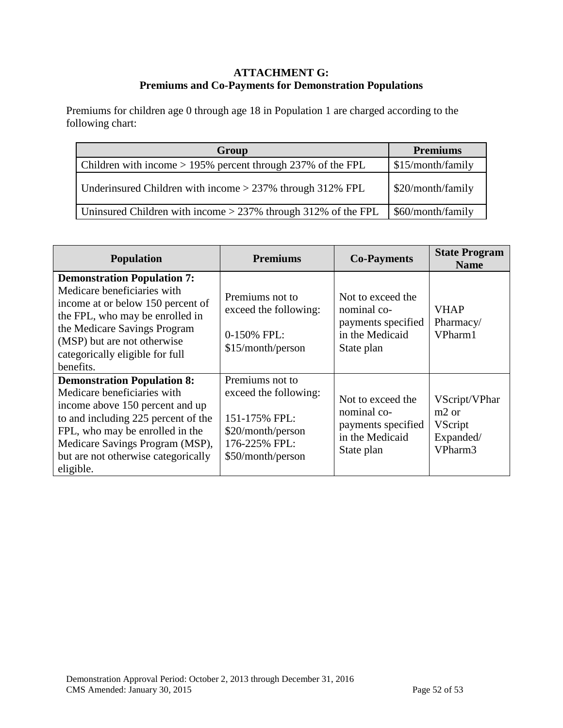#### **ATTACHMENT G: Premiums and Co-Payments for Demonstration Populations**

Premiums for children age 0 through age 18 in Population 1 are charged according to the following chart:

| Group                                                           | <b>Premiums</b>   |
|-----------------------------------------------------------------|-------------------|
| Children with income $> 195\%$ percent through 237% of the FPL  | \$15/month/family |
| Underinsured Children with income $>$ 237% through 312% FPL     | \$20/month/family |
| Uninsured Children with income $>$ 237% through 312% of the FPL | \$60/month/family |

| <b>Population</b>                                                                                                                                                                                                                                                     | <b>Premiums</b>                                                                                                      | <b>Co-Payments</b>                                                                      | <b>State Program</b><br><b>Name</b>                                |
|-----------------------------------------------------------------------------------------------------------------------------------------------------------------------------------------------------------------------------------------------------------------------|----------------------------------------------------------------------------------------------------------------------|-----------------------------------------------------------------------------------------|--------------------------------------------------------------------|
| <b>Demonstration Population 7:</b><br>Medicare beneficiaries with<br>income at or below 150 percent of<br>the FPL, who may be enrolled in<br>the Medicare Savings Program<br>(MSP) but are not otherwise<br>categorically eligible for full<br>benefits.              | Premiums not to<br>exceed the following:<br>0-150% FPL:<br>\$15/month/person                                         | Not to exceed the<br>nominal co-<br>payments specified<br>in the Medicaid<br>State plan | <b>VHAP</b><br>Pharmacy/<br>VPharm1                                |
| <b>Demonstration Population 8:</b><br>Medicare beneficiaries with<br>income above 150 percent and up<br>to and including 225 percent of the<br>FPL, who may be enrolled in the<br>Medicare Savings Program (MSP),<br>but are not otherwise categorically<br>eligible. | Premiums not to<br>exceed the following:<br>151-175% FPL:<br>\$20/month/person<br>176-225% FPL:<br>\$50/month/person | Not to exceed the<br>nominal co-<br>payments specified<br>in the Medicaid<br>State plan | VScript/VPhar<br>$m2$ or<br><b>VScript</b><br>Expanded/<br>VPharm3 |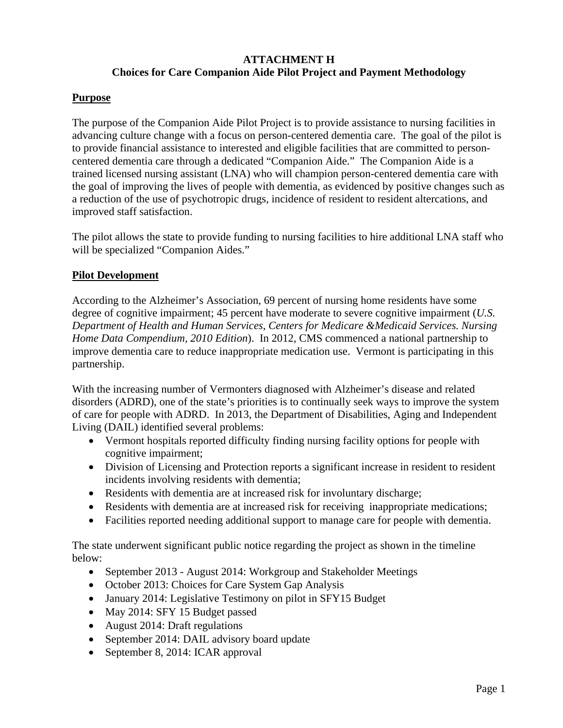#### **ATTACHMENT H Choices for Care Companion Aide Pilot Project and Payment Methodology**

#### **Purpose**

The purpose of the Companion Aide Pilot Project is to provide assistance to nursing facilities in advancing culture change with a focus on person-centered dementia care. The goal of the pilot is to provide financial assistance to interested and eligible facilities that are committed to personcentered dementia care through a dedicated "Companion Aide." The Companion Aide is a trained licensed nursing assistant (LNA) who will champion person-centered dementia care with the goal of improving the lives of people with dementia, as evidenced by positive changes such as a reduction of the use of psychotropic drugs, incidence of resident to resident altercations, and improved staff satisfaction.

The pilot allows the state to provide funding to nursing facilities to hire additional LNA staff who will be specialized "Companion Aides."

#### **Pilot Development**

According to the Alzheimer's Association, 69 percent of nursing home residents have some degree of cognitive impairment; 45 percent have moderate to severe cognitive impairment (*U.S. Department of Health and Human Services, Centers for Medicare &Medicaid Services. Nursing Home Data Compendium, 2010 Edition*). In 2012, CMS commenced a national partnership to improve dementia care to reduce inappropriate medication use. Vermont is participating in this partnership.

With the increasing number of Vermonters diagnosed with Alzheimer's disease and related disorders (ADRD), one of the state's priorities is to continually seek ways to improve the system of care for people with ADRD. In 2013, the Department of Disabilities, Aging and Independent Living (DAIL) identified several problems:

- Vermont hospitals reported difficulty finding nursing facility options for people with cognitive impairment;
- Division of Licensing and Protection reports a significant increase in resident to resident incidents involving residents with dementia;
- Residents with dementia are at increased risk for involuntary discharge;
- Residents with dementia are at increased risk for receiving inappropriate medications;
- Facilities reported needing additional support to manage care for people with dementia.

The state underwent significant public notice regarding the project as shown in the timeline below:

- September 2013 August 2014: Workgroup and Stakeholder Meetings
- October 2013: Choices for Care System Gap Analysis
- January 2014: Legislative Testimony on pilot in SFY15 Budget
- May 2014: SFY 15 Budget passed
- August 2014: Draft regulations
- September 2014: DAIL advisory board update
- September 8, 2014: ICAR approval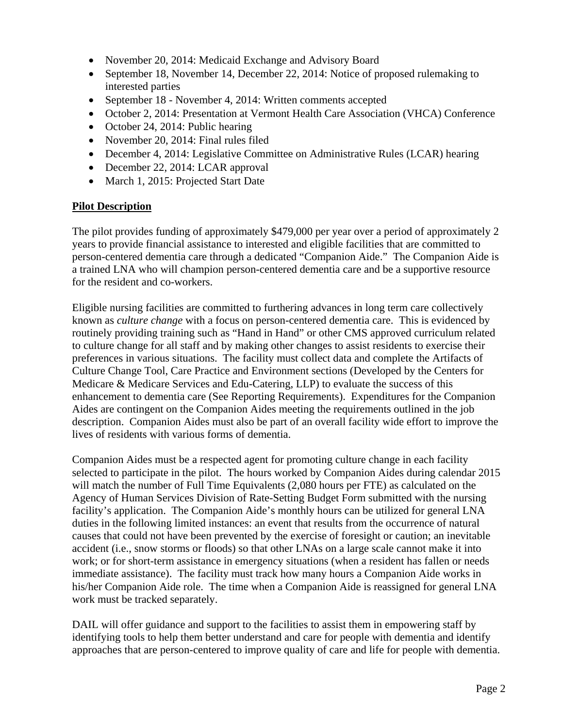- November 20, 2014: Medicaid Exchange and Advisory Board
- September 18, November 14, December 22, 2014: Notice of proposed rulemaking to interested parties
- September 18 November 4, 2014: Written comments accepted
- October 2, 2014: Presentation at Vermont Health Care Association (VHCA) Conference
- October 24, 2014: Public hearing
- November 20, 2014: Final rules filed
- December 4, 2014: Legislative Committee on Administrative Rules (LCAR) hearing
- December 22, 2014: LCAR approval
- March 1, 2015: Projected Start Date

#### **Pilot Description**

The pilot provides funding of approximately \$479,000 per year over a period of approximately 2 years to provide financial assistance to interested and eligible facilities that are committed to person-centered dementia care through a dedicated "Companion Aide." The Companion Aide is a trained LNA who will champion person-centered dementia care and be a supportive resource for the resident and co-workers.

Eligible nursing facilities are committed to furthering advances in long term care collectively known as *culture change* with a focus on person-centered dementia care. This is evidenced by routinely providing training such as "Hand in Hand" or other CMS approved curriculum related to culture change for all staff and by making other changes to assist residents to exercise their preferences in various situations. The facility must collect data and complete the Artifacts of Culture Change Tool, Care Practice and Environment sections (Developed by the Centers for Medicare & Medicare Services and Edu-Catering, LLP) to evaluate the success of this enhancement to dementia care (See Reporting Requirements). Expenditures for the Companion Aides are contingent on the Companion Aides meeting the requirements outlined in the job description. Companion Aides must also be part of an overall facility wide effort to improve the lives of residents with various forms of dementia.

Companion Aides must be a respected agent for promoting culture change in each facility selected to participate in the pilot. The hours worked by Companion Aides during calendar 2015 will match the number of Full Time Equivalents (2,080 hours per FTE) as calculated on the Agency of Human Services Division of Rate-Setting Budget Form submitted with the nursing facility's application. The Companion Aide's monthly hours can be utilized for general LNA duties in the following limited instances: an event that results from the occurrence of natural causes that could not have been prevented by the exercise of foresight or caution; an inevitable accident (i.e., snow storms or floods) so that other LNAs on a large scale cannot make it into work; or for short-term assistance in emergency situations (when a resident has fallen or needs immediate assistance). The facility must track how many hours a Companion Aide works in his/her Companion Aide role. The time when a Companion Aide is reassigned for general LNA work must be tracked separately.

DAIL will offer guidance and support to the facilities to assist them in empowering staff by identifying tools to help them better understand and care for people with dementia and identify approaches that are person-centered to improve quality of care and life for people with dementia.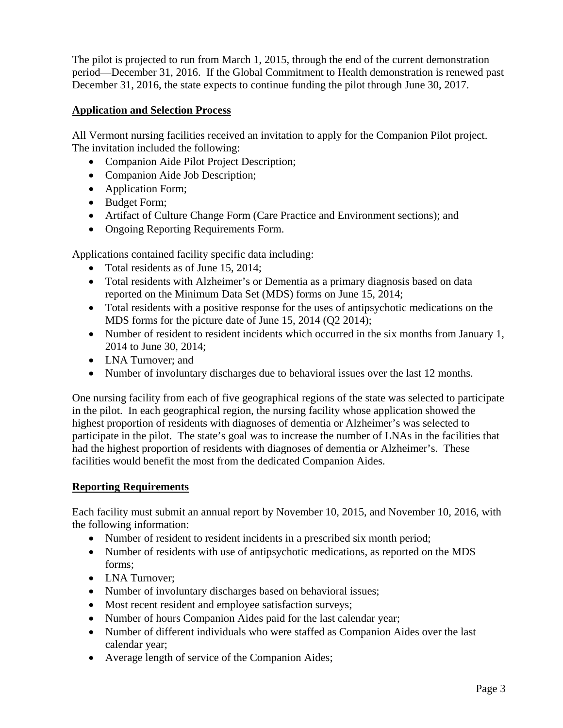The pilot is projected to run from March 1, 2015, through the end of the current demonstration period—December 31, 2016. If the Global Commitment to Health demonstration is renewed past December 31, 2016, the state expects to continue funding the pilot through June 30, 2017.

#### **Application and Selection Process**

All Vermont nursing facilities received an invitation to apply for the Companion Pilot project. The invitation included the following:

- Companion Aide Pilot Project Description;
- Companion Aide Job Description;
- Application Form;
- Budget Form;
- Artifact of Culture Change Form (Care Practice and Environment sections); and
- Ongoing Reporting Requirements Form.

Applications contained facility specific data including:

- Total residents as of June 15, 2014;
- Total residents with Alzheimer's or Dementia as a primary diagnosis based on data reported on the Minimum Data Set (MDS) forms on June 15, 2014;
- Total residents with a positive response for the uses of antipsychotic medications on the MDS forms for the picture date of June 15, 2014 (Q2 2014);
- Number of resident to resident incidents which occurred in the six months from January 1, 2014 to June 30, 2014;
- LNA Turnover: and
- Number of involuntary discharges due to behavioral issues over the last 12 months.

One nursing facility from each of five geographical regions of the state was selected to participate in the pilot. In each geographical region, the nursing facility whose application showed the highest proportion of residents with diagnoses of dementia or Alzheimer's was selected to participate in the pilot. The state's goal was to increase the number of LNAs in the facilities that had the highest proportion of residents with diagnoses of dementia or Alzheimer's. These facilities would benefit the most from the dedicated Companion Aides.

#### **Reporting Requirements**

Each facility must submit an annual report by November 10, 2015, and November 10, 2016, with the following information:

- Number of resident to resident incidents in a prescribed six month period;
- Number of residents with use of antipsychotic medications, as reported on the MDS forms;
- LNA Turnover:
- Number of involuntary discharges based on behavioral issues;
- Most recent resident and employee satisfaction surveys;
- Number of hours Companion Aides paid for the last calendar year;
- Number of different individuals who were staffed as Companion Aides over the last calendar year;
- Average length of service of the Companion Aides;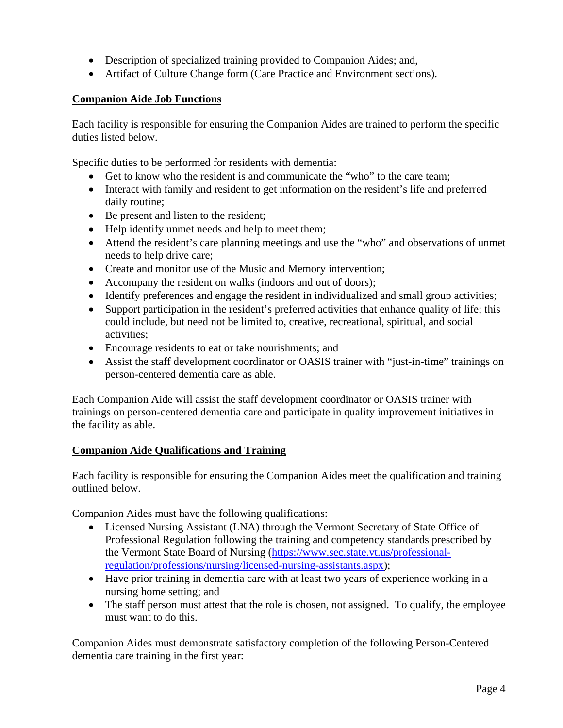- Description of specialized training provided to Companion Aides; and,
- Artifact of Culture Change form (Care Practice and Environment sections).

#### **Companion Aide Job Functions**

Each facility is responsible for ensuring the Companion Aides are trained to perform the specific duties listed below.

Specific duties to be performed for residents with dementia:

- Get to know who the resident is and communicate the "who" to the care team;
- Interact with family and resident to get information on the resident's life and preferred daily routine;
- Be present and listen to the resident;
- Help identify unmet needs and help to meet them;
- Attend the resident's care planning meetings and use the "who" and observations of unmet needs to help drive care;
- Create and monitor use of the Music and Memory intervention;
- Accompany the resident on walks (indoors and out of doors);
- Identify preferences and engage the resident in individualized and small group activities;
- Support participation in the resident's preferred activities that enhance quality of life; this could include, but need not be limited to, creative, recreational, spiritual, and social activities;
- Encourage residents to eat or take nourishments; and
- Assist the staff development coordinator or OASIS trainer with "just-in-time" trainings on person-centered dementia care as able.

Each Companion Aide will assist the staff development coordinator or OASIS trainer with trainings on person-centered dementia care and participate in quality improvement initiatives in the facility as able.

### **Companion Aide Qualifications and Training**

Each facility is responsible for ensuring the Companion Aides meet the qualification and training outlined below.

Companion Aides must have the following qualifications:

- Licensed Nursing Assistant (LNA) through the Vermont Secretary of State Office of Professional Regulation following the training and competency standards prescribed by the Vermont State Board of Nursing (https://www.sec.state.vt.us/professionalregulation/professions/nursing/licensed-nursing-assistants.aspx);
- Have prior training in dementia care with at least two years of experience working in a nursing home setting; and
- The staff person must attest that the role is chosen, not assigned. To qualify, the employee must want to do this.

Companion Aides must demonstrate satisfactory completion of the following Person-Centered dementia care training in the first year: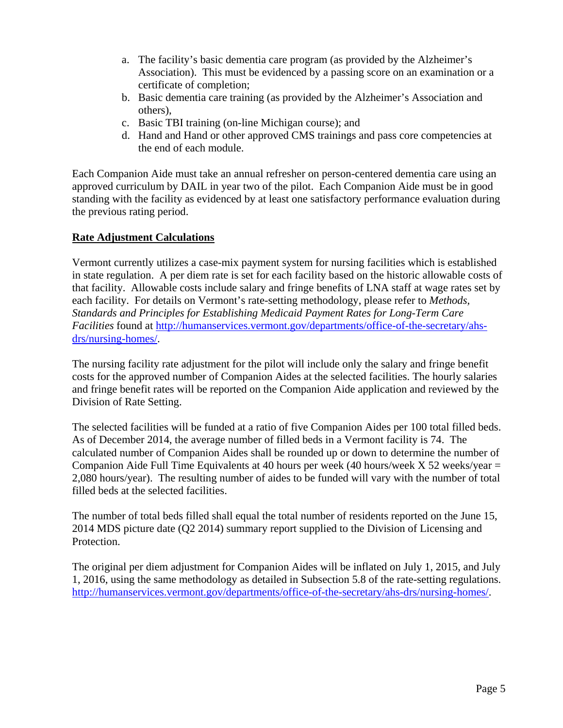- a. The facility's basic dementia care program (as provided by the Alzheimer's Association). This must be evidenced by a passing score on an examination or a certificate of completion;
- b. Basic dementia care training (as provided by the Alzheimer's Association and others),
- c. Basic TBI training (on-line Michigan course); and
- d. Hand and Hand or other approved CMS trainings and pass core competencies at the end of each module.

Each Companion Aide must take an annual refresher on person-centered dementia care using an approved curriculum by DAIL in year two of the pilot. Each Companion Aide must be in good standing with the facility as evidenced by at least one satisfactory performance evaluation during the previous rating period.

#### **Rate Adjustment Calculations**

Vermont currently utilizes a case-mix payment system for nursing facilities which is established in state regulation. A per diem rate is set for each facility based on the historic allowable costs of that facility. Allowable costs include salary and fringe benefits of LNA staff at wage rates set by each facility. For details on Vermont's rate-setting methodology, please refer to *Methods, Standards and Principles for Establishing Medicaid Payment Rates for Long-Term Care Facilities* found at http://humanservices.vermont.gov/departments/office-of-the-secretary/ahsdrs/nursing-homes/.

The nursing facility rate adjustment for the pilot will include only the salary and fringe benefit costs for the approved number of Companion Aides at the selected facilities. The hourly salaries and fringe benefit rates will be reported on the Companion Aide application and reviewed by the Division of Rate Setting.

The selected facilities will be funded at a ratio of five Companion Aides per 100 total filled beds. As of December 2014, the average number of filled beds in a Vermont facility is 74. The calculated number of Companion Aides shall be rounded up or down to determine the number of Companion Aide Full Time Equivalents at 40 hours per week (40 hours/week  $X$  52 weeks/year = 2,080 hours/year). The resulting number of aides to be funded will vary with the number of total filled beds at the selected facilities.

The number of total beds filled shall equal the total number of residents reported on the June 15, 2014 MDS picture date (Q2 2014) summary report supplied to the Division of Licensing and Protection.

The original per diem adjustment for Companion Aides will be inflated on July 1, 2015, and July 1, 2016, using the same methodology as detailed in Subsection 5.8 of the rate-setting regulations. http://humanservices.vermont.gov/departments/office-of-the-secretary/ahs-drs/nursing-homes/.